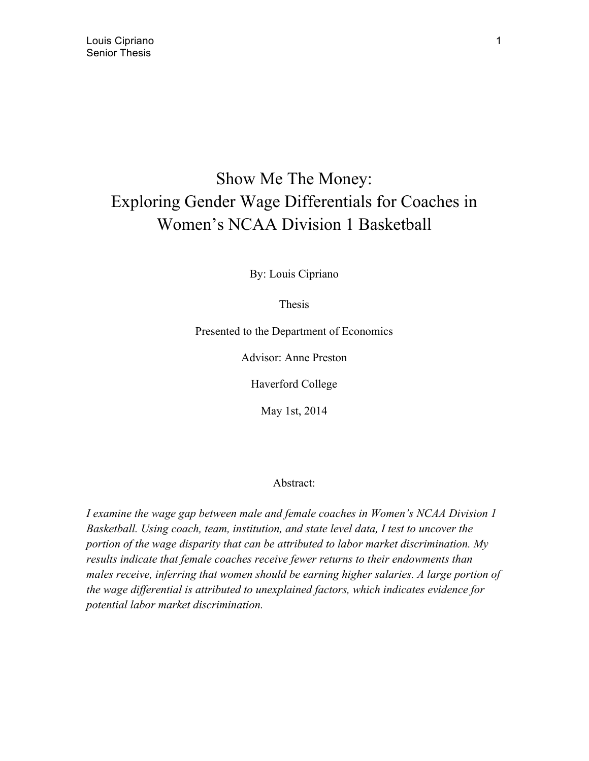# Show Me The Money: Exploring Gender Wage Differentials for Coaches in Women's NCAA Division 1 Basketball

By: Louis Cipriano

Thesis

Presented to the Department of Economics

Advisor: Anne Preston

Haverford College

May 1st, 2014

#### Abstract:

*I examine the wage gap between male and female coaches in Women's NCAA Division 1 Basketball. Using coach, team, institution, and state level data, I test to uncover the portion of the wage disparity that can be attributed to labor market discrimination. My results indicate that female coaches receive fewer returns to their endowments than males receive, inferring that women should be earning higher salaries. A large portion of the wage differential is attributed to unexplained factors, which indicates evidence for potential labor market discrimination.*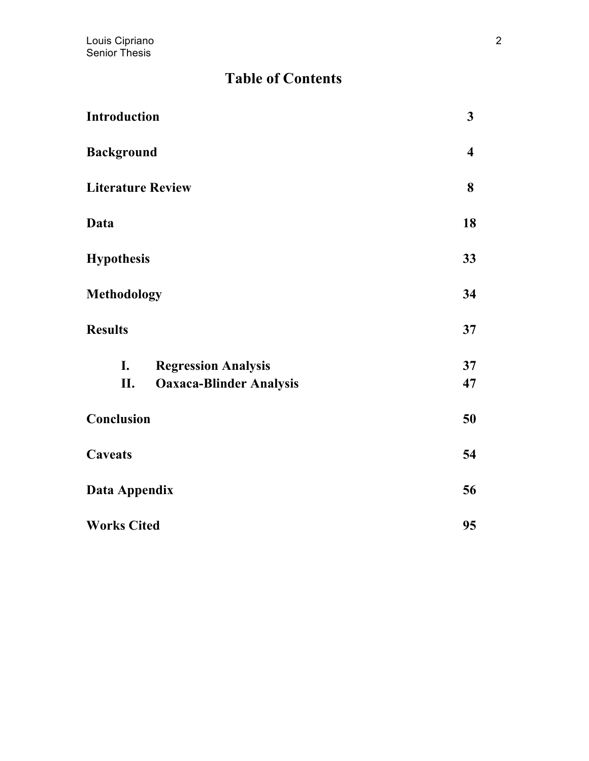## **Table of Contents**

| Introduction                                  |                                                              | $\mathbf{3}$            |
|-----------------------------------------------|--------------------------------------------------------------|-------------------------|
| <b>Background</b><br><b>Literature Review</b> |                                                              | $\overline{\mathbf{4}}$ |
|                                               |                                                              | 8                       |
| Data                                          |                                                              | 18                      |
| <b>Hypothesis</b><br><b>Methodology</b>       |                                                              | 33                      |
|                                               |                                                              | 34                      |
| <b>Results</b>                                |                                                              | 37                      |
| I.<br>П.                                      | <b>Regression Analysis</b><br><b>Oaxaca-Blinder Analysis</b> | 37<br>47                |
| Conclusion                                    |                                                              | 50                      |
| <b>Caveats</b>                                |                                                              | 54                      |
| Data Appendix                                 |                                                              | 56                      |
| <b>Works Cited</b>                            |                                                              | 95                      |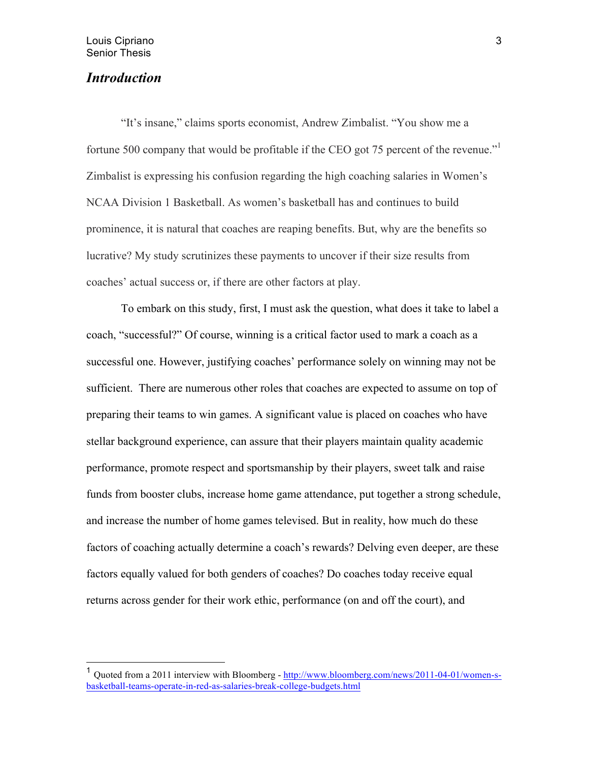## *Introduction*

 "It's insane," claims sports economist, Andrew Zimbalist. "You show me a fortune 500 company that would be profitable if the CEO got 75 percent of the revenue." Zimbalist is expressing his confusion regarding the high coaching salaries in Women's NCAA Division 1 Basketball. As women's basketball has and continues to build prominence, it is natural that coaches are reaping benefits. But, why are the benefits so lucrative? My study scrutinizes these payments to uncover if their size results from coaches' actual success or, if there are other factors at play.

To embark on this study, first, I must ask the question, what does it take to label a coach, "successful?" Of course, winning is a critical factor used to mark a coach as a successful one. However, justifying coaches' performance solely on winning may not be sufficient. There are numerous other roles that coaches are expected to assume on top of preparing their teams to win games. A significant value is placed on coaches who have stellar background experience, can assure that their players maintain quality academic performance, promote respect and sportsmanship by their players, sweet talk and raise funds from booster clubs, increase home game attendance, put together a strong schedule, and increase the number of home games televised. But in reality, how much do these factors of coaching actually determine a coach's rewards? Delving even deeper, are these factors equally valued for both genders of coaches? Do coaches today receive equal returns across gender for their work ethic, performance (on and off the court), and

 <sup>1</sup> Quoted from a 2011 interview with Bloomberg - http://www.bloomberg.com/news/2011-04-01/women-sbasketball-teams-operate-in-red-as-salaries-break-college-budgets.html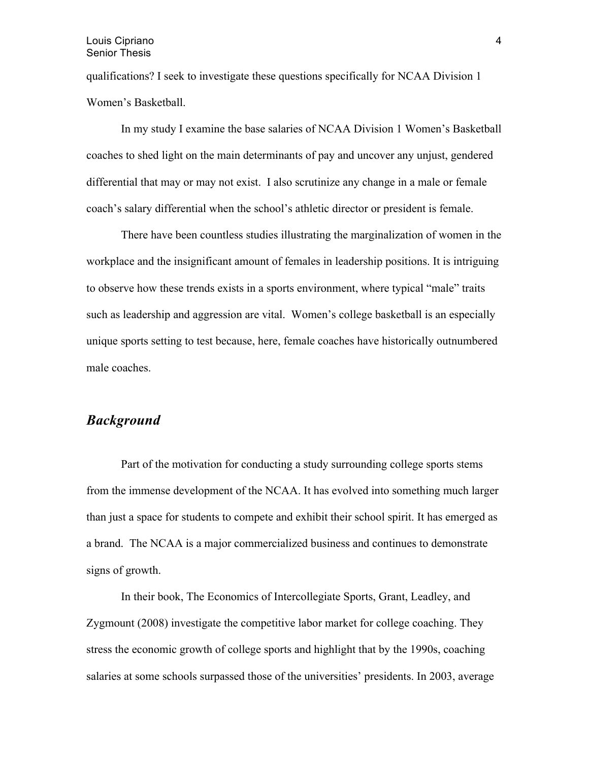#### Louis Cipriano Senior Thesis

qualifications? I seek to investigate these questions specifically for NCAA Division 1 Women's Basketball.

In my study I examine the base salaries of NCAA Division 1 Women's Basketball coaches to shed light on the main determinants of pay and uncover any unjust, gendered differential that may or may not exist. I also scrutinize any change in a male or female coach's salary differential when the school's athletic director or president is female.

There have been countless studies illustrating the marginalization of women in the workplace and the insignificant amount of females in leadership positions. It is intriguing to observe how these trends exists in a sports environment, where typical "male" traits such as leadership and aggression are vital. Women's college basketball is an especially unique sports setting to test because, here, female coaches have historically outnumbered male coaches.

## *Background*

Part of the motivation for conducting a study surrounding college sports stems from the immense development of the NCAA. It has evolved into something much larger than just a space for students to compete and exhibit their school spirit. It has emerged as a brand. The NCAA is a major commercialized business and continues to demonstrate signs of growth.

In their book, The Economics of Intercollegiate Sports, Grant, Leadley, and Zygmount (2008) investigate the competitive labor market for college coaching. They stress the economic growth of college sports and highlight that by the 1990s, coaching salaries at some schools surpassed those of the universities' presidents. In 2003, average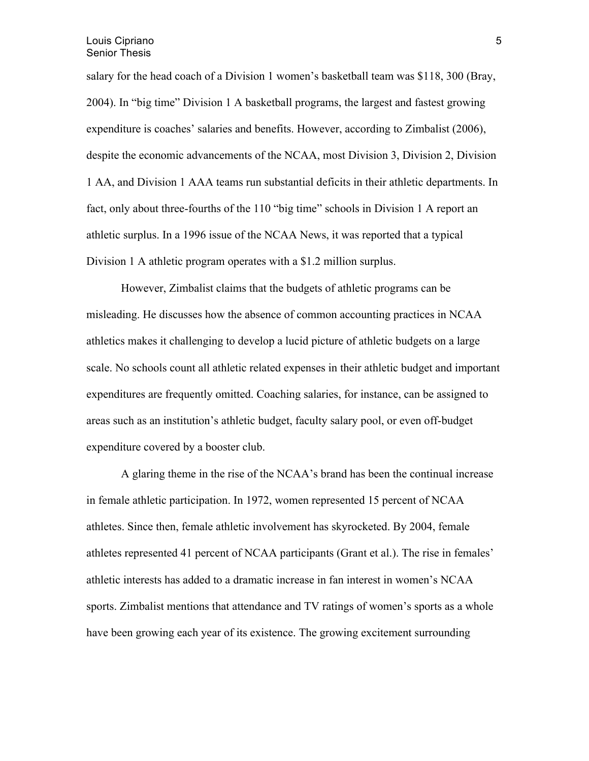salary for the head coach of a Division 1 women's basketball team was \$118, 300 (Bray, 2004). In "big time" Division 1 A basketball programs, the largest and fastest growing expenditure is coaches' salaries and benefits. However, according to Zimbalist (2006), despite the economic advancements of the NCAA, most Division 3, Division 2, Division 1 AA, and Division 1 AAA teams run substantial deficits in their athletic departments. In fact, only about three-fourths of the 110 "big time" schools in Division 1 A report an athletic surplus. In a 1996 issue of the NCAA News, it was reported that a typical Division 1 A athletic program operates with a \$1.2 million surplus.

However, Zimbalist claims that the budgets of athletic programs can be misleading. He discusses how the absence of common accounting practices in NCAA athletics makes it challenging to develop a lucid picture of athletic budgets on a large scale. No schools count all athletic related expenses in their athletic budget and important expenditures are frequently omitted. Coaching salaries, for instance, can be assigned to areas such as an institution's athletic budget, faculty salary pool, or even off-budget expenditure covered by a booster club.

A glaring theme in the rise of the NCAA's brand has been the continual increase in female athletic participation. In 1972, women represented 15 percent of NCAA athletes. Since then, female athletic involvement has skyrocketed. By 2004, female athletes represented 41 percent of NCAA participants (Grant et al.). The rise in females' athletic interests has added to a dramatic increase in fan interest in women's NCAA sports. Zimbalist mentions that attendance and TV ratings of women's sports as a whole have been growing each year of its existence. The growing excitement surrounding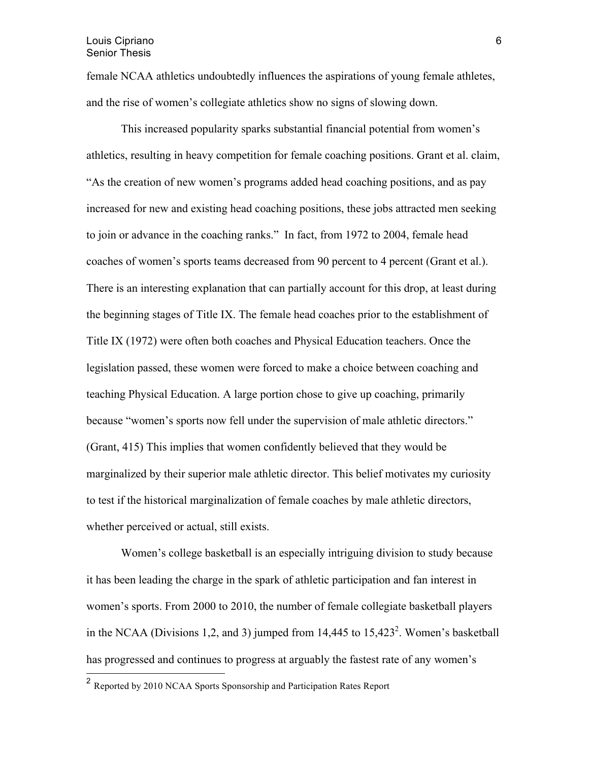female NCAA athletics undoubtedly influences the aspirations of young female athletes, and the rise of women's collegiate athletics show no signs of slowing down.

This increased popularity sparks substantial financial potential from women's athletics, resulting in heavy competition for female coaching positions. Grant et al. claim, "As the creation of new women's programs added head coaching positions, and as pay increased for new and existing head coaching positions, these jobs attracted men seeking to join or advance in the coaching ranks." In fact, from 1972 to 2004, female head coaches of women's sports teams decreased from 90 percent to 4 percent (Grant et al.). There is an interesting explanation that can partially account for this drop, at least during the beginning stages of Title IX. The female head coaches prior to the establishment of Title IX (1972) were often both coaches and Physical Education teachers. Once the legislation passed, these women were forced to make a choice between coaching and teaching Physical Education. A large portion chose to give up coaching, primarily because "women's sports now fell under the supervision of male athletic directors." (Grant, 415) This implies that women confidently believed that they would be marginalized by their superior male athletic director. This belief motivates my curiosity to test if the historical marginalization of female coaches by male athletic directors, whether perceived or actual, still exists.

Women's college basketball is an especially intriguing division to study because it has been leading the charge in the spark of athletic participation and fan interest in women's sports. From 2000 to 2010, the number of female collegiate basketball players in the NCAA (Divisions 1,2, and 3) jumped from  $14,445$  to  $15,423<sup>2</sup>$ . Women's basketball has progressed and continues to progress at arguably the fastest rate of any women's

<sup>&</sup>lt;sup>2</sup> Reported by 2010 NCAA Sports Sponsorship and Participation Rates Report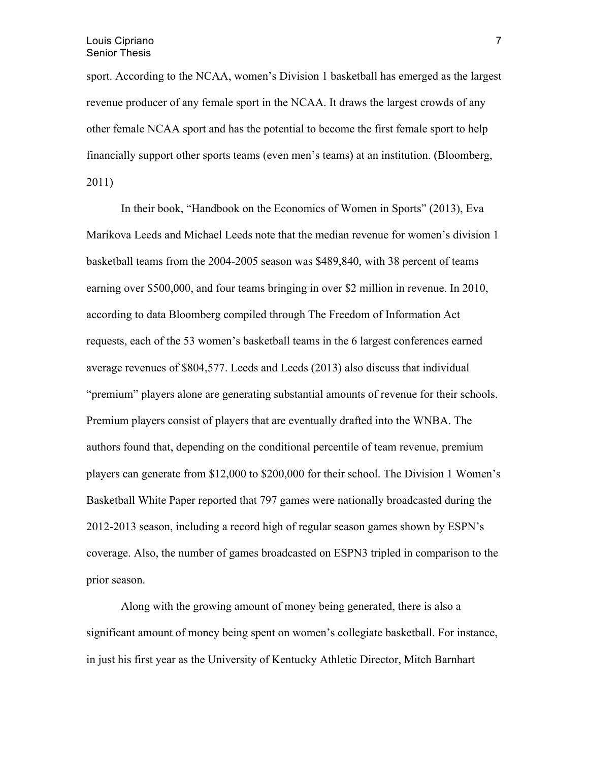sport. According to the NCAA, women's Division 1 basketball has emerged as the largest revenue producer of any female sport in the NCAA. It draws the largest crowds of any other female NCAA sport and has the potential to become the first female sport to help financially support other sports teams (even men's teams) at an institution. (Bloomberg, 2011)

In their book, "Handbook on the Economics of Women in Sports" (2013), Eva Marikova Leeds and Michael Leeds note that the median revenue for women's division 1 basketball teams from the 2004-2005 season was \$489,840, with 38 percent of teams earning over \$500,000, and four teams bringing in over \$2 million in revenue. In 2010, according to data Bloomberg compiled through The Freedom of Information Act requests, each of the 53 women's basketball teams in the 6 largest conferences earned average revenues of \$804,577. Leeds and Leeds (2013) also discuss that individual "premium" players alone are generating substantial amounts of revenue for their schools. Premium players consist of players that are eventually drafted into the WNBA. The authors found that, depending on the conditional percentile of team revenue, premium players can generate from \$12,000 to \$200,000 for their school. The Division 1 Women's Basketball White Paper reported that 797 games were nationally broadcasted during the 2012-2013 season, including a record high of regular season games shown by ESPN's coverage. Also, the number of games broadcasted on ESPN3 tripled in comparison to the prior season.

Along with the growing amount of money being generated, there is also a significant amount of money being spent on women's collegiate basketball. For instance, in just his first year as the University of Kentucky Athletic Director, Mitch Barnhart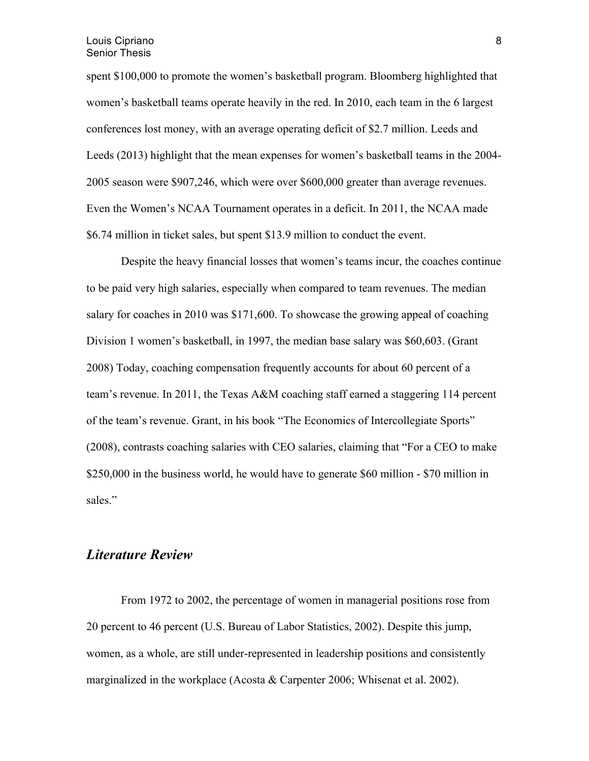spent \$100,000 to promote the women's basketball program. Bloomberg highlighted that women's basketball teams operate heavily in the red. In 2010, each team in the 6 largest conferences lost money, with an average operating deficit of \$2.7 million. Leeds and Leeds (2013) highlight that the mean expenses for women's basketball teams in the 2004- 2005 season were \$907,246, which were over \$600,000 greater than average revenues. Even the Women's NCAA Tournament operates in a deficit. In 2011, the NCAA made \$6.74 million in ticket sales, but spent \$13.9 million to conduct the event.

Despite the heavy financial losses that women's teams incur, the coaches continue to be paid very high salaries, especially when compared to team revenues. The median salary for coaches in 2010 was \$171,600. To showcase the growing appeal of coaching Division 1 women's basketball, in 1997, the median base salary was \$60,603. (Grant 2008) Today, coaching compensation frequently accounts for about 60 percent of a team's revenue. In 2011, the Texas A&M coaching staff earned a staggering 114 percent of the team's revenue. Grant, in his book "The Economics of Intercollegiate Sports" (2008), contrasts coaching salaries with CEO salaries, claiming that "For a CEO to make \$250,000 in the business world, he would have to generate \$60 million - \$70 million in sales."

### *Literature Review*

From 1972 to 2002, the percentage of women in managerial positions rose from 20 percent to 46 percent (U.S. Bureau of Labor Statistics, 2002). Despite this jump, women, as a whole, are still under-represented in leadership positions and consistently marginalized in the workplace (Acosta & Carpenter 2006; Whisenat et al. 2002).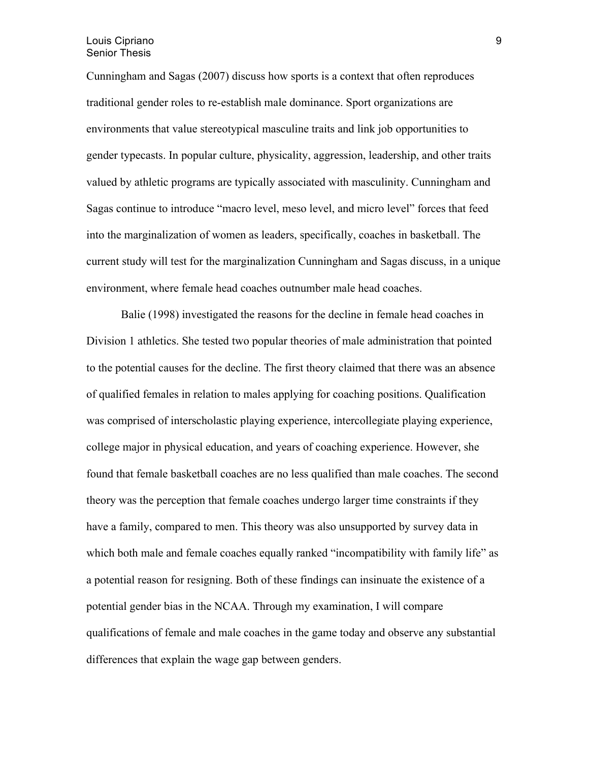#### Louis Cipriano Senior Thesis

Cunningham and Sagas (2007) discuss how sports is a context that often reproduces traditional gender roles to re-establish male dominance. Sport organizations are environments that value stereotypical masculine traits and link job opportunities to gender typecasts. In popular culture, physicality, aggression, leadership, and other traits valued by athletic programs are typically associated with masculinity. Cunningham and Sagas continue to introduce "macro level, meso level, and micro level" forces that feed into the marginalization of women as leaders, specifically, coaches in basketball. The current study will test for the marginalization Cunningham and Sagas discuss, in a unique environment, where female head coaches outnumber male head coaches.

Balie (1998) investigated the reasons for the decline in female head coaches in Division 1 athletics. She tested two popular theories of male administration that pointed to the potential causes for the decline. The first theory claimed that there was an absence of qualified females in relation to males applying for coaching positions. Qualification was comprised of interscholastic playing experience, intercollegiate playing experience, college major in physical education, and years of coaching experience. However, she found that female basketball coaches are no less qualified than male coaches. The second theory was the perception that female coaches undergo larger time constraints if they have a family, compared to men. This theory was also unsupported by survey data in which both male and female coaches equally ranked "incompatibility with family life" as a potential reason for resigning. Both of these findings can insinuate the existence of a potential gender bias in the NCAA. Through my examination, I will compare qualifications of female and male coaches in the game today and observe any substantial differences that explain the wage gap between genders.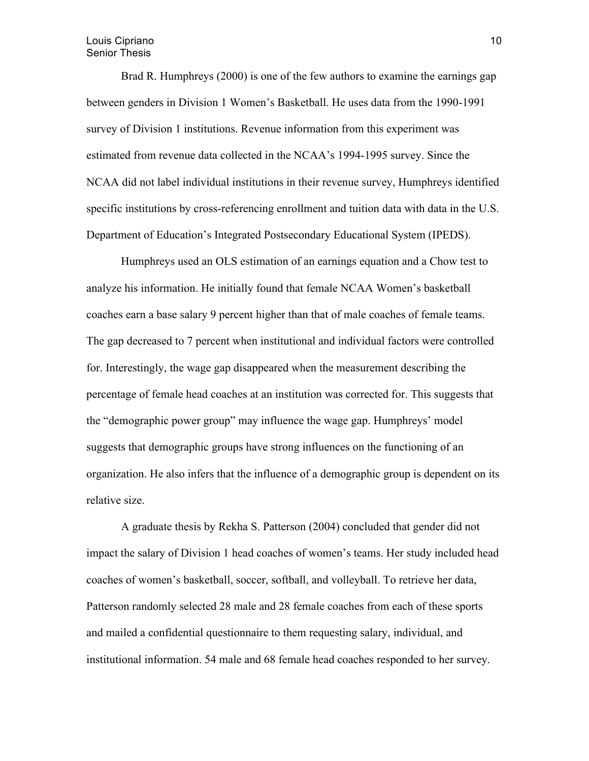#### Louis Cipriano Senior Thesis

Brad R. Humphreys (2000) is one of the few authors to examine the earnings gap between genders in Division 1 Women's Basketball. He uses data from the 1990-1991 survey of Division 1 institutions. Revenue information from this experiment was estimated from revenue data collected in the NCAA's 1994-1995 survey. Since the NCAA did not label individual institutions in their revenue survey, Humphreys identified specific institutions by cross-referencing enrollment and tuition data with data in the U.S. Department of Education's Integrated Postsecondary Educational System (IPEDS).

Humphreys used an OLS estimation of an earnings equation and a Chow test to analyze his information. He initially found that female NCAA Women's basketball coaches earn a base salary 9 percent higher than that of male coaches of female teams. The gap decreased to 7 percent when institutional and individual factors were controlled for. Interestingly, the wage gap disappeared when the measurement describing the percentage of female head coaches at an institution was corrected for. This suggests that the "demographic power group" may influence the wage gap. Humphreys' model suggests that demographic groups have strong influences on the functioning of an organization. He also infers that the influence of a demographic group is dependent on its relative size.

A graduate thesis by Rekha S. Patterson (2004) concluded that gender did not impact the salary of Division 1 head coaches of women's teams. Her study included head coaches of women's basketball, soccer, softball, and volleyball. To retrieve her data, Patterson randomly selected 28 male and 28 female coaches from each of these sports and mailed a confidential questionnaire to them requesting salary, individual, and institutional information. 54 male and 68 female head coaches responded to her survey.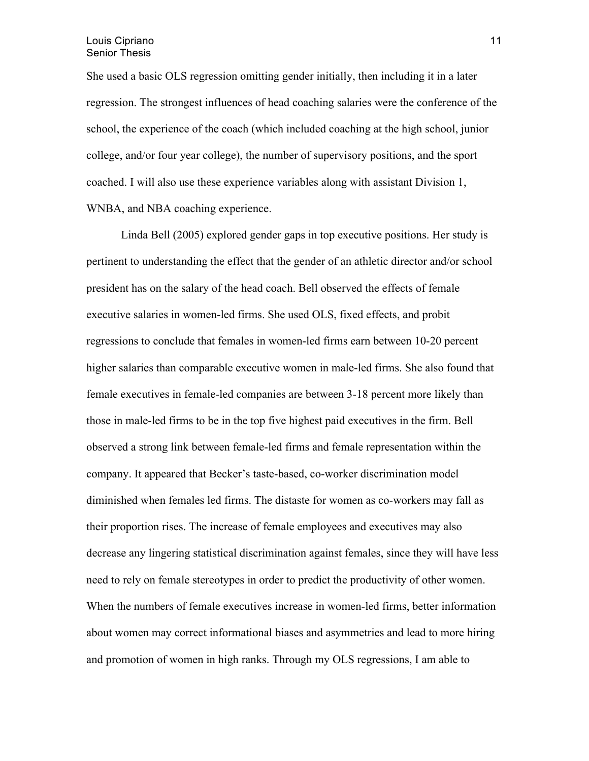She used a basic OLS regression omitting gender initially, then including it in a later regression. The strongest influences of head coaching salaries were the conference of the school, the experience of the coach (which included coaching at the high school, junior college, and/or four year college), the number of supervisory positions, and the sport coached. I will also use these experience variables along with assistant Division 1, WNBA, and NBA coaching experience.

Linda Bell (2005) explored gender gaps in top executive positions. Her study is pertinent to understanding the effect that the gender of an athletic director and/or school president has on the salary of the head coach. Bell observed the effects of female executive salaries in women-led firms. She used OLS, fixed effects, and probit regressions to conclude that females in women-led firms earn between 10-20 percent higher salaries than comparable executive women in male-led firms. She also found that female executives in female-led companies are between 3-18 percent more likely than those in male-led firms to be in the top five highest paid executives in the firm. Bell observed a strong link between female-led firms and female representation within the company. It appeared that Becker's taste-based, co-worker discrimination model diminished when females led firms. The distaste for women as co-workers may fall as their proportion rises. The increase of female employees and executives may also decrease any lingering statistical discrimination against females, since they will have less need to rely on female stereotypes in order to predict the productivity of other women. When the numbers of female executives increase in women-led firms, better information about women may correct informational biases and asymmetries and lead to more hiring and promotion of women in high ranks. Through my OLS regressions, I am able to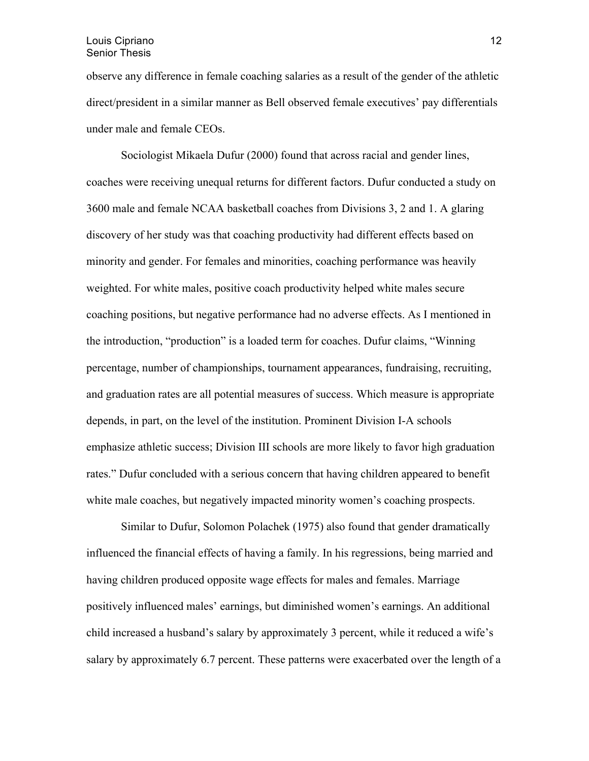observe any difference in female coaching salaries as a result of the gender of the athletic direct/president in a similar manner as Bell observed female executives' pay differentials under male and female CEOs.

Sociologist Mikaela Dufur (2000) found that across racial and gender lines, coaches were receiving unequal returns for different factors. Dufur conducted a study on 3600 male and female NCAA basketball coaches from Divisions 3, 2 and 1. A glaring discovery of her study was that coaching productivity had different effects based on minority and gender. For females and minorities, coaching performance was heavily weighted. For white males, positive coach productivity helped white males secure coaching positions, but negative performance had no adverse effects. As I mentioned in the introduction, "production" is a loaded term for coaches. Dufur claims, "Winning percentage, number of championships, tournament appearances, fundraising, recruiting, and graduation rates are all potential measures of success. Which measure is appropriate depends, in part, on the level of the institution. Prominent Division I-A schools emphasize athletic success; Division III schools are more likely to favor high graduation rates." Dufur concluded with a serious concern that having children appeared to benefit white male coaches, but negatively impacted minority women's coaching prospects.

Similar to Dufur, Solomon Polachek (1975) also found that gender dramatically influenced the financial effects of having a family. In his regressions, being married and having children produced opposite wage effects for males and females. Marriage positively influenced males' earnings, but diminished women's earnings. An additional child increased a husband's salary by approximately 3 percent, while it reduced a wife's salary by approximately 6.7 percent. These patterns were exacerbated over the length of a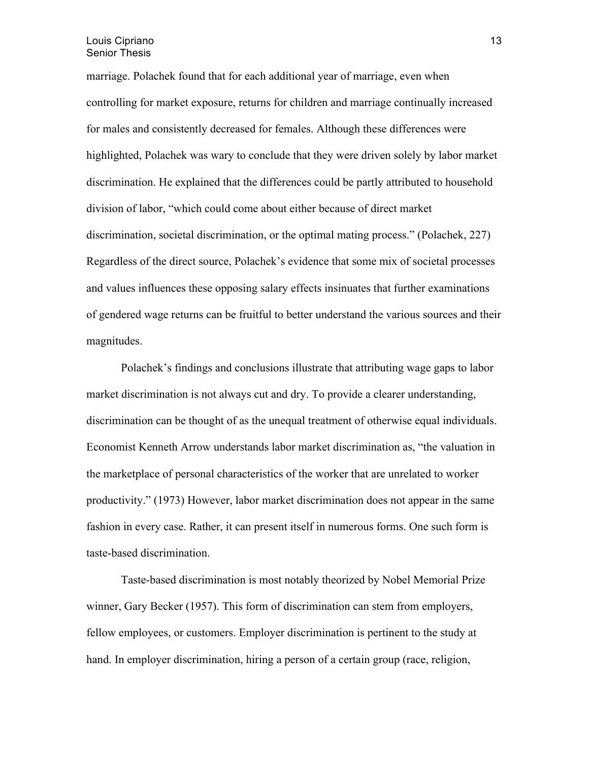marriage. Polachek found that for each additional year of marriage, even when controlling for market exposure, returns for children and marriage continually increased for males and consistently decreased for females. Although these differences were highlighted, Polachek was wary to conclude that they were driven solely by labor market discrimination. He explained that the differences could be partly attributed to household division of labor, "which could come about either because of direct market discrimination, societal discrimination, or the optimal mating process." (Polachek, 227) Regardless of the direct source, Polachek's evidence that some mix of societal processes and values influences these opposing salary effects insinuates that further examinations of gendered wage returns can be fruitful to better understand the various sources and their magnitudes.

Polachek's findings and conclusions illustrate that attributing wage gaps to labor market discrimination is not always cut and dry. To provide a clearer understanding, discrimination can be thought of as the unequal treatment of otherwise equal individuals. Economist Kenneth Arrow understands labor market discrimination as, "the valuation in the marketplace of personal characteristics of the worker that are unrelated to worker productivity." (1973) However, labor market discrimination does not appear in the same fashion in every case. Rather, it can present itself in numerous forms. One such form is taste-based discrimination.

Taste-based discrimination is most notably theorized by Nobel Memorial Prize winner, Gary Becker (1957). This form of discrimination can stem from employers, fellow employees, or customers. Employer discrimination is pertinent to the study at hand. In employer discrimination, hiring a person of a certain group (race, religion,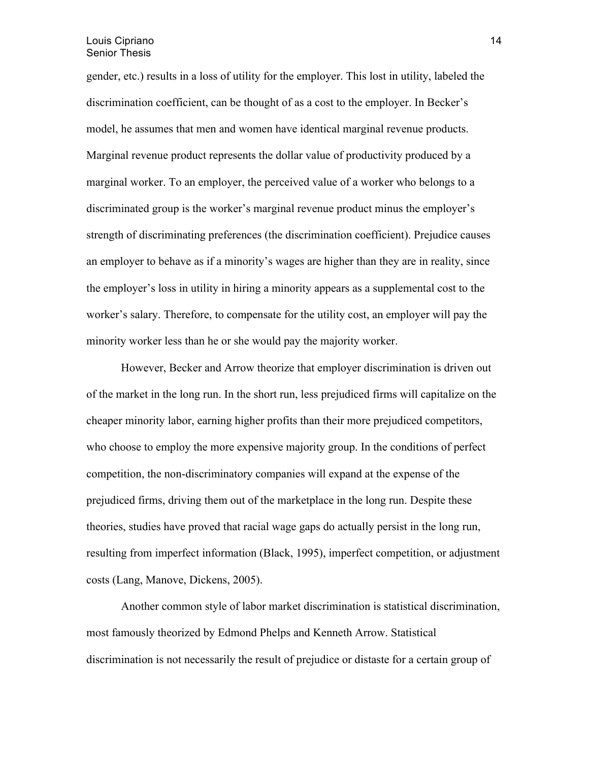gender, etc.) results in a loss of utility for the employer. This lost in utility, labeled the discrimination coefficient, can be thought of as a cost to the employer. In Becker's model, he assumes that men and women have identical marginal revenue products. Marginal revenue product represents the dollar value of productivity produced by a marginal worker. To an employer, the perceived value of a worker who belongs to a discriminated group is the worker's marginal revenue product minus the employer's strength of discriminating preferences (the discrimination coefficient). Prejudice causes an employer to behave as if a minority's wages are higher than they are in reality, since the employer's loss in utility in hiring a minority appears as a supplemental cost to the worker's salary. Therefore, to compensate for the utility cost, an employer will pay the minority worker less than he or she would pay the majority worker.

However, Becker and Arrow theorize that employer discrimination is driven out of the market in the long run. In the short run, less prejudiced firms will capitalize on the cheaper minority labor, earning higher profits than their more prejudiced competitors, who choose to employ the more expensive majority group. In the conditions of perfect competition, the non-discriminatory companies will expand at the expense of the prejudiced firms, driving them out of the marketplace in the long run. Despite these theories, studies have proved that racial wage gaps do actually persist in the long run, resulting from imperfect information (Black, 1995), imperfect competition, or adjustment costs (Lang, Manove, Dickens, 2005).

Another common style of labor market discrimination is statistical discrimination, most famously theorized by Edmond Phelps and Kenneth Arrow. Statistical discrimination is not necessarily the result of prejudice or distaste for a certain group of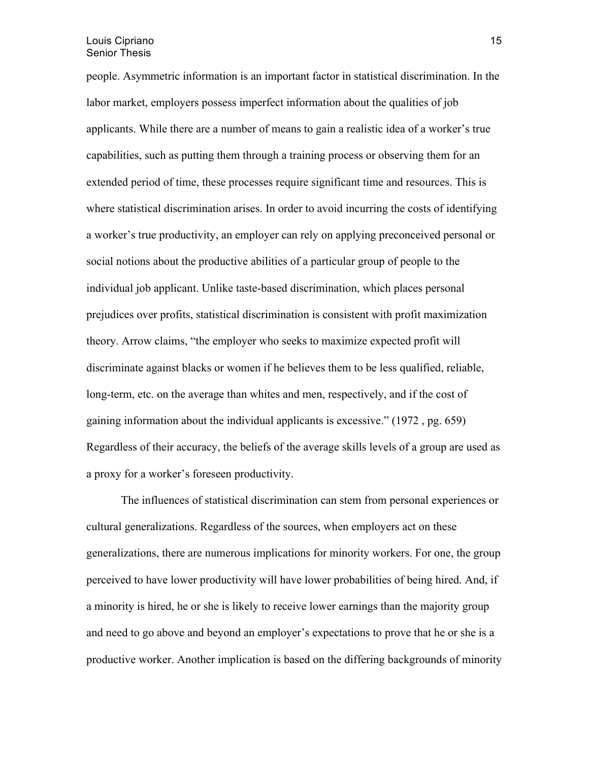people. Asymmetric information is an important factor in statistical discrimination. In the labor market, employers possess imperfect information about the qualities of job applicants. While there are a number of means to gain a realistic idea of a worker's true capabilities, such as putting them through a training process or observing them for an extended period of time, these processes require significant time and resources. This is where statistical discrimination arises. In order to avoid incurring the costs of identifying a worker's true productivity, an employer can rely on applying preconceived personal or social notions about the productive abilities of a particular group of people to the individual job applicant. Unlike taste-based discrimination, which places personal prejudices over profits, statistical discrimination is consistent with profit maximization theory. Arrow claims, "the employer who seeks to maximize expected profit will discriminate against blacks or women if he believes them to be less qualified, reliable, long-term, etc. on the average than whites and men, respectively, and if the cost of gaining information about the individual applicants is excessive." (1972 , pg. 659) Regardless of their accuracy, the beliefs of the average skills levels of a group are used as a proxy for a worker's foreseen productivity.

The influences of statistical discrimination can stem from personal experiences or cultural generalizations. Regardless of the sources, when employers act on these generalizations, there are numerous implications for minority workers. For one, the group perceived to have lower productivity will have lower probabilities of being hired. And, if a minority is hired, he or she is likely to receive lower earnings than the majority group and need to go above and beyond an employer's expectations to prove that he or she is a productive worker. Another implication is based on the differing backgrounds of minority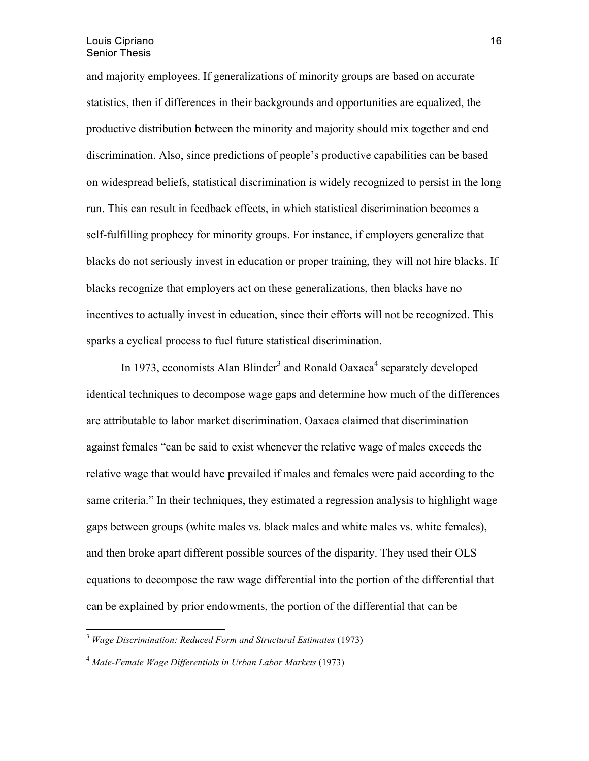and majority employees. If generalizations of minority groups are based on accurate statistics, then if differences in their backgrounds and opportunities are equalized, the productive distribution between the minority and majority should mix together and end discrimination. Also, since predictions of people's productive capabilities can be based on widespread beliefs, statistical discrimination is widely recognized to persist in the long run. This can result in feedback effects, in which statistical discrimination becomes a self-fulfilling prophecy for minority groups. For instance, if employers generalize that blacks do not seriously invest in education or proper training, they will not hire blacks. If blacks recognize that employers act on these generalizations, then blacks have no incentives to actually invest in education, since their efforts will not be recognized. This sparks a cyclical process to fuel future statistical discrimination.

In 1973, economists Alan Blinder<sup>3</sup> and Ronald Oaxaca<sup>4</sup> separately developed identical techniques to decompose wage gaps and determine how much of the differences are attributable to labor market discrimination. Oaxaca claimed that discrimination against females "can be said to exist whenever the relative wage of males exceeds the relative wage that would have prevailed if males and females were paid according to the same criteria." In their techniques, they estimated a regression analysis to highlight wage gaps between groups (white males vs. black males and white males vs. white females), and then broke apart different possible sources of the disparity. They used their OLS equations to decompose the raw wage differential into the portion of the differential that can be explained by prior endowments, the portion of the differential that can be

<sup>3</sup> *Wage Discrimination: Reduced Form and Structural Estimates* (1973)

<sup>4</sup> *Male-Female Wage Differentials in Urban Labor Markets* (1973)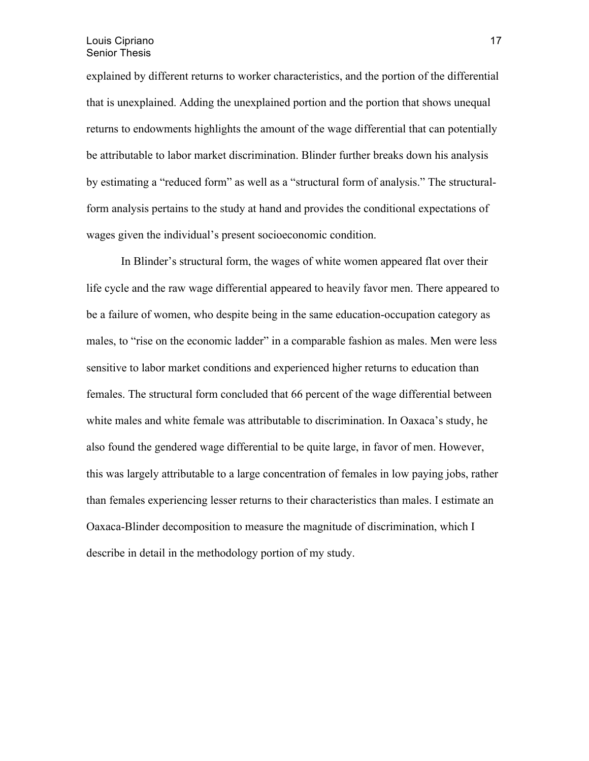explained by different returns to worker characteristics, and the portion of the differential that is unexplained. Adding the unexplained portion and the portion that shows unequal returns to endowments highlights the amount of the wage differential that can potentially be attributable to labor market discrimination. Blinder further breaks down his analysis by estimating a "reduced form" as well as a "structural form of analysis." The structuralform analysis pertains to the study at hand and provides the conditional expectations of wages given the individual's present socioeconomic condition.

In Blinder's structural form, the wages of white women appeared flat over their life cycle and the raw wage differential appeared to heavily favor men. There appeared to be a failure of women, who despite being in the same education-occupation category as males, to "rise on the economic ladder" in a comparable fashion as males. Men were less sensitive to labor market conditions and experienced higher returns to education than females. The structural form concluded that 66 percent of the wage differential between white males and white female was attributable to discrimination. In Oaxaca's study, he also found the gendered wage differential to be quite large, in favor of men. However, this was largely attributable to a large concentration of females in low paying jobs, rather than females experiencing lesser returns to their characteristics than males. I estimate an Oaxaca-Blinder decomposition to measure the magnitude of discrimination, which I describe in detail in the methodology portion of my study.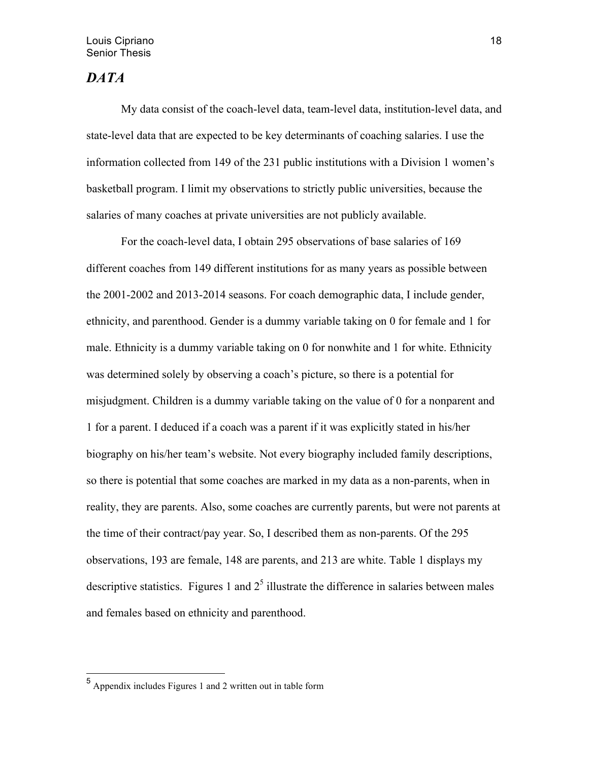## *DATA*

My data consist of the coach-level data, team-level data, institution-level data, and state-level data that are expected to be key determinants of coaching salaries. I use the information collected from 149 of the 231 public institutions with a Division 1 women's basketball program. I limit my observations to strictly public universities, because the salaries of many coaches at private universities are not publicly available.

 For the coach-level data, I obtain 295 observations of base salaries of 169 different coaches from 149 different institutions for as many years as possible between the 2001-2002 and 2013-2014 seasons. For coach demographic data, I include gender, ethnicity, and parenthood. Gender is a dummy variable taking on 0 for female and 1 for male. Ethnicity is a dummy variable taking on 0 for nonwhite and 1 for white. Ethnicity was determined solely by observing a coach's picture, so there is a potential for misjudgment. Children is a dummy variable taking on the value of 0 for a nonparent and 1 for a parent. I deduced if a coach was a parent if it was explicitly stated in his/her biography on his/her team's website. Not every biography included family descriptions, so there is potential that some coaches are marked in my data as a non-parents, when in reality, they are parents. Also, some coaches are currently parents, but were not parents at the time of their contract/pay year. So, I described them as non-parents. Of the 295 observations, 193 are female, 148 are parents, and 213 are white. Table 1 displays my descriptive statistics. Figures 1 and  $2<sup>5</sup>$  illustrate the difference in salaries between males and females based on ethnicity and parenthood.

 <sup>5</sup> Appendix includes Figures 1 and 2 written out in table form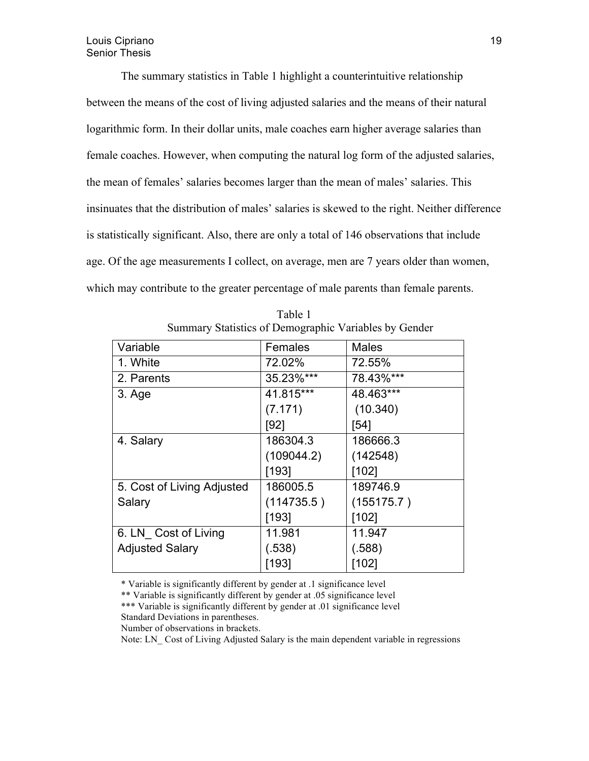The summary statistics in Table 1 highlight a counterintuitive relationship between the means of the cost of living adjusted salaries and the means of their natural logarithmic form. In their dollar units, male coaches earn higher average salaries than female coaches. However, when computing the natural log form of the adjusted salaries, the mean of females' salaries becomes larger than the mean of males' salaries. This insinuates that the distribution of males' salaries is skewed to the right. Neither difference is statistically significant. Also, there are only a total of 146 observations that include age. Of the age measurements I collect, on average, men are 7 years older than women, which may contribute to the greater percentage of male parents than female parents.

| Variable                   | Females    | <b>Males</b> |
|----------------------------|------------|--------------|
| 1. White                   | 72.02%     | 72.55%       |
| 2. Parents                 | 35.23%***  | 78.43%***    |
| 3. Age                     | 41.815***  | 48.463***    |
|                            | (7.171)    | (10.340)     |
|                            | [92]       | [54]         |
| 4. Salary                  | 186304.3   | 186666.3     |
|                            | (109044.2) | (142548)     |
|                            | [193]      | [102]        |
| 5. Cost of Living Adjusted | 186005.5   | 189746.9     |
| Salary                     | (114735.5) | (155175.7)   |
|                            | [193]      | [102]        |
| 6. LN Cost of Living       | 11.981     | 11.947       |
| <b>Adjusted Salary</b>     | (.538)     | (.588)       |
|                            | [193]      | [102]        |

Table 1 Summary Statistics of Demographic Variables by Gender

\* Variable is significantly different by gender at .1 significance level

\*\* Variable is significantly different by gender at .05 significance level \*\*\* Variable is significantly different by gender at .01 significance level Standard Deviations in parentheses.

Number of observations in brackets.

Note: LN Cost of Living Adjusted Salary is the main dependent variable in regressions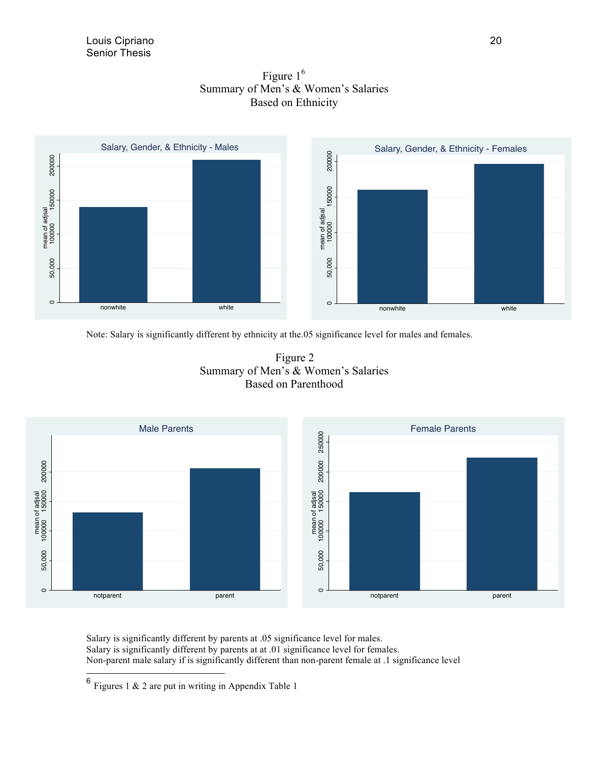



Note: Salary is significantly different by ethnicity at the.05 significance level for males and females.





Salary is significantly different by parents at .05 significance level for males. Salary is significantly different by parents at at .01 significance level for females. Non-parent male salary if is significantly different than non-parent female at .1 significance level

 $6$  Figures 1 & 2 are put in writing in Appendix Table 1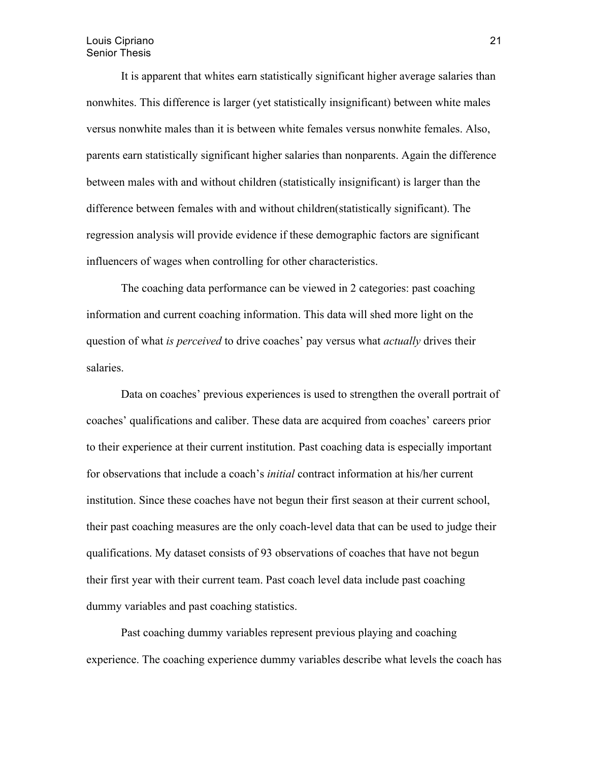#### Louis Cipriano Senior Thesis

It is apparent that whites earn statistically significant higher average salaries than nonwhites. This difference is larger (yet statistically insignificant) between white males versus nonwhite males than it is between white females versus nonwhite females. Also, parents earn statistically significant higher salaries than nonparents. Again the difference between males with and without children (statistically insignificant) is larger than the difference between females with and without children(statistically significant). The regression analysis will provide evidence if these demographic factors are significant influencers of wages when controlling for other characteristics.

The coaching data performance can be viewed in 2 categories: past coaching information and current coaching information. This data will shed more light on the question of what *is perceived* to drive coaches' pay versus what *actually* drives their salaries.

Data on coaches' previous experiences is used to strengthen the overall portrait of coaches' qualifications and caliber. These data are acquired from coaches' careers prior to their experience at their current institution. Past coaching data is especially important for observations that include a coach's *initial* contract information at his/her current institution. Since these coaches have not begun their first season at their current school, their past coaching measures are the only coach-level data that can be used to judge their qualifications. My dataset consists of 93 observations of coaches that have not begun their first year with their current team. Past coach level data include past coaching dummy variables and past coaching statistics.

Past coaching dummy variables represent previous playing and coaching experience. The coaching experience dummy variables describe what levels the coach has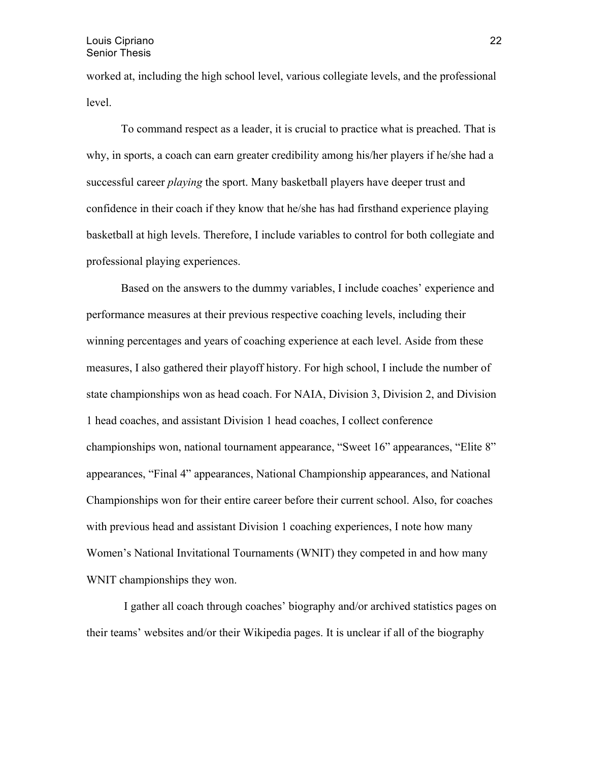#### Louis Cipriano Senior Thesis

worked at, including the high school level, various collegiate levels, and the professional level.

To command respect as a leader, it is crucial to practice what is preached. That is why, in sports, a coach can earn greater credibility among his/her players if he/she had a successful career *playing* the sport. Many basketball players have deeper trust and confidence in their coach if they know that he/she has had firsthand experience playing basketball at high levels. Therefore, I include variables to control for both collegiate and professional playing experiences.

Based on the answers to the dummy variables, I include coaches' experience and performance measures at their previous respective coaching levels, including their winning percentages and years of coaching experience at each level. Aside from these measures, I also gathered their playoff history. For high school, I include the number of state championships won as head coach. For NAIA, Division 3, Division 2, and Division 1 head coaches, and assistant Division 1 head coaches, I collect conference championships won, national tournament appearance, "Sweet 16" appearances, "Elite 8" appearances, "Final 4" appearances, National Championship appearances, and National Championships won for their entire career before their current school. Also, for coaches with previous head and assistant Division 1 coaching experiences, I note how many Women's National Invitational Tournaments (WNIT) they competed in and how many WNIT championships they won.

I gather all coach through coaches' biography and/or archived statistics pages on their teams' websites and/or their Wikipedia pages. It is unclear if all of the biography

22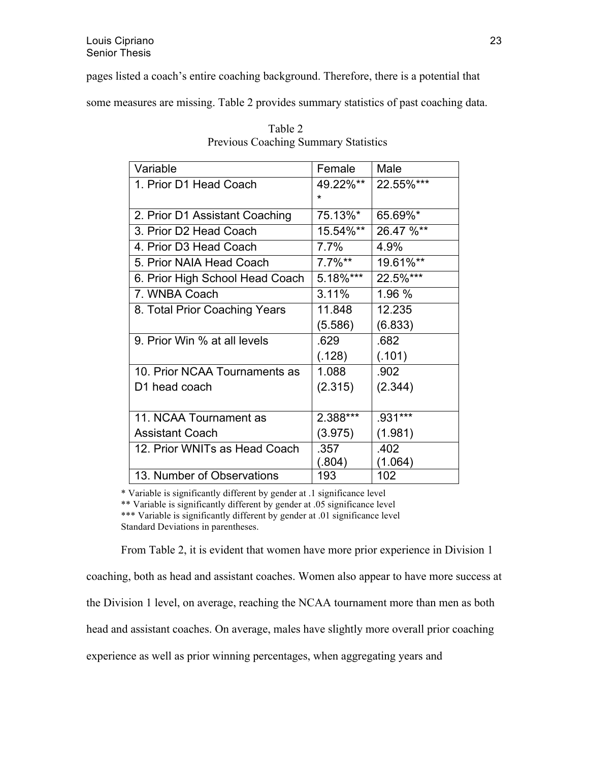pages listed a coach's entire coaching background. Therefore, there is a potential that

some measures are missing. Table 2 provides summary statistics of past coaching data.

| Variable                        | Female    | Male      |
|---------------------------------|-----------|-----------|
| 1. Prior D1 Head Coach          | 49.22%**  | 22.55%*** |
|                                 | $\star$   |           |
| 2. Prior D1 Assistant Coaching  | 75.13%*   | 65.69%*   |
| 3. Prior D2 Head Coach          | 15.54%**  | 26.47 %** |
| 4. Prior D3 Head Coach          | $7.7\%$   | 4.9%      |
| 5. Prior NAIA Head Coach        | $7.7\%**$ | 19.61%**  |
| 6. Prior High School Head Coach | 5.18%***  | 22.5%***  |
| 7. WNBA Coach                   | 3.11%     | 1.96 %    |
| 8. Total Prior Coaching Years   | 11.848    | 12.235    |
|                                 | (5.586)   | (6.833)   |
| 9. Prior Win % at all levels    | .629      | .682      |
|                                 | (.128)    | (.101)    |
| 10. Prior NCAA Tournaments as   | 1.088     | .902      |
| D1 head coach                   | (2.315)   | (2.344)   |
|                                 |           |           |
| 11. NCAA Tournament as          | 2.388***  | .931***   |
| <b>Assistant Coach</b>          | (3.975)   | (1.981)   |
| 12. Prior WNITs as Head Coach   | .357      | .402      |
|                                 | (.804)    | (1.064)   |
| 13. Number of Observations      | 193       | 102       |

|                                             | Table 2 |  |
|---------------------------------------------|---------|--|
| <b>Previous Coaching Summary Statistics</b> |         |  |

\* Variable is significantly different by gender at .1 significance level

\*\* Variable is significantly different by gender at .05 significance level

\*\*\* Variable is significantly different by gender at .01 significance level Standard Deviations in parentheses.

From Table 2, it is evident that women have more prior experience in Division 1

coaching, both as head and assistant coaches. Women also appear to have more success at

the Division 1 level, on average, reaching the NCAA tournament more than men as both

head and assistant coaches. On average, males have slightly more overall prior coaching

experience as well as prior winning percentages, when aggregating years and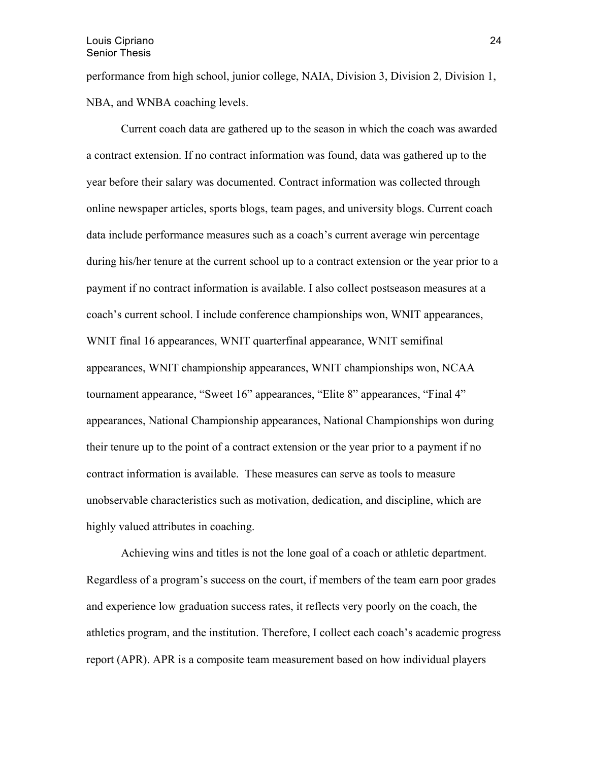performance from high school, junior college, NAIA, Division 3, Division 2, Division 1, NBA, and WNBA coaching levels.

Current coach data are gathered up to the season in which the coach was awarded a contract extension. If no contract information was found, data was gathered up to the year before their salary was documented. Contract information was collected through online newspaper articles, sports blogs, team pages, and university blogs. Current coach data include performance measures such as a coach's current average win percentage during his/her tenure at the current school up to a contract extension or the year prior to a payment if no contract information is available. I also collect postseason measures at a coach's current school. I include conference championships won, WNIT appearances, WNIT final 16 appearances, WNIT quarterfinal appearance, WNIT semifinal appearances, WNIT championship appearances, WNIT championships won, NCAA tournament appearance, "Sweet 16" appearances, "Elite 8" appearances, "Final 4" appearances, National Championship appearances, National Championships won during their tenure up to the point of a contract extension or the year prior to a payment if no contract information is available. These measures can serve as tools to measure unobservable characteristics such as motivation, dedication, and discipline, which are highly valued attributes in coaching.

Achieving wins and titles is not the lone goal of a coach or athletic department. Regardless of a program's success on the court, if members of the team earn poor grades and experience low graduation success rates, it reflects very poorly on the coach, the athletics program, and the institution. Therefore, I collect each coach's academic progress report (APR). APR is a composite team measurement based on how individual players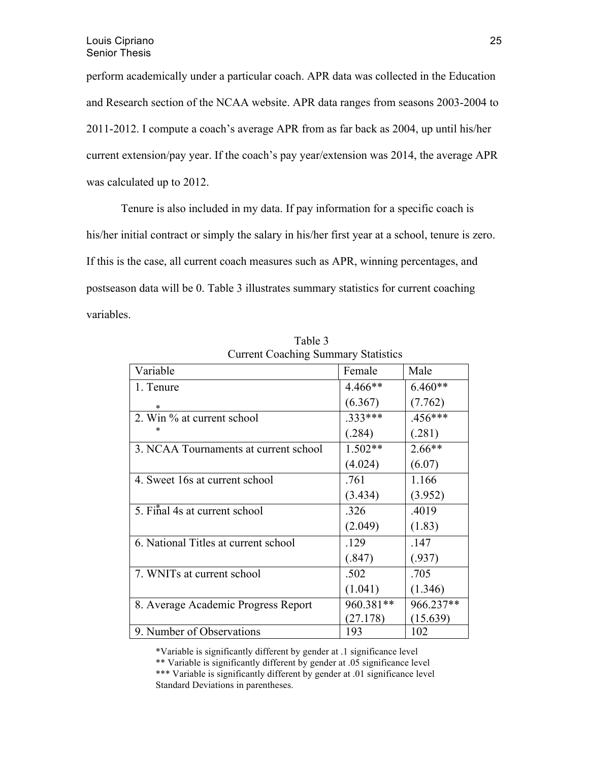perform academically under a particular coach. APR data was collected in the Education and Research section of the NCAA website. APR data ranges from seasons 2003-2004 to 2011-2012. I compute a coach's average APR from as far back as 2004, up until his/her current extension/pay year. If the coach's pay year/extension was 2014, the average APR was calculated up to 2012.

Tenure is also included in my data. If pay information for a specific coach is his/her initial contract or simply the salary in his/her first year at a school, tenure is zero. If this is the case, all current coach measures such as APR, winning percentages, and postseason data will be 0. Table 3 illustrates summary statistics for current coaching variables.

| $\cdots$                              |           |           |  |
|---------------------------------------|-----------|-----------|--|
| Variable                              | Female    | Male      |  |
| 1. Tenure                             | 4.466**   | $6.460**$ |  |
| *                                     | (6.367)   | (7.762)   |  |
| 2. Win % at current school            | .333***   | .456***   |  |
|                                       | (.284)    | (.281)    |  |
| 3. NCAA Tournaments at current school | $1.502**$ | $2.66**$  |  |
|                                       | (4.024)   | (6.07)    |  |
| 4. Sweet 16s at current school        | .761      | 1.166     |  |
|                                       | (3.434)   | (3.952)   |  |
| 5. Final 4s at current school         | .326      | .4019     |  |
|                                       | (2.049)   | (1.83)    |  |
| 6. National Titles at current school  | .129      | .147      |  |
|                                       | (.847)    | (.937)    |  |
| 7. WNITs at current school            | .502      | .705      |  |
|                                       | (1.041)   | (1.346)   |  |
| 8. Average Academic Progress Report   | 960.381** | 966.237** |  |
|                                       | (27.178)  | (15.639)  |  |
| 9. Number of Observations             | 193       | 102       |  |

Table 3 Current Coaching Summary Statistics

\*Variable is significantly different by gender at .1 significance level

\*\* Variable is significantly different by gender at .05 significance level \*\*\* Variable is significantly different by gender at .01 significance level Standard Deviations in parentheses.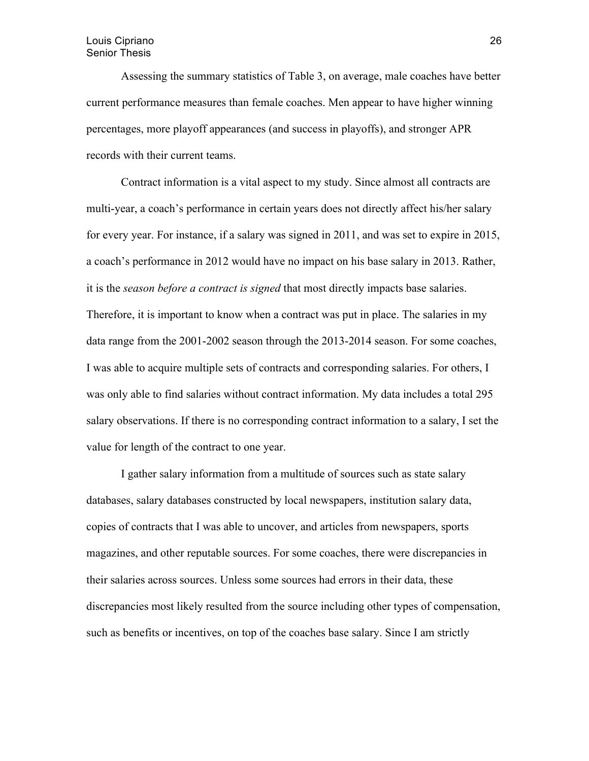#### Louis Cipriano Senior Thesis

Assessing the summary statistics of Table 3, on average, male coaches have better current performance measures than female coaches. Men appear to have higher winning percentages, more playoff appearances (and success in playoffs), and stronger APR records with their current teams.

 Contract information is a vital aspect to my study. Since almost all contracts are multi-year, a coach's performance in certain years does not directly affect his/her salary for every year. For instance, if a salary was signed in 2011, and was set to expire in 2015, a coach's performance in 2012 would have no impact on his base salary in 2013. Rather, it is the *season before a contract is signed* that most directly impacts base salaries. Therefore, it is important to know when a contract was put in place. The salaries in my data range from the 2001-2002 season through the 2013-2014 season. For some coaches, I was able to acquire multiple sets of contracts and corresponding salaries. For others, I was only able to find salaries without contract information. My data includes a total 295 salary observations. If there is no corresponding contract information to a salary, I set the value for length of the contract to one year.

I gather salary information from a multitude of sources such as state salary databases, salary databases constructed by local newspapers, institution salary data, copies of contracts that I was able to uncover, and articles from newspapers, sports magazines, and other reputable sources. For some coaches, there were discrepancies in their salaries across sources. Unless some sources had errors in their data, these discrepancies most likely resulted from the source including other types of compensation, such as benefits or incentives, on top of the coaches base salary. Since I am strictly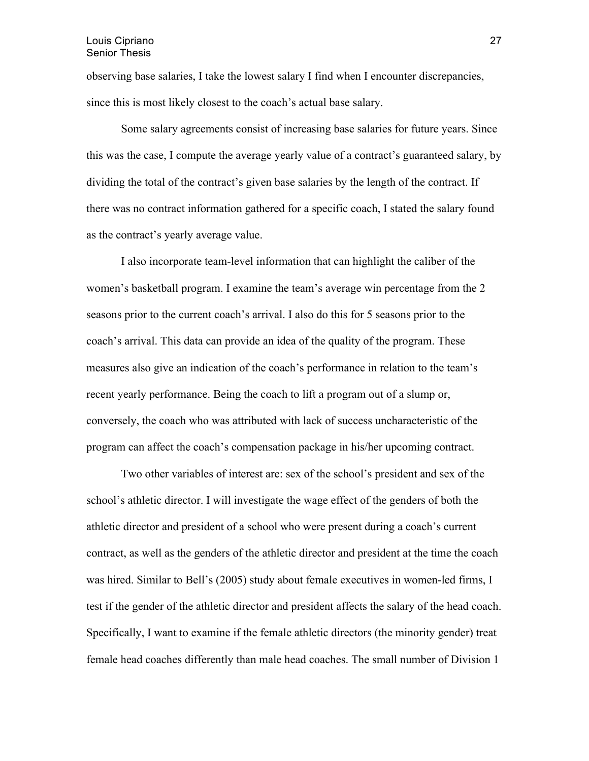observing base salaries, I take the lowest salary I find when I encounter discrepancies, since this is most likely closest to the coach's actual base salary.

Some salary agreements consist of increasing base salaries for future years. Since this was the case, I compute the average yearly value of a contract's guaranteed salary, by dividing the total of the contract's given base salaries by the length of the contract. If there was no contract information gathered for a specific coach, I stated the salary found as the contract's yearly average value.

I also incorporate team-level information that can highlight the caliber of the women's basketball program. I examine the team's average win percentage from the 2 seasons prior to the current coach's arrival. I also do this for 5 seasons prior to the coach's arrival. This data can provide an idea of the quality of the program. These measures also give an indication of the coach's performance in relation to the team's recent yearly performance. Being the coach to lift a program out of a slump or, conversely, the coach who was attributed with lack of success uncharacteristic of the program can affect the coach's compensation package in his/her upcoming contract.

Two other variables of interest are: sex of the school's president and sex of the school's athletic director. I will investigate the wage effect of the genders of both the athletic director and president of a school who were present during a coach's current contract, as well as the genders of the athletic director and president at the time the coach was hired. Similar to Bell's (2005) study about female executives in women-led firms, I test if the gender of the athletic director and president affects the salary of the head coach. Specifically, I want to examine if the female athletic directors (the minority gender) treat female head coaches differently than male head coaches. The small number of Division 1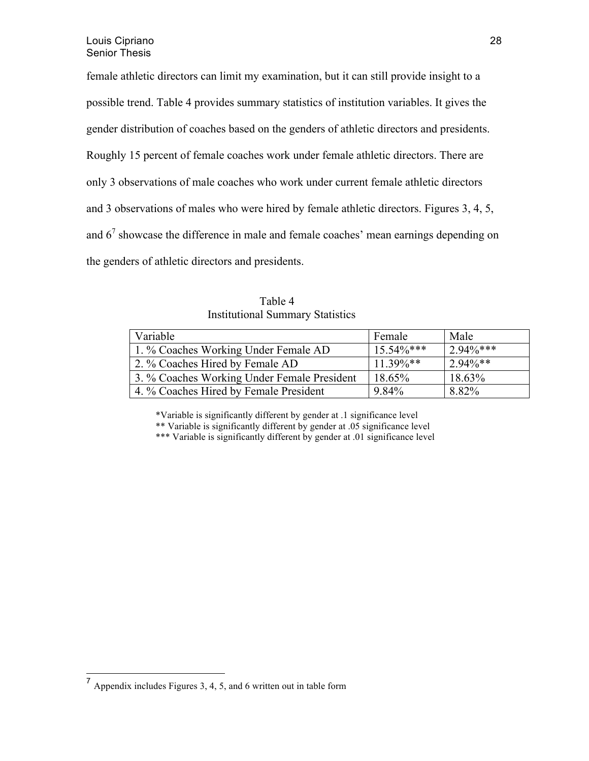female athletic directors can limit my examination, but it can still provide insight to a possible trend. Table 4 provides summary statistics of institution variables. It gives the gender distribution of coaches based on the genders of athletic directors and presidents. Roughly 15 percent of female coaches work under female athletic directors. There are only 3 observations of male coaches who work under current female athletic directors and 3 observations of males who were hired by female athletic directors. Figures 3, 4, 5, and  $6<sup>7</sup>$  showcase the difference in male and female coaches' mean earnings depending on the genders of athletic directors and presidents.

Table 4 Institutional Summary Statistics

| Variable                                    | Female        | Male        |
|---------------------------------------------|---------------|-------------|
| 1. % Coaches Working Under Female AD        | $15.54\%$ *** | $2.94\%***$ |
| 2. % Coaches Hired by Female AD             | $11.39\%$ **  | $2.94\%**$  |
| 3. % Coaches Working Under Female President | 18.65%        | 18.63%      |
| 4. % Coaches Hired by Female President      | 9.84%         | 8.82%       |

\*Variable is significantly different by gender at .1 significance level \*\* Variable is significantly different by gender at .05 significance level

\*\*\* Variable is significantly different by gender at .01 significance level

 <sup>7</sup> Appendix includes Figures 3, 4, 5, and 6 written out in table form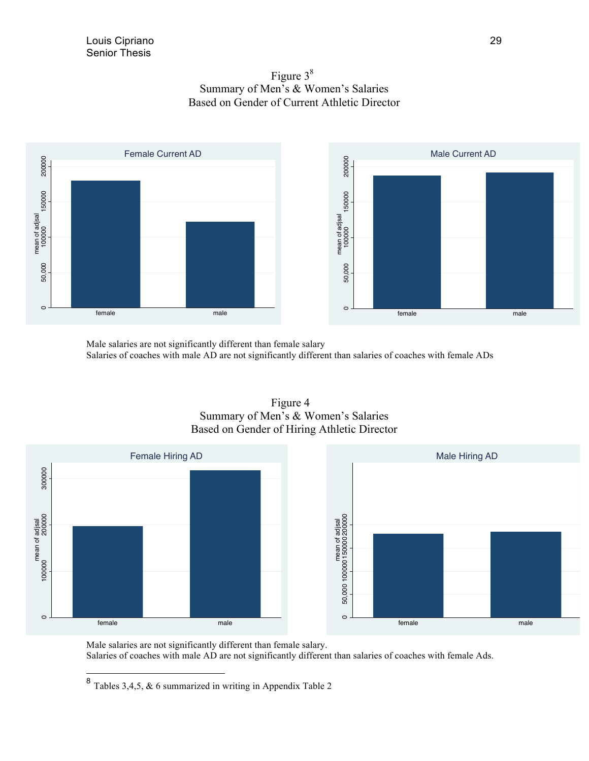



Male salaries are not significantly different than female salary Salaries of coaches with male AD are not significantly different than salaries of coaches with female ADs

> Figure 4 Summary of Men's & Women's Salaries



Male salaries are not significantly different than female salary.

Salaries of coaches with male AD are not significantly different than salaries of coaches with female Ads.

 <sup>8</sup> Tables 3,4,5, & 6 summarized in writing in Appendix Table 2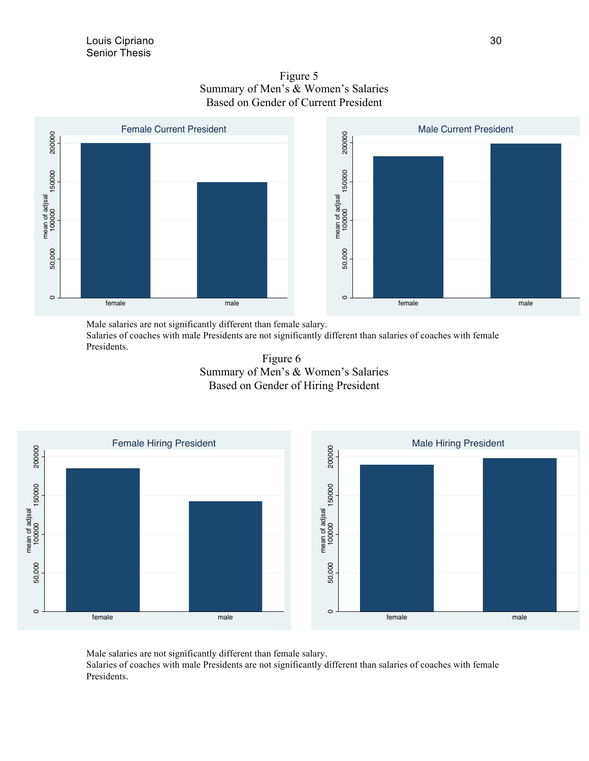

 Figure 5 Summary of Men's & Women's Salaries Based on Gender of Current President

Male salaries are not significantly different than female salary.

Salaries of coaches with male Presidents are not significantly different than salaries of coaches with female Presidents.





Male salaries are not significantly different than female salary. Salaries of coaches with male Presidents are not significantly different than salaries of coaches with female Presidents.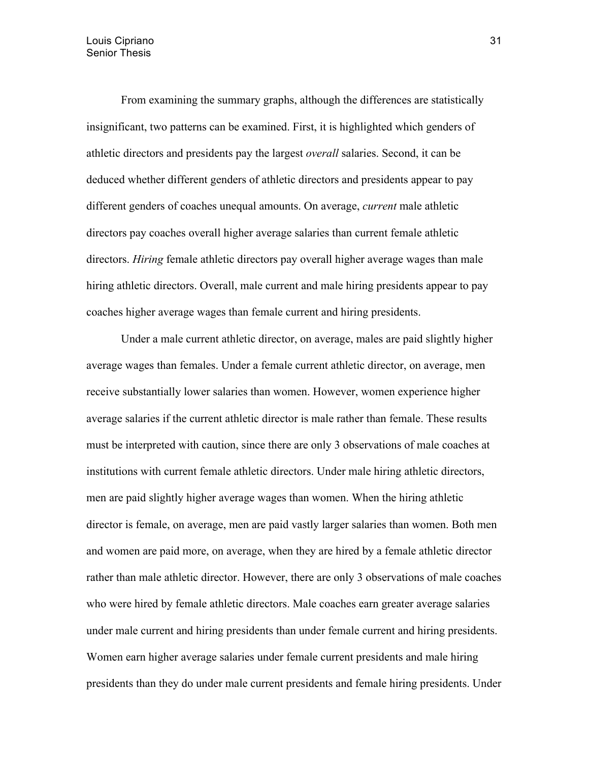From examining the summary graphs, although the differences are statistically insignificant, two patterns can be examined. First, it is highlighted which genders of athletic directors and presidents pay the largest *overall* salaries. Second, it can be deduced whether different genders of athletic directors and presidents appear to pay different genders of coaches unequal amounts. On average, *current* male athletic directors pay coaches overall higher average salaries than current female athletic directors. *Hiring* female athletic directors pay overall higher average wages than male hiring athletic directors. Overall, male current and male hiring presidents appear to pay coaches higher average wages than female current and hiring presidents.

Under a male current athletic director, on average, males are paid slightly higher average wages than females. Under a female current athletic director, on average, men receive substantially lower salaries than women. However, women experience higher average salaries if the current athletic director is male rather than female. These results must be interpreted with caution, since there are only 3 observations of male coaches at institutions with current female athletic directors. Under male hiring athletic directors, men are paid slightly higher average wages than women. When the hiring athletic director is female, on average, men are paid vastly larger salaries than women. Both men and women are paid more, on average, when they are hired by a female athletic director rather than male athletic director. However, there are only 3 observations of male coaches who were hired by female athletic directors. Male coaches earn greater average salaries under male current and hiring presidents than under female current and hiring presidents. Women earn higher average salaries under female current presidents and male hiring presidents than they do under male current presidents and female hiring presidents. Under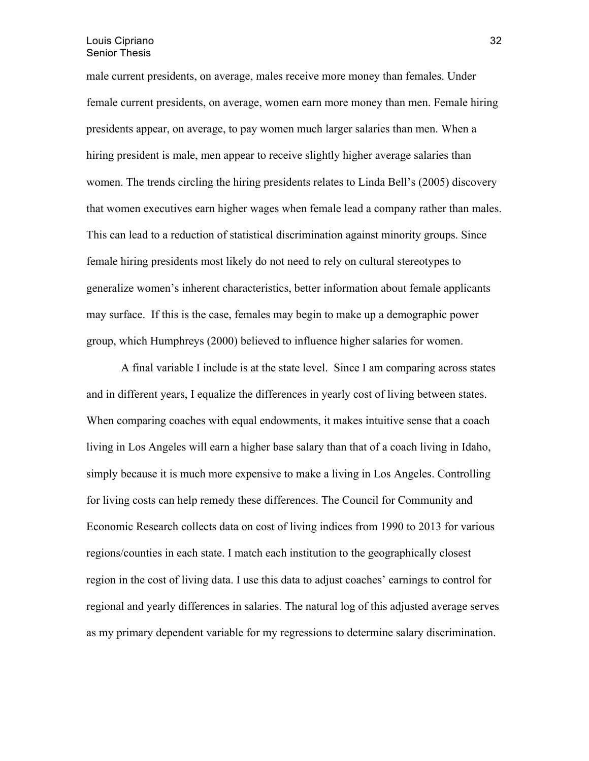male current presidents, on average, males receive more money than females. Under female current presidents, on average, women earn more money than men. Female hiring presidents appear, on average, to pay women much larger salaries than men. When a hiring president is male, men appear to receive slightly higher average salaries than women. The trends circling the hiring presidents relates to Linda Bell's (2005) discovery that women executives earn higher wages when female lead a company rather than males. This can lead to a reduction of statistical discrimination against minority groups. Since female hiring presidents most likely do not need to rely on cultural stereotypes to generalize women's inherent characteristics, better information about female applicants may surface. If this is the case, females may begin to make up a demographic power group, which Humphreys (2000) believed to influence higher salaries for women.

A final variable I include is at the state level. Since I am comparing across states and in different years, I equalize the differences in yearly cost of living between states. When comparing coaches with equal endowments, it makes intuitive sense that a coach living in Los Angeles will earn a higher base salary than that of a coach living in Idaho, simply because it is much more expensive to make a living in Los Angeles. Controlling for living costs can help remedy these differences. The Council for Community and Economic Research collects data on cost of living indices from 1990 to 2013 for various regions/counties in each state. I match each institution to the geographically closest region in the cost of living data. I use this data to adjust coaches' earnings to control for regional and yearly differences in salaries. The natural log of this adjusted average serves as my primary dependent variable for my regressions to determine salary discrimination.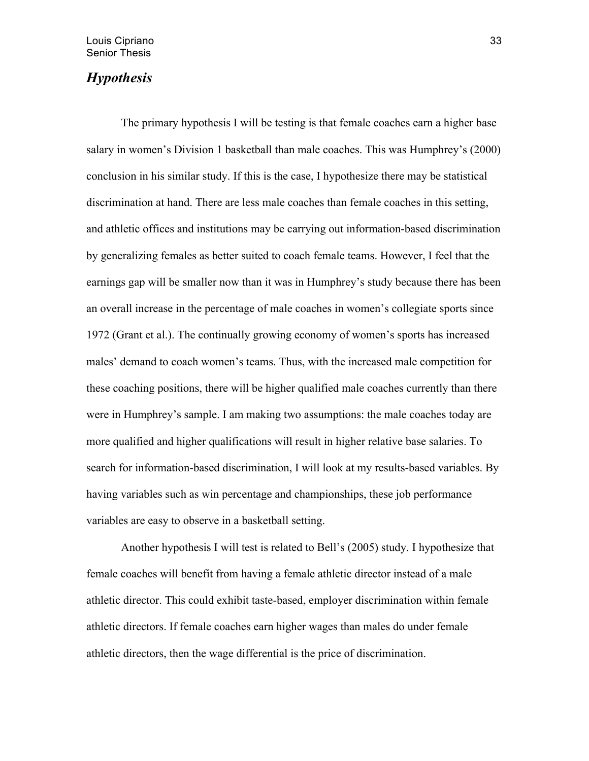## *Hypothesis*

The primary hypothesis I will be testing is that female coaches earn a higher base salary in women's Division 1 basketball than male coaches. This was Humphrey's (2000) conclusion in his similar study. If this is the case, I hypothesize there may be statistical discrimination at hand. There are less male coaches than female coaches in this setting, and athletic offices and institutions may be carrying out information-based discrimination by generalizing females as better suited to coach female teams. However, I feel that the earnings gap will be smaller now than it was in Humphrey's study because there has been an overall increase in the percentage of male coaches in women's collegiate sports since 1972 (Grant et al.). The continually growing economy of women's sports has increased males' demand to coach women's teams. Thus, with the increased male competition for these coaching positions, there will be higher qualified male coaches currently than there were in Humphrey's sample. I am making two assumptions: the male coaches today are more qualified and higher qualifications will result in higher relative base salaries. To search for information-based discrimination, I will look at my results-based variables. By having variables such as win percentage and championships, these job performance variables are easy to observe in a basketball setting.

 Another hypothesis I will test is related to Bell's (2005) study. I hypothesize that female coaches will benefit from having a female athletic director instead of a male athletic director. This could exhibit taste-based, employer discrimination within female athletic directors. If female coaches earn higher wages than males do under female athletic directors, then the wage differential is the price of discrimination.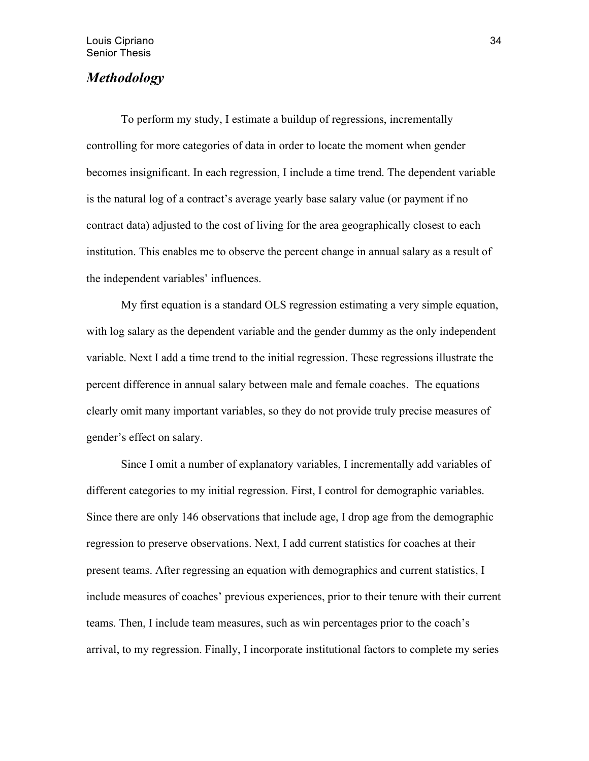## *Methodology*

 To perform my study, I estimate a buildup of regressions, incrementally controlling for more categories of data in order to locate the moment when gender becomes insignificant. In each regression, I include a time trend. The dependent variable is the natural log of a contract's average yearly base salary value (or payment if no contract data) adjusted to the cost of living for the area geographically closest to each institution. This enables me to observe the percent change in annual salary as a result of the independent variables' influences.

My first equation is a standard OLS regression estimating a very simple equation, with log salary as the dependent variable and the gender dummy as the only independent variable. Next I add a time trend to the initial regression. These regressions illustrate the percent difference in annual salary between male and female coaches. The equations clearly omit many important variables, so they do not provide truly precise measures of gender's effect on salary.

 Since I omit a number of explanatory variables, I incrementally add variables of different categories to my initial regression. First, I control for demographic variables. Since there are only 146 observations that include age, I drop age from the demographic regression to preserve observations. Next, I add current statistics for coaches at their present teams. After regressing an equation with demographics and current statistics, I include measures of coaches' previous experiences, prior to their tenure with their current teams. Then, I include team measures, such as win percentages prior to the coach's arrival, to my regression. Finally, I incorporate institutional factors to complete my series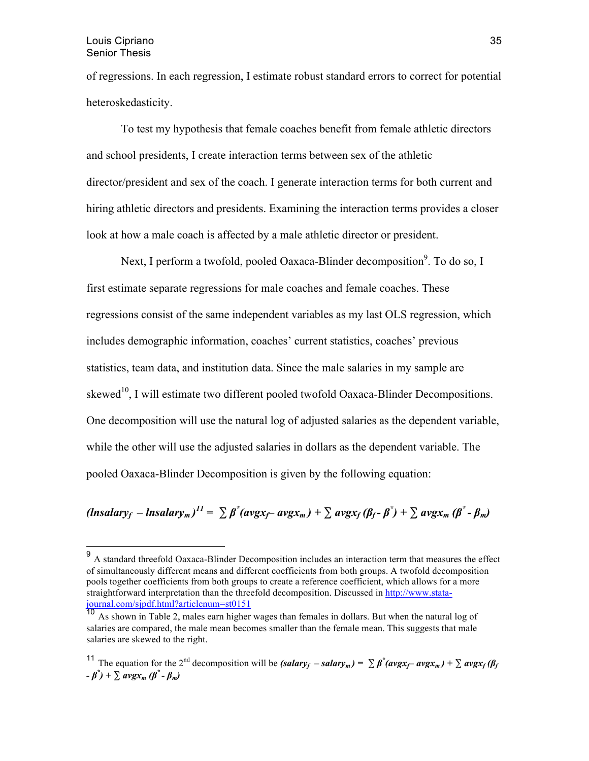#### Louis Cipriano Senior Thesis

of regressions. In each regression, I estimate robust standard errors to correct for potential heteroskedasticity.

To test my hypothesis that female coaches benefit from female athletic directors and school presidents, I create interaction terms between sex of the athletic director/president and sex of the coach. I generate interaction terms for both current and hiring athletic directors and presidents. Examining the interaction terms provides a closer look at how a male coach is affected by a male athletic director or president.

Next, I perform a twofold, pooled Oaxaca-Blinder decomposition<sup>9</sup>. To do so, I first estimate separate regressions for male coaches and female coaches. These regressions consist of the same independent variables as my last OLS regression, which includes demographic information, coaches' current statistics, coaches' previous statistics, team data, and institution data. Since the male salaries in my sample are skewed<sup>10</sup>, I will estimate two different pooled twofold Oaxaca-Blinder Decompositions. One decomposition will use the natural log of adjusted salaries as the dependent variable, while the other will use the adjusted salaries in dollars as the dependent variable. The pooled Oaxaca-Blinder Decomposition is given by the following equation:

## (lnsalary<sub>f</sub> – lnsalary<sub>m</sub>)<sup>11</sup> =  $\sum \beta^*(avgx_{f} - avgx_m) + \sum avgx_f(\beta_f - \beta^*) + \sum avgx_m(\beta^* - \beta_m)$

 <sup>9</sup> A standard threefold Oaxaca-Blinder Decomposition includes an interaction term that measures the effect of simultaneously different means and different coefficients from both groups. A twofold decomposition pools together coefficients from both groups to create a reference coefficient, which allows for a more straightforward interpretation than the threefold decomposition. Discussed in http://www.statajournal.com/sjpdf.html?articlenum=st0151

<sup>&</sup>lt;sup>10</sup> As shown in Table 2, males earn higher wages than females in dollars. But when the natural log of salaries are compared, the male mean becomes smaller than the female mean. This suggests that male salaries are skewed to the right.

<sup>&</sup>lt;sup>11</sup> The equation for the 2<sup>nd</sup> decomposition will be *(salary<sub>f</sub>* – *salary<sub>m</sub>)* =  $\sum \beta^*(avgx_f - avgx_m) + \sum avgx_f(\beta_f)$ *- β\* ) +* ∑ *avgxm (β\* - βm)*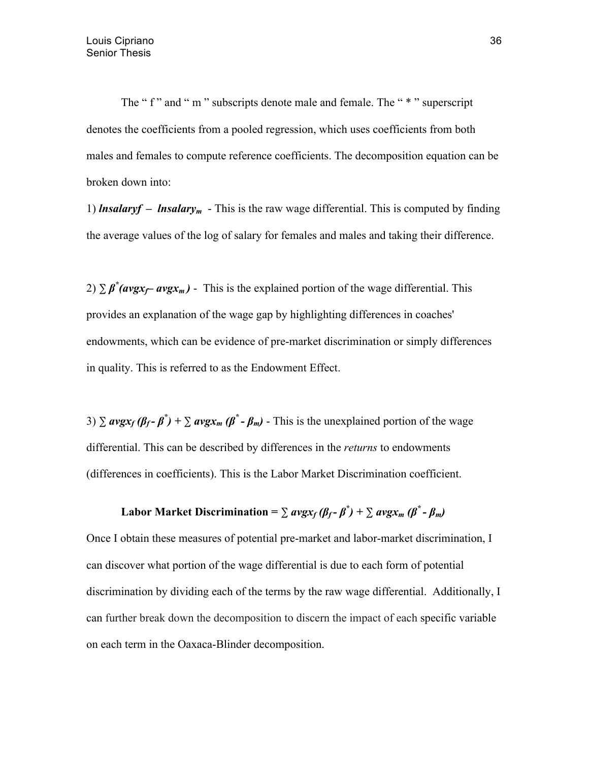The " f " and " m " subscripts denote male and female. The " \* " superscript denotes the coefficients from a pooled regression, which uses coefficients from both males and females to compute reference coefficients. The decomposition equation can be broken down into:

1) *lnsalaryf* – *lnsalary<sub>m</sub>* - This is the raw wage differential. This is computed by finding the average values of the log of salary for females and males and taking their difference.

2)  $\sum \beta^* (avgx_f - avgx_m)$  - This is the explained portion of the wage differential. This provides an explanation of the wage gap by highlighting differences in coaches' endowments, which can be evidence of pre-market discrimination or simply differences in quality. This is referred to as the Endowment Effect.

3)  $\sum$   $avgx_f(\beta_f - \beta^*) + \sum avgx_m(\beta^* - \beta_m)$  - This is the unexplained portion of the wage differential. This can be described by differences in the *returns* to endowments (differences in coefficients). This is the Labor Market Discrimination coefficient.

## Labor Market Discrimination =  $\sum avgx_f(\beta_f - \beta^*) + \sum avgx_m(\beta^* - \beta_m)$

Once I obtain these measures of potential pre-market and labor-market discrimination, I can discover what portion of the wage differential is due to each form of potential discrimination by dividing each of the terms by the raw wage differential. Additionally, I can further break down the decomposition to discern the impact of each specific variable on each term in the Oaxaca-Blinder decomposition.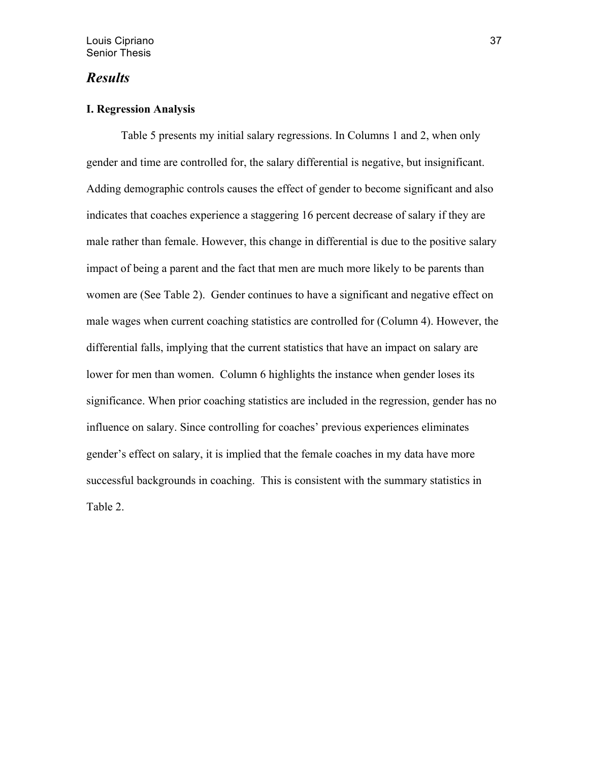## *Results*

## **I. Regression Analysis**

Table 5 presents my initial salary regressions. In Columns 1 and 2, when only gender and time are controlled for, the salary differential is negative, but insignificant. Adding demographic controls causes the effect of gender to become significant and also indicates that coaches experience a staggering 16 percent decrease of salary if they are male rather than female. However, this change in differential is due to the positive salary impact of being a parent and the fact that men are much more likely to be parents than women are (See Table 2). Gender continues to have a significant and negative effect on male wages when current coaching statistics are controlled for (Column 4). However, the differential falls, implying that the current statistics that have an impact on salary are lower for men than women. Column 6 highlights the instance when gender loses its significance. When prior coaching statistics are included in the regression, gender has no influence on salary. Since controlling for coaches' previous experiences eliminates gender's effect on salary, it is implied that the female coaches in my data have more successful backgrounds in coaching. This is consistent with the summary statistics in Table 2.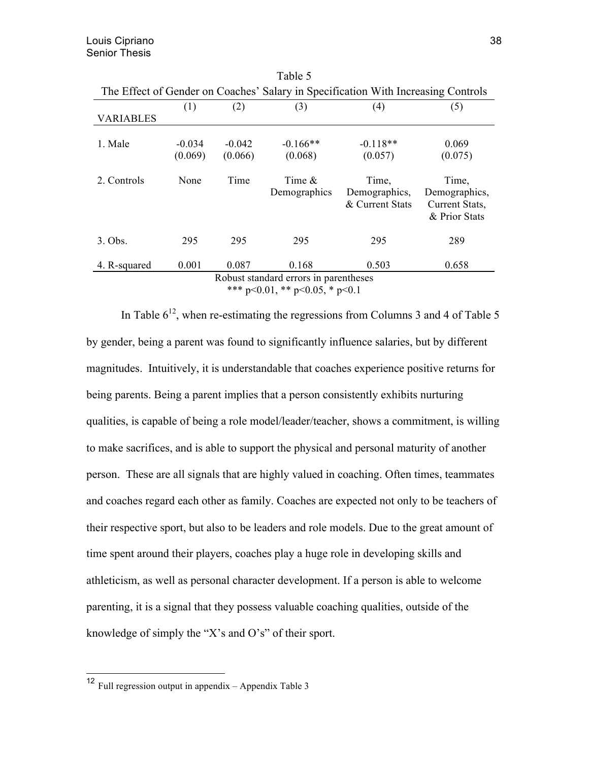| The Effect of Gender on Coaches' Salary in Specification With Increasing Controls |                     |                     |                           |                                           |                                                           |
|-----------------------------------------------------------------------------------|---------------------|---------------------|---------------------------|-------------------------------------------|-----------------------------------------------------------|
|                                                                                   | (1)                 | (2)                 | (3)                       | (4)                                       | (5)                                                       |
| <b>VARIABLES</b>                                                                  |                     |                     |                           |                                           |                                                           |
| 1. Male                                                                           | $-0.034$<br>(0.069) | $-0.042$<br>(0.066) | $-0.166**$<br>(0.068)     | $-0.118**$<br>(0.057)                     | 0.069<br>(0.075)                                          |
| 2. Controls                                                                       | None                | Time                | Time $\&$<br>Demographics | Time,<br>Demographics,<br>& Current Stats | Time,<br>Demographics,<br>Current Stats,<br>& Prior Stats |
| $3.$ Obs.                                                                         | 295                 | 295                 | 295                       | 295                                       | 289                                                       |
| 4. R-squared                                                                      | 0.001               | 0.087               | 0.168                     | 0.503                                     | 0.658                                                     |
| Robust standard errors in parentheses                                             |                     |                     |                           |                                           |                                                           |
| *** $p<0.01$ , ** $p<0.05$ , * $p<0.1$                                            |                     |                     |                           |                                           |                                                           |

Table 5

In Table  $6^{12}$ , when re-estimating the regressions from Columns 3 and 4 of Table 5 by gender, being a parent was found to significantly influence salaries, but by different magnitudes. Intuitively, it is understandable that coaches experience positive returns for being parents. Being a parent implies that a person consistently exhibits nurturing qualities, is capable of being a role model/leader/teacher, shows a commitment, is willing to make sacrifices, and is able to support the physical and personal maturity of another person. These are all signals that are highly valued in coaching. Often times, teammates and coaches regard each other as family. Coaches are expected not only to be teachers of their respective sport, but also to be leaders and role models. Due to the great amount of time spent around their players, coaches play a huge role in developing skills and athleticism, as well as personal character development. If a person is able to welcome parenting, it is a signal that they possess valuable coaching qualities, outside of the knowledge of simply the "X's and O's" of their sport.

 <sup>12</sup> Full regression output in appendix – Appendix Table 3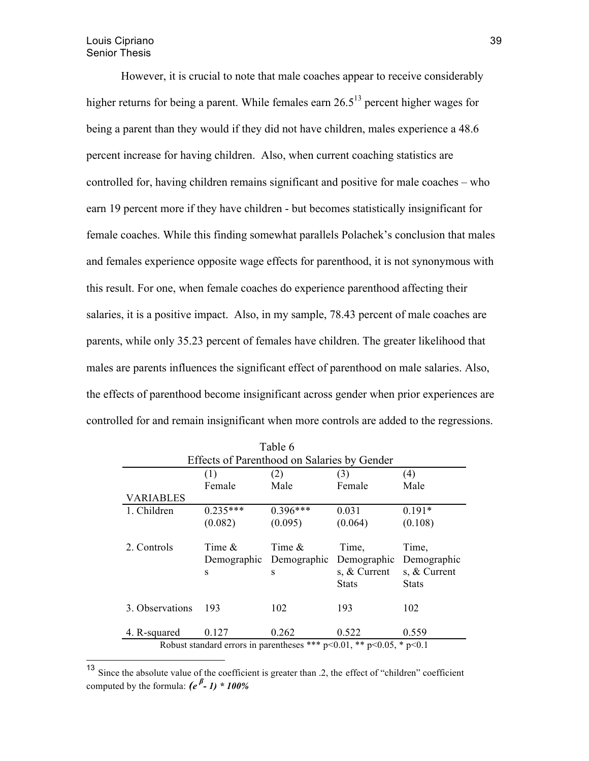However, it is crucial to note that male coaches appear to receive considerably higher returns for being a parent. While females earn  $26.5<sup>13</sup>$  percent higher wages for being a parent than they would if they did not have children, males experience a 48.6 percent increase for having children. Also, when current coaching statistics are controlled for, having children remains significant and positive for male coaches – who earn 19 percent more if they have children - but becomes statistically insignificant for female coaches. While this finding somewhat parallels Polachek's conclusion that males and females experience opposite wage effects for parenthood, it is not synonymous with this result. For one, when female coaches do experience parenthood affecting their salaries, it is a positive impact. Also, in my sample, 78.43 percent of male coaches are parents, while only 35.23 percent of females have children. The greater likelihood that males are parents influences the significant effect of parenthood on male salaries. Also, the effects of parenthood become insignificant across gender when prior experiences are controlled for and remain insignificant when more controls are added to the regressions.

| (1)<br>Female<br>$0.235***$ | Effects of Parenthood on Salaries by Gender<br>(2)<br>Male | (3)<br>Female  | (4)<br>Male    |
|-----------------------------|------------------------------------------------------------|----------------|----------------|
|                             |                                                            |                |                |
|                             |                                                            |                |                |
|                             |                                                            |                |                |
|                             |                                                            |                |                |
|                             | $0.396***$                                                 | 0.031          | $0.191*$       |
| (0.082)                     | (0.095)                                                    | (0.064)        | (0.108)        |
| Time $\&$                   | Time $\&$                                                  | Time,          | Time,          |
| Demographic                 | Demographic                                                | Demographic    | Demographic    |
| S                           | S                                                          | s, $&$ Current | s, $&$ Current |
|                             |                                                            | <b>Stats</b>   | <b>Stats</b>   |
| 193                         | 102                                                        | 193            | 102            |
|                             | 0.262                                                      | 0.522          | 0.559          |
|                             | 0.127                                                      |                |                |

| <sup>13</sup> Since the absolute value of the coefficient is greater than .2, the effect of "children" coefficient |  |  |  |
|--------------------------------------------------------------------------------------------------------------------|--|--|--|
| computed by the formula: $(e^{\beta} - 1) * 100\%$                                                                 |  |  |  |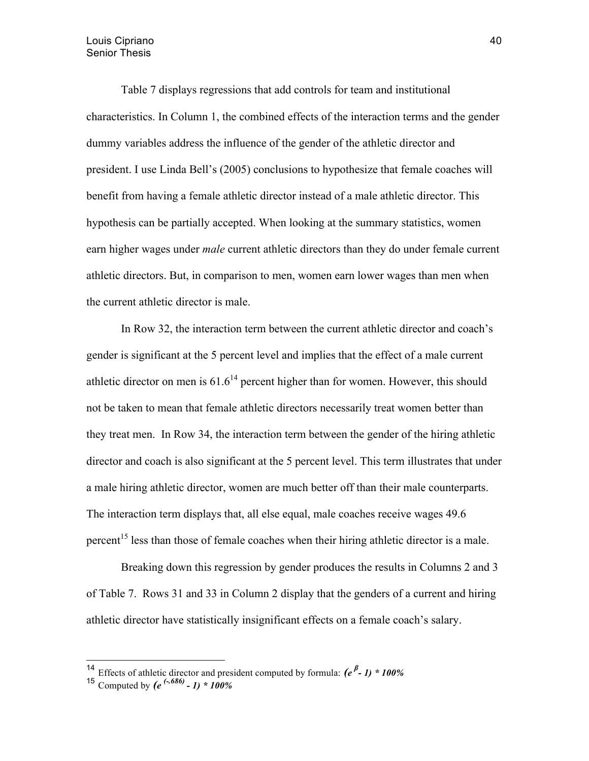Table 7 displays regressions that add controls for team and institutional characteristics. In Column 1, the combined effects of the interaction terms and the gender dummy variables address the influence of the gender of the athletic director and president. I use Linda Bell's (2005) conclusions to hypothesize that female coaches will benefit from having a female athletic director instead of a male athletic director. This hypothesis can be partially accepted. When looking at the summary statistics, women earn higher wages under *male* current athletic directors than they do under female current athletic directors. But, in comparison to men, women earn lower wages than men when the current athletic director is male.

In Row 32, the interaction term between the current athletic director and coach's gender is significant at the 5 percent level and implies that the effect of a male current athletic director on men is  $61.6^{14}$  percent higher than for women. However, this should not be taken to mean that female athletic directors necessarily treat women better than they treat men. In Row 34, the interaction term between the gender of the hiring athletic director and coach is also significant at the 5 percent level. This term illustrates that under a male hiring athletic director, women are much better off than their male counterparts. The interaction term displays that, all else equal, male coaches receive wages 49.6 percent<sup>15</sup> less than those of female coaches when their hiring athletic director is a male.

Breaking down this regression by gender produces the results in Columns 2 and 3 of Table 7. Rows 31 and 33 in Column 2 display that the genders of a current and hiring athletic director have statistically insignificant effects on a female coach's salary.

<sup>&</sup>lt;sup>14</sup> Effects of athletic director and president computed by formula:  $(e^{i\beta}-1) * 100\%$ 

<sup>15</sup> Computed by *(e (-.686) - 1) \* 100%*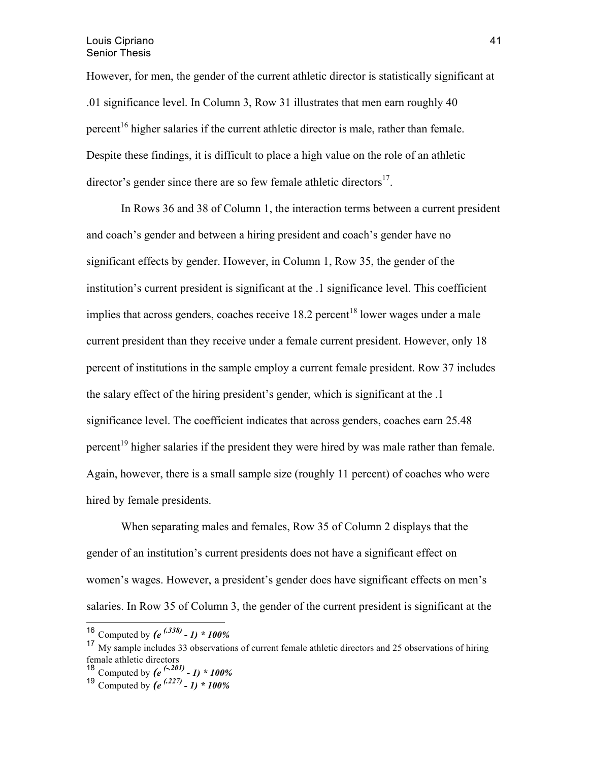However, for men, the gender of the current athletic director is statistically significant at .01 significance level. In Column 3, Row 31 illustrates that men earn roughly 40 percent<sup>16</sup> higher salaries if the current athletic director is male, rather than female. Despite these findings, it is difficult to place a high value on the role of an athletic director's gender since there are so few female athletic directors<sup>17</sup>.

In Rows 36 and 38 of Column 1, the interaction terms between a current president and coach's gender and between a hiring president and coach's gender have no significant effects by gender. However, in Column 1, Row 35, the gender of the institution's current president is significant at the .1 significance level. This coefficient implies that across genders, coaches receive  $18.2$  percent<sup>18</sup> lower wages under a male current president than they receive under a female current president. However, only 18 percent of institutions in the sample employ a current female president. Row 37 includes the salary effect of the hiring president's gender, which is significant at the .1 significance level. The coefficient indicates that across genders, coaches earn 25.48 percent<sup>19</sup> higher salaries if the president they were hired by was male rather than female. Again, however, there is a small sample size (roughly 11 percent) of coaches who were hired by female presidents.

When separating males and females, Row 35 of Column 2 displays that the gender of an institution's current presidents does not have a significant effect on women's wages. However, a president's gender does have significant effects on men's salaries. In Row 35 of Column 3, the gender of the current president is significant at the

 <sup>16</sup> Computed by *(e (.338) - 1) \* 100%*

<sup>&</sup>lt;sup>17</sup> My sample includes 33 observations of current female athletic directors and 25 observations of hiring female athletic directors

<sup>&</sup>lt;sup>18</sup> Computed by  $(e^{(-201)} - 1) * 100\%$ 

<sup>19</sup> Computed by *(e (.227) - 1) \* 100%*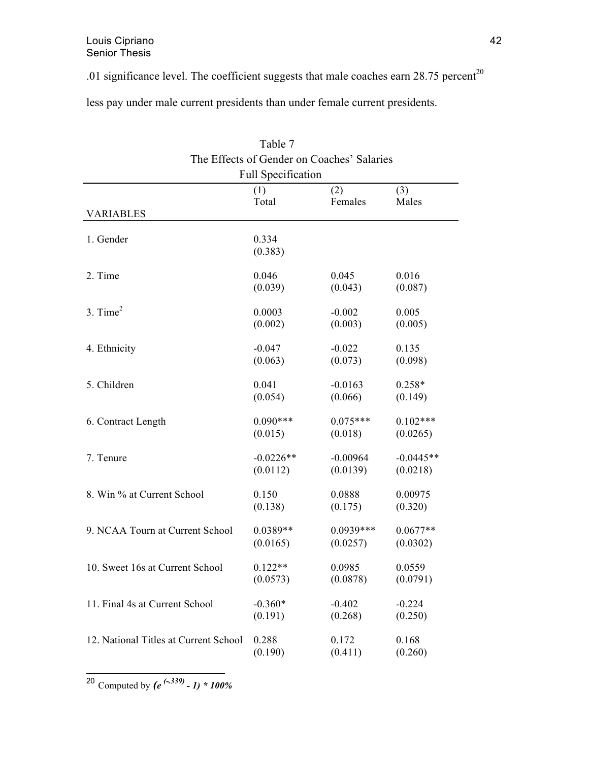.01 significance level. The coefficient suggests that male coaches earn  $28.75$  percent<sup>20</sup>

less pay under male current presidents than under female current presidents.

|                                       | $1$ avic $/$     |                                            |             |  |  |
|---------------------------------------|------------------|--------------------------------------------|-------------|--|--|
|                                       |                  | The Effects of Gender on Coaches' Salaries |             |  |  |
| <b>Full Specification</b>             |                  |                                            |             |  |  |
|                                       | (1)              | (2)                                        | (3)         |  |  |
|                                       | Total            | Females                                    | Males       |  |  |
| <b>VARIABLES</b>                      |                  |                                            |             |  |  |
|                                       |                  |                                            |             |  |  |
| 1. Gender                             | 0.334<br>(0.383) |                                            |             |  |  |
|                                       |                  |                                            |             |  |  |
| 2. Time                               | 0.046            | 0.045                                      | 0.016       |  |  |
|                                       | (0.039)          | (0.043)                                    | (0.087)     |  |  |
|                                       |                  |                                            |             |  |  |
| $3.$ Time <sup>2</sup>                | 0.0003           | $-0.002$                                   | 0.005       |  |  |
|                                       | (0.002)          | (0.003)                                    | (0.005)     |  |  |
| 4. Ethnicity                          | $-0.047$         | $-0.022$                                   | 0.135       |  |  |
|                                       | (0.063)          | (0.073)                                    | (0.098)     |  |  |
|                                       |                  |                                            |             |  |  |
| 5. Children                           | 0.041            | $-0.0163$                                  | $0.258*$    |  |  |
|                                       | (0.054)          | (0.066)                                    | (0.149)     |  |  |
|                                       |                  |                                            |             |  |  |
| 6. Contract Length                    | $0.090***$       | $0.075***$                                 | $0.102***$  |  |  |
|                                       | (0.015)          | (0.018)                                    | (0.0265)    |  |  |
| 7. Tenure                             | $-0.0226**$      | $-0.00964$                                 | $-0.0445**$ |  |  |
|                                       | (0.0112)         | (0.0139)                                   | (0.0218)    |  |  |
|                                       |                  |                                            |             |  |  |
| 8. Win % at Current School            | 0.150            | 0.0888                                     | 0.00975     |  |  |
|                                       | (0.138)          | (0.175)                                    | (0.320)     |  |  |
|                                       |                  |                                            |             |  |  |
| 9. NCAA Tourn at Current School       | $0.0389**$       | $0.0939***$                                | $0.0677**$  |  |  |
|                                       | (0.0165)         | (0.0257)                                   | (0.0302)    |  |  |
| 10. Sweet 16s at Current School       | $0.122**$        | 0.0985                                     | 0.0559      |  |  |
|                                       | (0.0573)         | (0.0878)                                   | (0.0791)    |  |  |
|                                       |                  |                                            |             |  |  |
| 11. Final 4s at Current School        | $-0.360*$        | $-0.402$                                   | $-0.224$    |  |  |
|                                       | (0.191)          | (0.268)                                    | (0.250)     |  |  |
|                                       |                  |                                            |             |  |  |
| 12. National Titles at Current School | 0.288            | 0.172                                      | 0.168       |  |  |
|                                       | (0.190)          | (0.411)                                    | (0.260)     |  |  |

Table 7

20 Computed by *(e (-.339) - 1) \* 100%*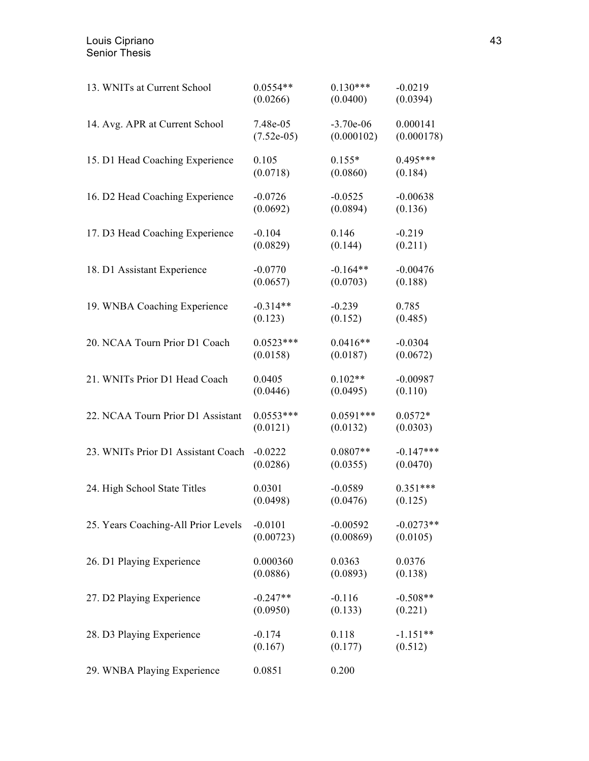| 13. WNITs at Current School         | $0.0554**$   | $0.130***$  | $-0.0219$   |
|-------------------------------------|--------------|-------------|-------------|
|                                     | (0.0266)     | (0.0400)    | (0.0394)    |
| 14. Avg. APR at Current School      | 7.48e-05     | $-3.70e-06$ | 0.000141    |
|                                     | $(7.52e-05)$ | (0.000102)  | (0.000178)  |
| 15. D1 Head Coaching Experience     | 0.105        | $0.155*$    | $0.495***$  |
|                                     | (0.0718)     | (0.0860)    | (0.184)     |
| 16. D2 Head Coaching Experience     | $-0.0726$    | $-0.0525$   | $-0.00638$  |
|                                     | (0.0692)     | (0.0894)    | (0.136)     |
| 17. D3 Head Coaching Experience     | $-0.104$     | 0.146       | $-0.219$    |
|                                     | (0.0829)     | (0.144)     | (0.211)     |
| 18. D1 Assistant Experience         | $-0.0770$    | $-0.164**$  | $-0.00476$  |
|                                     | (0.0657)     | (0.0703)    | (0.188)     |
| 19. WNBA Coaching Experience        | $-0.314**$   | $-0.239$    | 0.785       |
|                                     | (0.123)      | (0.152)     | (0.485)     |
| 20. NCAA Tourn Prior D1 Coach       | $0.0523***$  | $0.0416**$  | $-0.0304$   |
|                                     | (0.0158)     | (0.0187)    | (0.0672)    |
| 21. WNITs Prior D1 Head Coach       | 0.0405       | $0.102**$   | $-0.00987$  |
|                                     | (0.0446)     | (0.0495)    | (0.110)     |
| 22. NCAA Tourn Prior D1 Assistant   | $0.0553***$  | $0.0591***$ | $0.0572*$   |
|                                     | (0.0121)     | (0.0132)    | (0.0303)    |
| 23. WNITs Prior D1 Assistant Coach  | $-0.0222$    | $0.0807**$  | $-0.147***$ |
|                                     | (0.0286)     | (0.0355)    | (0.0470)    |
| 24. High School State Titles        | 0.0301       | $-0.0589$   | $0.351***$  |
|                                     | (0.0498)     | (0.0476)    | (0.125)     |
| 25. Years Coaching-All Prior Levels | $-0.0101$    | $-0.00592$  | $-0.0273**$ |
|                                     | (0.00723)    | (0.00869)   | (0.0105)    |
| 26. D1 Playing Experience           | 0.000360     | 0.0363      | 0.0376      |
|                                     | (0.0886)     | (0.0893)    | (0.138)     |
| 27. D2 Playing Experience           | $-0.247**$   | $-0.116$    | $-0.508**$  |
|                                     | (0.0950)     | (0.133)     | (0.221)     |
| 28. D3 Playing Experience           | $-0.174$     | 0.118       | $-1.151**$  |
|                                     | (0.167)      | (0.177)     | (0.512)     |
| 29. WNBA Playing Experience         | 0.0851       | 0.200       |             |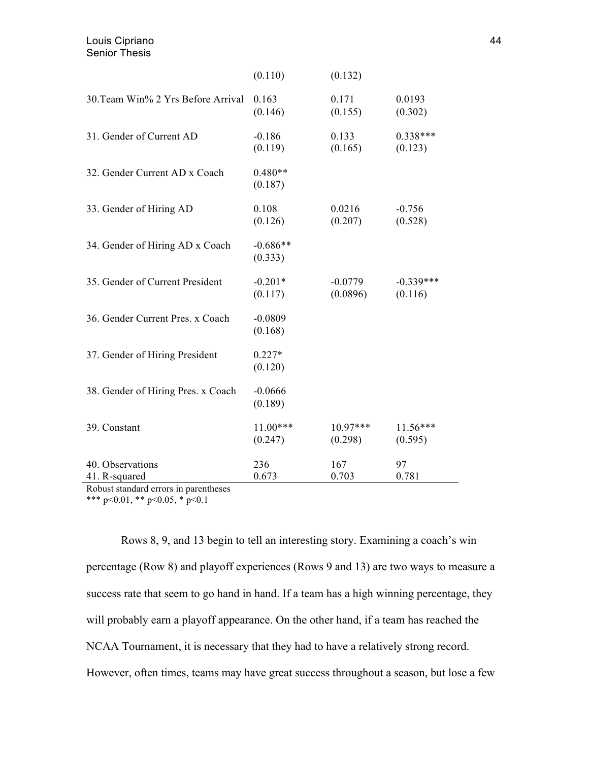|                                    | (0.110)               | (0.132)    |             |
|------------------------------------|-----------------------|------------|-------------|
| 30. Team Win% 2 Yrs Before Arrival | 0.163                 | 0.171      | 0.0193      |
|                                    | (0.146)               | (0.155)    | (0.302)     |
| 31. Gender of Current AD           | $-0.186$              | 0.133      | $0.338***$  |
|                                    | (0.119)               | (0.165)    | (0.123)     |
| 32. Gender Current AD x Coach      | $0.480**$<br>(0.187)  |            |             |
| 33. Gender of Hiring AD            | 0.108                 | 0.0216     | $-0.756$    |
|                                    | (0.126)               | (0.207)    | (0.528)     |
| 34. Gender of Hiring AD x Coach    | $-0.686**$<br>(0.333) |            |             |
| 35. Gender of Current President    | $-0.201*$             | $-0.0779$  | $-0.339***$ |
|                                    | (0.117)               | (0.0896)   | (0.116)     |
| 36. Gender Current Pres. x Coach   | $-0.0809$<br>(0.168)  |            |             |
| 37. Gender of Hiring President     | $0.227*$<br>(0.120)   |            |             |
| 38. Gender of Hiring Pres. x Coach | $-0.0666$<br>(0.189)  |            |             |
| 39. Constant                       | 11.00***              | $10.97***$ | $11.56***$  |
|                                    | (0.247)               | (0.298)    | (0.595)     |
| 40. Observations                   | 236                   | 167        | 97          |
| 41. R-squared                      | 0.673                 | 0.703      | 0.781       |

Robust standard errors in parentheses

\*\*\* p<0.01, \*\* p<0.05, \* p<0.1

Rows 8, 9, and 13 begin to tell an interesting story. Examining a coach's win percentage (Row 8) and playoff experiences (Rows 9 and 13) are two ways to measure a success rate that seem to go hand in hand. If a team has a high winning percentage, they will probably earn a playoff appearance. On the other hand, if a team has reached the NCAA Tournament, it is necessary that they had to have a relatively strong record. However, often times, teams may have great success throughout a season, but lose a few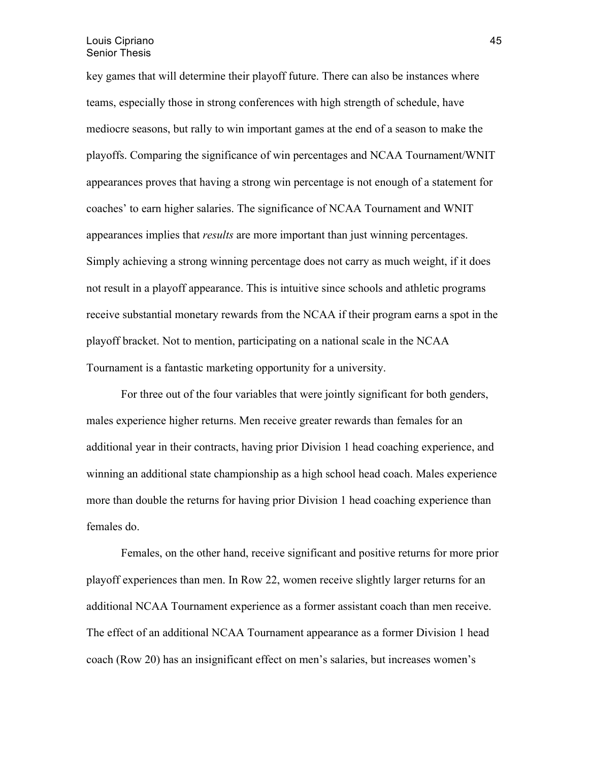key games that will determine their playoff future. There can also be instances where teams, especially those in strong conferences with high strength of schedule, have mediocre seasons, but rally to win important games at the end of a season to make the playoffs. Comparing the significance of win percentages and NCAA Tournament/WNIT appearances proves that having a strong win percentage is not enough of a statement for coaches' to earn higher salaries. The significance of NCAA Tournament and WNIT appearances implies that *results* are more important than just winning percentages. Simply achieving a strong winning percentage does not carry as much weight, if it does not result in a playoff appearance. This is intuitive since schools and athletic programs receive substantial monetary rewards from the NCAA if their program earns a spot in the playoff bracket. Not to mention, participating on a national scale in the NCAA Tournament is a fantastic marketing opportunity for a university.

For three out of the four variables that were jointly significant for both genders, males experience higher returns. Men receive greater rewards than females for an additional year in their contracts, having prior Division 1 head coaching experience, and winning an additional state championship as a high school head coach. Males experience more than double the returns for having prior Division 1 head coaching experience than females do.

Females, on the other hand, receive significant and positive returns for more prior playoff experiences than men. In Row 22, women receive slightly larger returns for an additional NCAA Tournament experience as a former assistant coach than men receive. The effect of an additional NCAA Tournament appearance as a former Division 1 head coach (Row 20) has an insignificant effect on men's salaries, but increases women's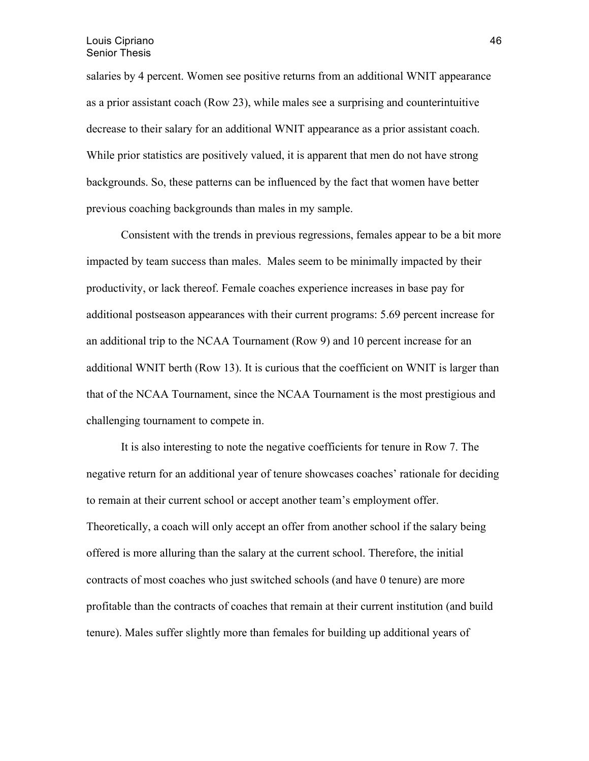salaries by 4 percent. Women see positive returns from an additional WNIT appearance as a prior assistant coach (Row 23), while males see a surprising and counterintuitive decrease to their salary for an additional WNIT appearance as a prior assistant coach. While prior statistics are positively valued, it is apparent that men do not have strong backgrounds. So, these patterns can be influenced by the fact that women have better previous coaching backgrounds than males in my sample.

Consistent with the trends in previous regressions, females appear to be a bit more impacted by team success than males. Males seem to be minimally impacted by their productivity, or lack thereof. Female coaches experience increases in base pay for additional postseason appearances with their current programs: 5.69 percent increase for an additional trip to the NCAA Tournament (Row 9) and 10 percent increase for an additional WNIT berth (Row 13). It is curious that the coefficient on WNIT is larger than that of the NCAA Tournament, since the NCAA Tournament is the most prestigious and challenging tournament to compete in.

It is also interesting to note the negative coefficients for tenure in Row 7. The negative return for an additional year of tenure showcases coaches' rationale for deciding to remain at their current school or accept another team's employment offer. Theoretically, a coach will only accept an offer from another school if the salary being offered is more alluring than the salary at the current school. Therefore, the initial contracts of most coaches who just switched schools (and have 0 tenure) are more profitable than the contracts of coaches that remain at their current institution (and build tenure). Males suffer slightly more than females for building up additional years of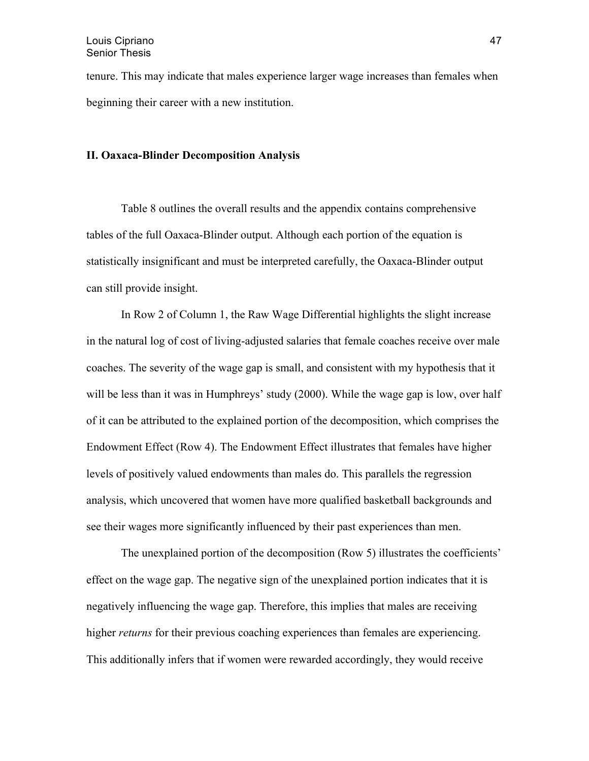tenure. This may indicate that males experience larger wage increases than females when beginning their career with a new institution.

## **II. Oaxaca-Blinder Decomposition Analysis**

Table 8 outlines the overall results and the appendix contains comprehensive tables of the full Oaxaca-Blinder output. Although each portion of the equation is statistically insignificant and must be interpreted carefully, the Oaxaca-Blinder output can still provide insight.

In Row 2 of Column 1, the Raw Wage Differential highlights the slight increase in the natural log of cost of living-adjusted salaries that female coaches receive over male coaches. The severity of the wage gap is small, and consistent with my hypothesis that it will be less than it was in Humphreys' study (2000). While the wage gap is low, over half of it can be attributed to the explained portion of the decomposition, which comprises the Endowment Effect (Row 4). The Endowment Effect illustrates that females have higher levels of positively valued endowments than males do. This parallels the regression analysis, which uncovered that women have more qualified basketball backgrounds and see their wages more significantly influenced by their past experiences than men.

The unexplained portion of the decomposition (Row 5) illustrates the coefficients' effect on the wage gap. The negative sign of the unexplained portion indicates that it is negatively influencing the wage gap. Therefore, this implies that males are receiving higher *returns* for their previous coaching experiences than females are experiencing. This additionally infers that if women were rewarded accordingly, they would receive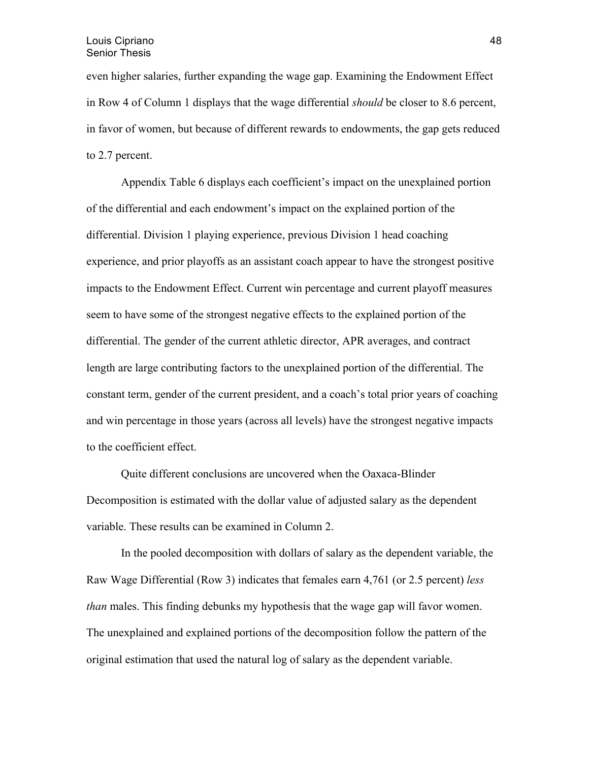even higher salaries, further expanding the wage gap. Examining the Endowment Effect in Row 4 of Column 1 displays that the wage differential *should* be closer to 8.6 percent, in favor of women, but because of different rewards to endowments, the gap gets reduced to 2.7 percent.

Appendix Table 6 displays each coefficient's impact on the unexplained portion of the differential and each endowment's impact on the explained portion of the differential. Division 1 playing experience, previous Division 1 head coaching experience, and prior playoffs as an assistant coach appear to have the strongest positive impacts to the Endowment Effect. Current win percentage and current playoff measures seem to have some of the strongest negative effects to the explained portion of the differential. The gender of the current athletic director, APR averages, and contract length are large contributing factors to the unexplained portion of the differential. The constant term, gender of the current president, and a coach's total prior years of coaching and win percentage in those years (across all levels) have the strongest negative impacts to the coefficient effect.

Quite different conclusions are uncovered when the Oaxaca-Blinder Decomposition is estimated with the dollar value of adjusted salary as the dependent variable. These results can be examined in Column 2.

In the pooled decomposition with dollars of salary as the dependent variable, the Raw Wage Differential (Row 3) indicates that females earn 4,761 (or 2.5 percent) *less than* males. This finding debunks my hypothesis that the wage gap will favor women. The unexplained and explained portions of the decomposition follow the pattern of the original estimation that used the natural log of salary as the dependent variable.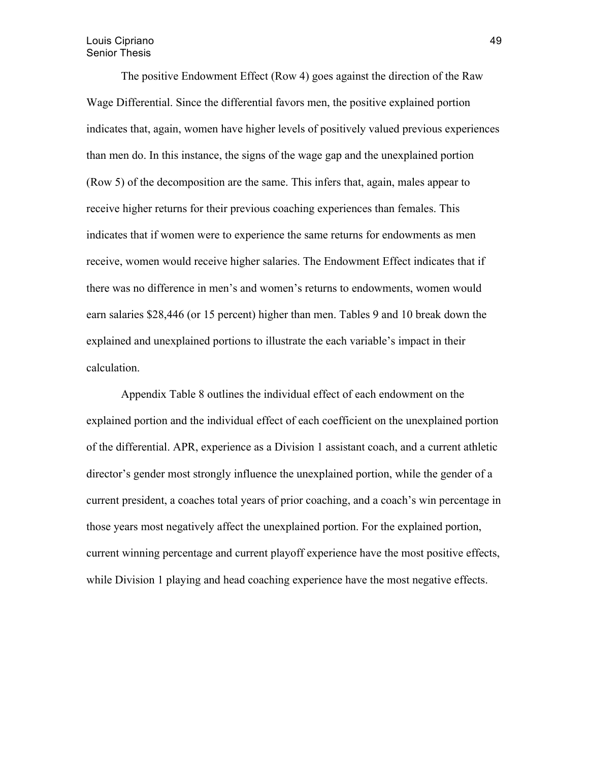The positive Endowment Effect (Row 4) goes against the direction of the Raw Wage Differential. Since the differential favors men, the positive explained portion indicates that, again, women have higher levels of positively valued previous experiences than men do. In this instance, the signs of the wage gap and the unexplained portion (Row 5) of the decomposition are the same. This infers that, again, males appear to receive higher returns for their previous coaching experiences than females. This indicates that if women were to experience the same returns for endowments as men receive, women would receive higher salaries. The Endowment Effect indicates that if there was no difference in men's and women's returns to endowments, women would earn salaries \$28,446 (or 15 percent) higher than men. Tables 9 and 10 break down the explained and unexplained portions to illustrate the each variable's impact in their calculation.

Appendix Table 8 outlines the individual effect of each endowment on the explained portion and the individual effect of each coefficient on the unexplained portion of the differential. APR, experience as a Division 1 assistant coach, and a current athletic director's gender most strongly influence the unexplained portion, while the gender of a current president, a coaches total years of prior coaching, and a coach's win percentage in those years most negatively affect the unexplained portion. For the explained portion, current winning percentage and current playoff experience have the most positive effects, while Division 1 playing and head coaching experience have the most negative effects.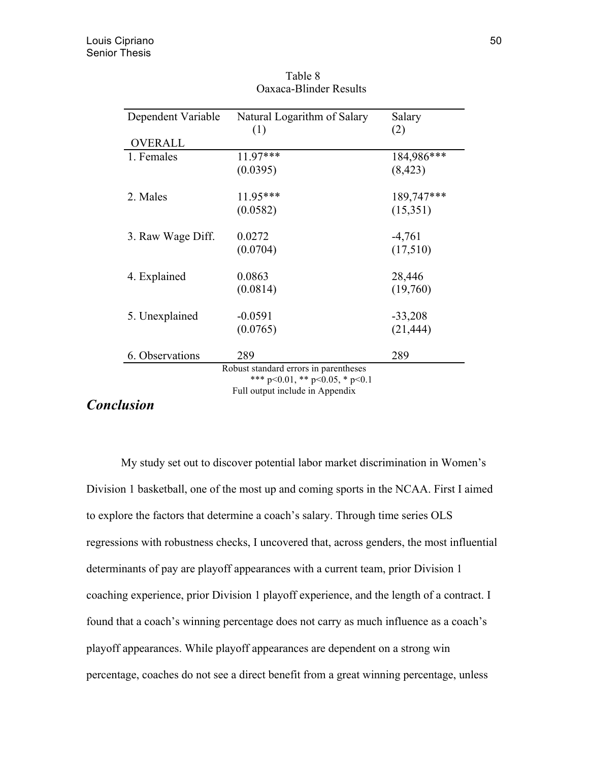| Dependent Variable | Natural Logarithm of Salary            | Salary     |
|--------------------|----------------------------------------|------------|
|                    | (1)                                    | (2)        |
| <b>OVERALL</b>     |                                        |            |
| 1. Females         | $11.97***$                             | 184,986*** |
|                    | (0.0395)                               | (8, 423)   |
| 2. Males           | $11.95***$                             | 189,747*** |
|                    | (0.0582)                               | (15,351)   |
| 3. Raw Wage Diff.  | 0.0272                                 | $-4,761$   |
|                    | (0.0704)                               | (17,510)   |
| 4. Explained       | 0.0863                                 | 28,446     |
|                    | (0.0814)                               | (19,760)   |
| 5. Unexplained     | $-0.0591$                              | $-33,208$  |
|                    | (0.0765)                               | (21, 444)  |
| 6. Observations    | 289                                    | 289        |
|                    | Robust standard errors in parentheses  |            |
|                    | *** $p<0.01$ , ** $p<0.05$ , * $p<0.1$ |            |
|                    | Full output include in Appendix        |            |

 Table 8 Oaxaca-Blinder Results

# *Conclusion*

My study set out to discover potential labor market discrimination in Women's Division 1 basketball, one of the most up and coming sports in the NCAA. First I aimed to explore the factors that determine a coach's salary. Through time series OLS regressions with robustness checks, I uncovered that, across genders, the most influential determinants of pay are playoff appearances with a current team, prior Division 1 coaching experience, prior Division 1 playoff experience, and the length of a contract. I found that a coach's winning percentage does not carry as much influence as a coach's playoff appearances. While playoff appearances are dependent on a strong win percentage, coaches do not see a direct benefit from a great winning percentage, unless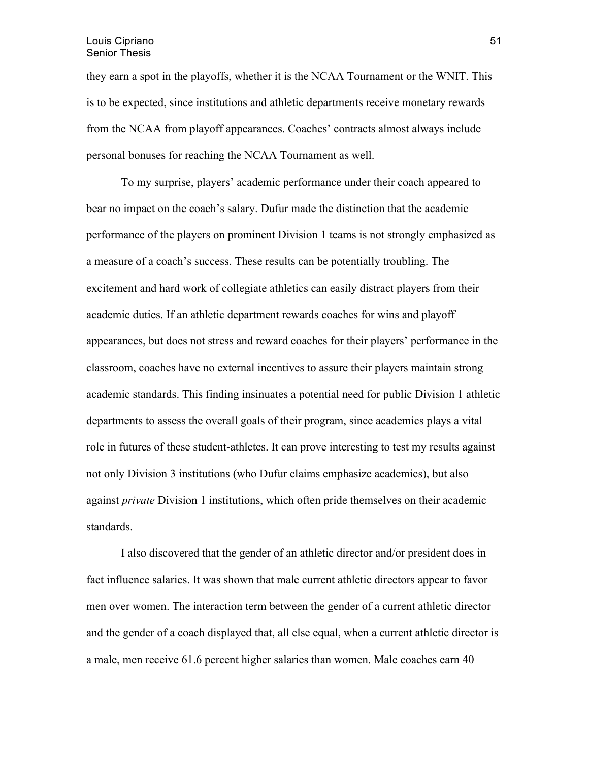they earn a spot in the playoffs, whether it is the NCAA Tournament or the WNIT. This is to be expected, since institutions and athletic departments receive monetary rewards from the NCAA from playoff appearances. Coaches' contracts almost always include personal bonuses for reaching the NCAA Tournament as well.

To my surprise, players' academic performance under their coach appeared to bear no impact on the coach's salary. Dufur made the distinction that the academic performance of the players on prominent Division 1 teams is not strongly emphasized as a measure of a coach's success. These results can be potentially troubling. The excitement and hard work of collegiate athletics can easily distract players from their academic duties. If an athletic department rewards coaches for wins and playoff appearances, but does not stress and reward coaches for their players' performance in the classroom, coaches have no external incentives to assure their players maintain strong academic standards. This finding insinuates a potential need for public Division 1 athletic departments to assess the overall goals of their program, since academics plays a vital role in futures of these student-athletes. It can prove interesting to test my results against not only Division 3 institutions (who Dufur claims emphasize academics), but also against *private* Division 1 institutions, which often pride themselves on their academic standards.

I also discovered that the gender of an athletic director and/or president does in fact influence salaries. It was shown that male current athletic directors appear to favor men over women. The interaction term between the gender of a current athletic director and the gender of a coach displayed that, all else equal, when a current athletic director is a male, men receive 61.6 percent higher salaries than women. Male coaches earn 40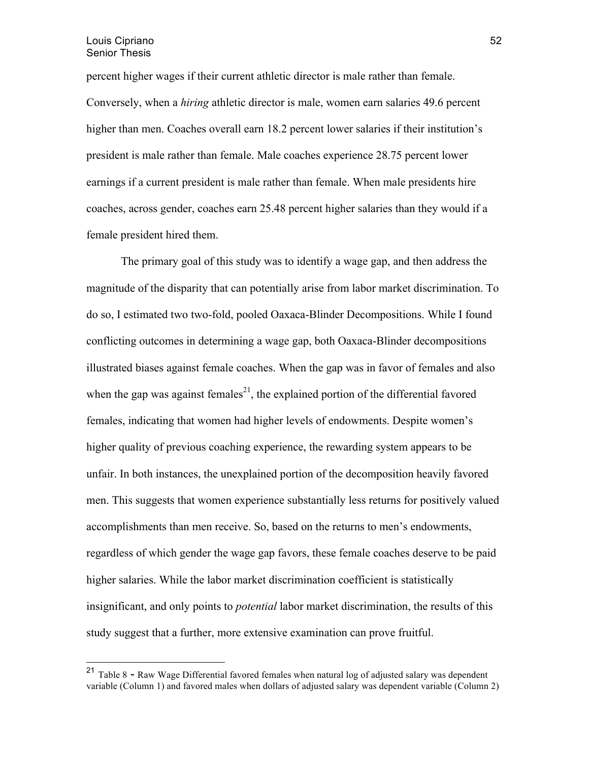percent higher wages if their current athletic director is male rather than female. Conversely, when a *hiring* athletic director is male, women earn salaries 49.6 percent higher than men. Coaches overall earn 18.2 percent lower salaries if their institution's president is male rather than female. Male coaches experience 28.75 percent lower earnings if a current president is male rather than female. When male presidents hire coaches, across gender, coaches earn 25.48 percent higher salaries than they would if a female president hired them.

The primary goal of this study was to identify a wage gap, and then address the magnitude of the disparity that can potentially arise from labor market discrimination. To do so, I estimated two two-fold, pooled Oaxaca-Blinder Decompositions. While I found conflicting outcomes in determining a wage gap, both Oaxaca-Blinder decompositions illustrated biases against female coaches. When the gap was in favor of females and also when the gap was against females<sup>21</sup>, the explained portion of the differential favored females, indicating that women had higher levels of endowments. Despite women's higher quality of previous coaching experience, the rewarding system appears to be unfair. In both instances, the unexplained portion of the decomposition heavily favored men. This suggests that women experience substantially less returns for positively valued accomplishments than men receive. So, based on the returns to men's endowments, regardless of which gender the wage gap favors, these female coaches deserve to be paid higher salaries. While the labor market discrimination coefficient is statistically insignificant, and only points to *potential* labor market discrimination, the results of this study suggest that a further, more extensive examination can prove fruitful.

 <sup>21</sup> Table 8 - Raw Wage Differential favored females when natural log of adjusted salary was dependent variable (Column 1) and favored males when dollars of adjusted salary was dependent variable (Column 2)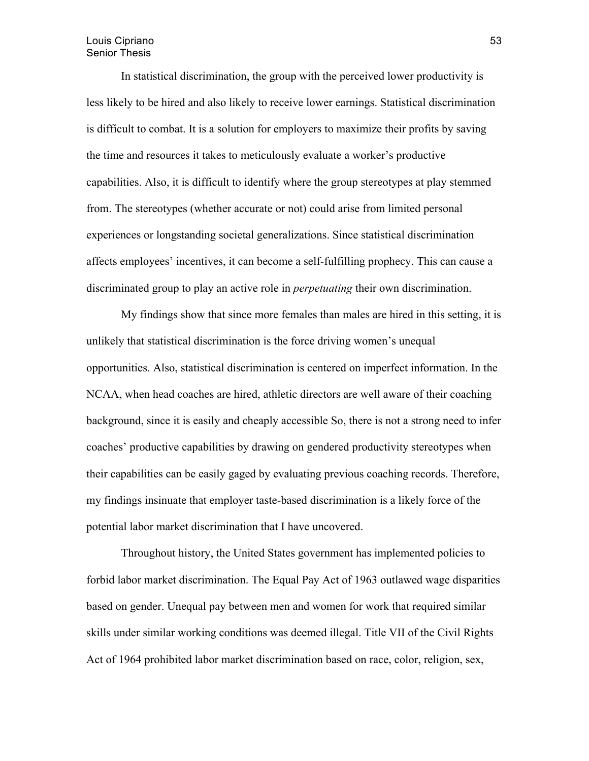In statistical discrimination, the group with the perceived lower productivity is less likely to be hired and also likely to receive lower earnings. Statistical discrimination is difficult to combat. It is a solution for employers to maximize their profits by saving the time and resources it takes to meticulously evaluate a worker's productive capabilities. Also, it is difficult to identify where the group stereotypes at play stemmed from. The stereotypes (whether accurate or not) could arise from limited personal experiences or longstanding societal generalizations. Since statistical discrimination affects employees' incentives, it can become a self-fulfilling prophecy. This can cause a discriminated group to play an active role in *perpetuating* their own discrimination.

My findings show that since more females than males are hired in this setting, it is unlikely that statistical discrimination is the force driving women's unequal opportunities. Also, statistical discrimination is centered on imperfect information. In the NCAA, when head coaches are hired, athletic directors are well aware of their coaching background, since it is easily and cheaply accessible So, there is not a strong need to infer coaches' productive capabilities by drawing on gendered productivity stereotypes when their capabilities can be easily gaged by evaluating previous coaching records. Therefore, my findings insinuate that employer taste-based discrimination is a likely force of the potential labor market discrimination that I have uncovered.

Throughout history, the United States government has implemented policies to forbid labor market discrimination. The Equal Pay Act of 1963 outlawed wage disparities based on gender. Unequal pay between men and women for work that required similar skills under similar working conditions was deemed illegal. Title VII of the Civil Rights Act of 1964 prohibited labor market discrimination based on race, color, religion, sex,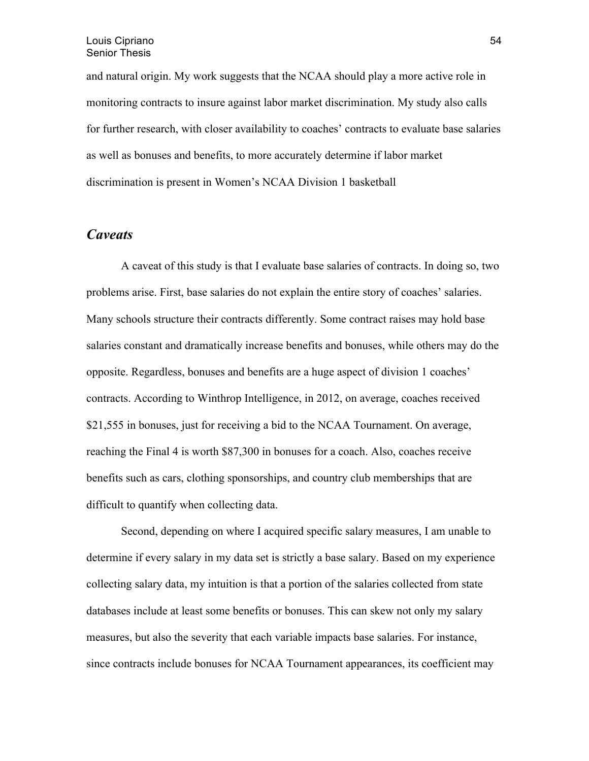and natural origin. My work suggests that the NCAA should play a more active role in monitoring contracts to insure against labor market discrimination. My study also calls for further research, with closer availability to coaches' contracts to evaluate base salaries as well as bonuses and benefits, to more accurately determine if labor market discrimination is present in Women's NCAA Division 1 basketball

## *Caveats*

A caveat of this study is that I evaluate base salaries of contracts. In doing so, two problems arise. First, base salaries do not explain the entire story of coaches' salaries. Many schools structure their contracts differently. Some contract raises may hold base salaries constant and dramatically increase benefits and bonuses, while others may do the opposite. Regardless, bonuses and benefits are a huge aspect of division 1 coaches' contracts. According to Winthrop Intelligence, in 2012, on average, coaches received \$21,555 in bonuses, just for receiving a bid to the NCAA Tournament. On average, reaching the Final 4 is worth \$87,300 in bonuses for a coach. Also, coaches receive benefits such as cars, clothing sponsorships, and country club memberships that are difficult to quantify when collecting data.

Second, depending on where I acquired specific salary measures, I am unable to determine if every salary in my data set is strictly a base salary. Based on my experience collecting salary data, my intuition is that a portion of the salaries collected from state databases include at least some benefits or bonuses. This can skew not only my salary measures, but also the severity that each variable impacts base salaries. For instance, since contracts include bonuses for NCAA Tournament appearances, its coefficient may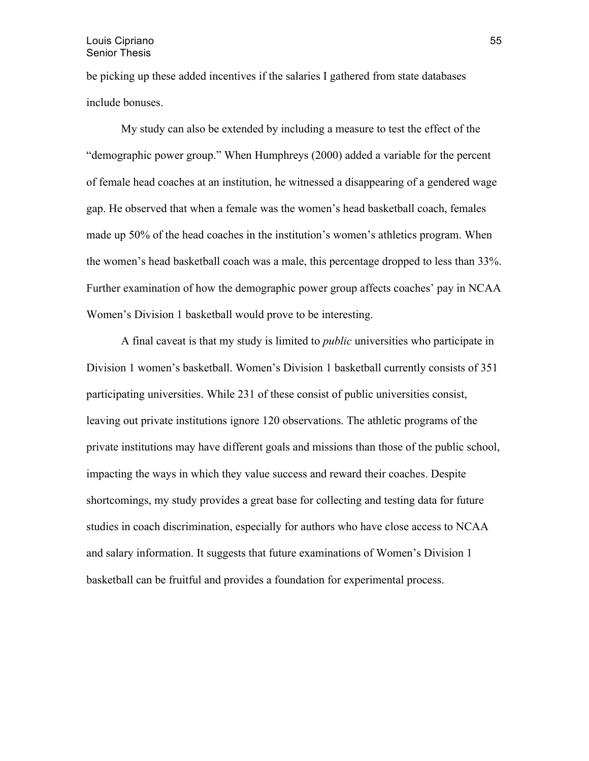be picking up these added incentives if the salaries I gathered from state databases include bonuses.

My study can also be extended by including a measure to test the effect of the "demographic power group." When Humphreys (2000) added a variable for the percent of female head coaches at an institution, he witnessed a disappearing of a gendered wage gap. He observed that when a female was the women's head basketball coach, females made up 50% of the head coaches in the institution's women's athletics program. When the women's head basketball coach was a male, this percentage dropped to less than 33%. Further examination of how the demographic power group affects coaches' pay in NCAA Women's Division 1 basketball would prove to be interesting.

A final caveat is that my study is limited to *public* universities who participate in Division 1 women's basketball. Women's Division 1 basketball currently consists of 351 participating universities. While 231 of these consist of public universities consist, leaving out private institutions ignore 120 observations. The athletic programs of the private institutions may have different goals and missions than those of the public school, impacting the ways in which they value success and reward their coaches. Despite shortcomings, my study provides a great base for collecting and testing data for future studies in coach discrimination, especially for authors who have close access to NCAA and salary information. It suggests that future examinations of Women's Division 1 basketball can be fruitful and provides a foundation for experimental process.

55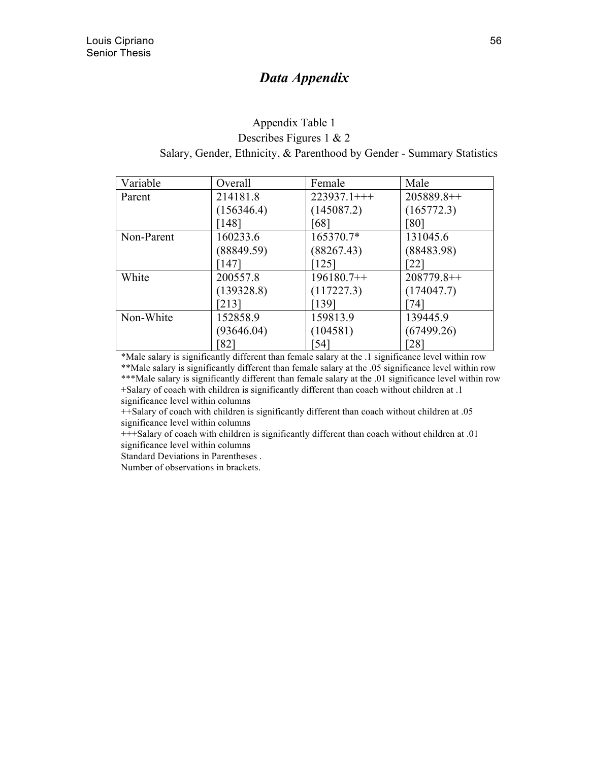# *Data Appendix*

## Appendix Table 1 Describes Figures 1 & 2 Salary, Gender, Ethnicity, & Parenthood by Gender - Summary Statistics

| Variable   | Overall    | Female         | Male               |
|------------|------------|----------------|--------------------|
| Parent     | 214181.8   | $223937.1$ +++ | $205889.8++$       |
|            | (156346.4) | (145087.2)     | (165772.3)         |
|            | [148]      | 681            | [80]               |
| Non-Parent | 160233.6   | 165370.7*      | 131045.6           |
|            | (88849.59) | (88267.43)     | (88483.98)         |
|            | [147]      | 1251           | 22                 |
| White      | 200557.8   | $196180.7++$   | $208779.8++$       |
|            | (139328.8) | (117227.3)     | (174047.7)         |
|            | [213]      | [139]          | 74                 |
| Non-White  | 152858.9   | 159813.9       | 139445.9           |
|            | (93646.04) | (104581)       | (67499.26)         |
|            | 821        | 541            | $\lceil 28 \rceil$ |

\*Male salary is significantly different than female salary at the .1 significance level within row \*\*Male salary is significantly different than female salary at the .05 significance level within row \*\*\*Male salary is significantly different than female salary at the .01 significance level within row +Salary of coach with children is significantly different than coach without children at .1

significance level within columns

++Salary of coach with children is significantly different than coach without children at .05 significance level within columns

+++Salary of coach with children is significantly different than coach without children at .01 significance level within columns

Standard Deviations in Parentheses .

Number of observations in brackets.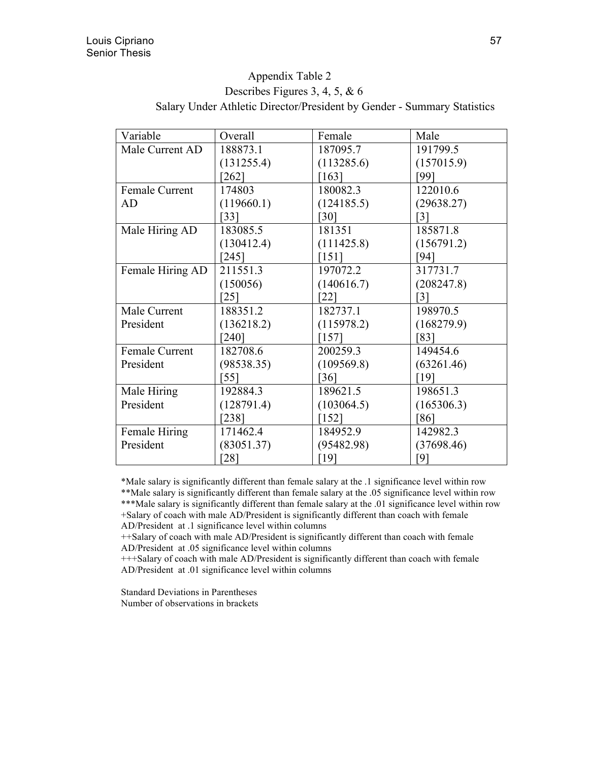## Appendix Table 2

# Describes Figures 3, 4, 5, & 6 Salary Under Athletic Director/President by Gender - Summary Statistics

| Variable              | Overall            | Female              | Male       |
|-----------------------|--------------------|---------------------|------------|
| Male Current AD       | 188873.1           | 187095.7            | 191799.5   |
|                       | (131255.4)         | (113285.6)          | (157015.9) |
|                       | $\left[262\right]$ | $\lceil 163 \rceil$ | '991       |
| Female Current        | 174803             | 180082.3            | 122010.6   |
| AD                    | (119660.1)         | (124185.5)          | (29638.27) |
|                       | [33]               | [30]                | [3]        |
| Male Hiring AD        | 183085.5           | 181351              | 185871.8   |
|                       | (130412.4)         | (111425.8)          | (156791.2) |
|                       | [245]              | [151]               | '941       |
| Female Hiring AD      | 211551.3           | 197072.2            | 317731.7   |
|                       | (150056)           | (140616.7)          | (208247.8) |
|                       | [25]               | [22]                | 31         |
| Male Current          | 188351.2           | 182737.1            | 198970.5   |
| President             | (136218.2)         | (115978.2)          | (168279.9) |
|                       | [240]              | $[157]$             | 831        |
| <b>Female Current</b> | 182708.6           | 200259.3            | 149454.6   |
| President             | (98538.35)         | (109569.8)          | (63261.46) |
|                       | [55]               | [36]                | [19]       |
| Male Hiring           | 192884.3           | 189621.5            | 198651.3   |
| President             | (128791.4)         | (103064.5)          | (165306.3) |
|                       | $[238]$            | $[152]$             | [86]       |
| Female Hiring         | 171462.4           | 184952.9            | 142982.3   |
| President             | (83051.37)         | (95482.98)          | (37698.46) |
|                       | [28]               | [19]                | [9]        |

\*Male salary is significantly different than female salary at the .1 significance level within row

\*\*Male salary is significantly different than female salary at the .05 significance level within row

\*\*\*Male salary is significantly different than female salary at the .01 significance level within row +Salary of coach with male AD/President is significantly different than coach with female

AD/President at .1 significance level within columns

++Salary of coach with male AD/President is significantly different than coach with female AD/President at .05 significance level within columns

+++Salary of coach with male AD/President is significantly different than coach with female AD/President at .01 significance level within columns

Standard Deviations in Parentheses Number of observations in brackets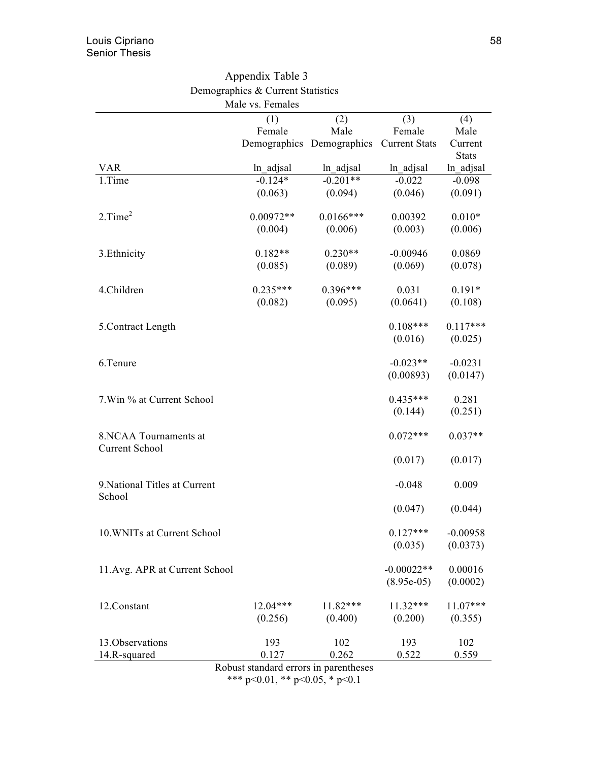|                               | Appendix Table 3                  |                           |                      |                           |
|-------------------------------|-----------------------------------|---------------------------|----------------------|---------------------------|
|                               | Demographics & Current Statistics |                           |                      |                           |
|                               | Male vs. Females                  |                           |                      |                           |
|                               | (1)                               | (2)                       | (3)                  | (4)                       |
|                               | Female                            | Male                      | Female               | Male                      |
|                               |                                   | Demographics Demographics | <b>Current Stats</b> | Current                   |
| <b>VAR</b>                    | ln adjsal                         | ln_adjsal                 | ln adjsal            | <b>Stats</b><br>ln adjsal |
| 1.Time                        | $-0.124*$                         | $-0.201**$                | $-0.022$             | $-0.098$                  |
|                               | (0.063)                           | (0.094)                   | (0.046)              | (0.091)                   |
|                               |                                   |                           |                      |                           |
| 2. Time <sup>2</sup>          | $0.00972**$                       | $0.0166$ ***              | 0.00392              | $0.010*$                  |
|                               | (0.004)                           | (0.006)                   | (0.003)              | (0.006)                   |
|                               |                                   |                           |                      |                           |
| 3. Ethnicity                  | $0.182**$                         | $0.230**$                 | $-0.00946$           | 0.0869                    |
|                               | (0.085)                           | (0.089)                   | (0.069)              | (0.078)                   |
| 4.Children                    | $0.235***$                        | $0.396***$                | 0.031                | $0.191*$                  |
|                               | (0.082)                           | (0.095)                   | (0.0641)             | (0.108)                   |
|                               |                                   |                           |                      |                           |
| 5. Contract Length            |                                   |                           | $0.108***$           | $0.117***$                |
|                               |                                   |                           | (0.016)              | (0.025)                   |
|                               |                                   |                           |                      |                           |
| 6.Tenure                      |                                   |                           | $-0.023**$           | $-0.0231$                 |
|                               |                                   |                           | (0.00893)            | (0.0147)                  |
| 7. Win % at Current School    |                                   |                           | $0.435***$           | 0.281                     |
|                               |                                   |                           | (0.144)              | (0.251)                   |
|                               |                                   |                           |                      |                           |
| 8.NCAA Tournaments at         |                                   |                           | $0.072***$           | $0.037**$                 |
| <b>Current School</b>         |                                   |                           |                      |                           |
|                               |                                   |                           | (0.017)              | (0.017)                   |
|                               |                                   |                           |                      |                           |
| 9. National Titles at Current |                                   |                           | $-0.048$             | 0.009                     |
| School                        |                                   |                           |                      |                           |
|                               |                                   |                           | (0.047)              | (0.044)                   |
| 10. WNITs at Current School   |                                   |                           | $0.127***$           | $-0.00958$                |
|                               |                                   |                           | (0.035)              | (0.0373)                  |
|                               |                                   |                           |                      |                           |
| 11.Avg. APR at Current School |                                   |                           | $-0.00022**$         | 0.00016                   |
|                               |                                   |                           | $(8.95e-05)$         | (0.0002)                  |
|                               |                                   |                           |                      |                           |
| 12.Constant                   | $12.04***$                        | 11.82***                  | $11.32***$           | $11.07***$                |
|                               | (0.256)                           | (0.400)                   | (0.200)              | (0.355)                   |
| 13. Observations              | 193                               | 102                       | 193                  | 102                       |
| 14.R-squared                  | 0.127                             | 0.262                     | 0.522                | 0.559                     |

Robust standard errors in parentheses \*\*\* p<0.01, \*\* p<0.05, \* p<0.1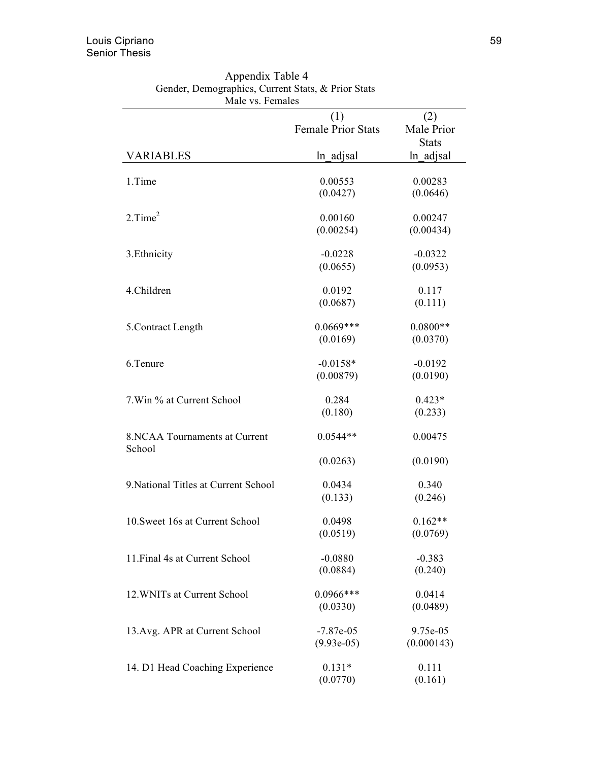| iviane vol i emianes                 |                                  |                      |
|--------------------------------------|----------------------------------|----------------------|
|                                      | (1)<br><b>Female Prior Stats</b> | (2)<br>Male Prior    |
|                                      |                                  | <b>Stats</b>         |
| <b>VARIABLES</b>                     | ln adjsal                        | ln adjsal            |
|                                      |                                  |                      |
| 1.Time                               | 0.00553                          | 0.00283              |
|                                      | (0.0427)                         | (0.0646)             |
| $2.$ Time $^2$                       | 0.00160                          |                      |
|                                      | (0.00254)                        | 0.00247<br>(0.00434) |
|                                      |                                  |                      |
| 3. Ethnicity                         | $-0.0228$                        | $-0.0322$            |
|                                      | (0.0655)                         | (0.0953)             |
| 4.Children                           | 0.0192                           |                      |
|                                      | (0.0687)                         | 0.117<br>(0.111)     |
|                                      |                                  |                      |
| 5.Contract Length                    | $0.0669***$                      | $0.0800**$           |
|                                      | (0.0169)                         | (0.0370)             |
| 6.Tenure                             | $-0.0158*$                       | $-0.0192$            |
|                                      | (0.00879)                        | (0.0190)             |
|                                      |                                  |                      |
| 7. Win % at Current School           | 0.284                            | $0.423*$             |
|                                      | (0.180)                          | (0.233)              |
| 8. NCAA Tournaments at Current       | $0.0544**$                       | 0.00475              |
| School                               |                                  |                      |
|                                      | (0.0263)                         | (0.0190)             |
|                                      |                                  |                      |
| 9. National Titles at Current School | 0.0434                           | 0.340                |
|                                      | (0.133)                          | (0.246)              |
| 10. Sweet 16s at Current School      | 0.0498                           | $0.162**$            |
|                                      | (0.0519)                         | (0.0769)             |
|                                      |                                  |                      |
| 11. Final 4s at Current School       | $-0.0880$                        | $-0.383$             |
|                                      | (0.0884)                         | (0.240)              |
| 12. WNITs at Current School          | $0.0966***$                      | 0.0414               |
|                                      | (0.0330)                         | (0.0489)             |
|                                      |                                  |                      |
| 13. Avg. APR at Current School       | $-7.87e-05$                      | 9.75e-05             |
|                                      | $(9.93e-05)$                     | (0.000143)           |
| 14. D1 Head Coaching Experience      | $0.131*$                         | 0.111                |
|                                      | (0.0770)                         | (0.161)              |

Appendix Table 4 Gender, Demographics, Current Stats, & Prior Stats Male vs. Females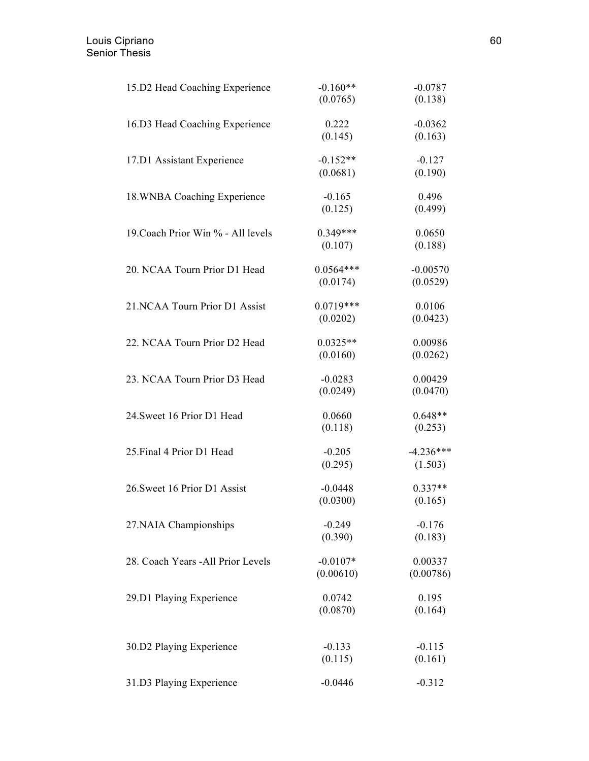| 15.D2 Head Coaching Experience     | $-0.160**$<br>(0.0765)  | $-0.0787$<br>(0.138)   |
|------------------------------------|-------------------------|------------------------|
| 16.D3 Head Coaching Experience     | 0.222                   | $-0.0362$              |
|                                    | (0.145)                 | (0.163)                |
| 17.D1 Assistant Experience         | $-0.152**$<br>(0.0681)  | $-0.127$<br>(0.190)    |
| 18. WNBA Coaching Experience       | $-0.165$<br>(0.125)     | 0.496<br>(0.499)       |
| 19. Coach Prior Win % - All levels | $0.349***$              | 0.0650                 |
|                                    | (0.107)                 | (0.188)                |
| 20. NCAA Tourn Prior D1 Head       | $0.0564***$<br>(0.0174) | $-0.00570$<br>(0.0529) |
| 21.NCAA Tourn Prior D1 Assist      | $0.0719***$             | 0.0106                 |
|                                    | (0.0202)                | (0.0423)               |
| 22. NCAA Tourn Prior D2 Head       | $0.0325**$<br>(0.0160)  | 0.00986<br>(0.0262)    |
| 23. NCAA Tourn Prior D3 Head       | $-0.0283$<br>(0.0249)   | 0.00429<br>(0.0470)    |
| 24. Sweet 16 Prior D1 Head         | 0.0660<br>(0.118)       | $0.648**$<br>(0.253)   |
| 25. Final 4 Prior D1 Head          | $-0.205$<br>(0.295)     | $-4.236***$<br>(1.503) |
| 26. Sweet 16 Prior D1 Assist       | $-0.0448$<br>(0.0300)   | $0.337**$<br>(0.165)   |
| 27.NAIA Championships              | $-0.249$<br>(0.390)     | $-0.176$<br>(0.183)    |
| 28. Coach Years - All Prior Levels | $-0.0107*$<br>(0.00610) | 0.00337<br>(0.00786)   |
| 29.D1 Playing Experience           | 0.0742<br>(0.0870)      | 0.195<br>(0.164)       |
| 30.D2 Playing Experience           | $-0.133$<br>(0.115)     | $-0.115$<br>(0.161)    |
| 31.D3 Playing Experience           | $-0.0446$               | $-0.312$               |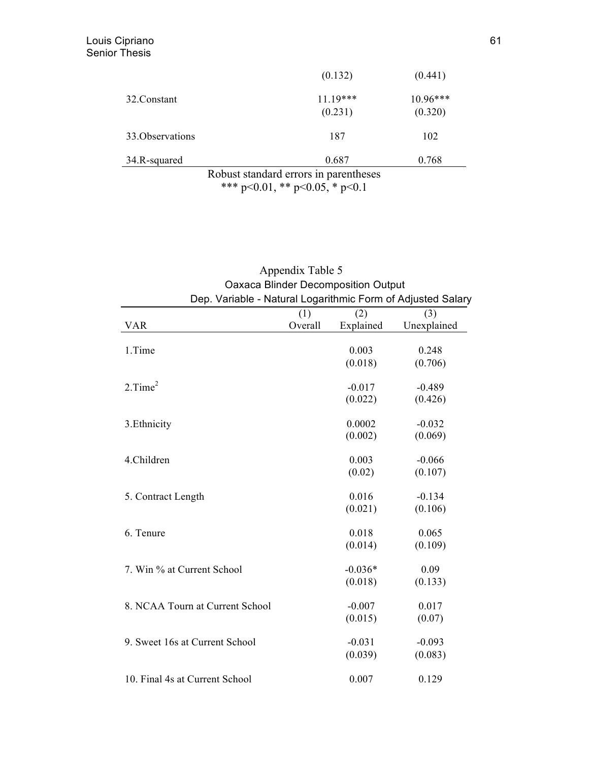|                  | (0.132)                               | (0.441)  |
|------------------|---------------------------------------|----------|
| 32. Constant     | $11.19***$                            | 10.96*** |
|                  | (0.231)                               | (0.320)  |
| 33. Observations | 187                                   | 102      |
| 34.R-squared     | 0.687                                 | 0.768    |
|                  | Robust standard errors in parentheses |          |

\*\*\* p<0.01, \*\* p<0.05, \* p<0.1

| Dep. Variable - Natural Logarithmic Form of Adjusted Salary |                | Oaxaca Blinder Decomposition Output |                     |
|-------------------------------------------------------------|----------------|-------------------------------------|---------------------|
| <b>VAR</b>                                                  | (1)<br>Overall | (2)<br>Explained                    | (3)<br>Unexplained  |
| 1.Time                                                      |                | 0.003<br>(0.018)                    | 0.248<br>(0.706)    |
| $2.$ Time $^2$                                              |                | $-0.017$                            | $-0.489$            |
| 3. Ethnicity                                                |                | (0.022)<br>0.0002                   | (0.426)<br>$-0.032$ |
| 4.Children                                                  |                | (0.002)<br>0.003                    | (0.069)<br>$-0.066$ |
|                                                             |                | (0.02)                              | (0.107)             |
| 5. Contract Length                                          |                | 0.016<br>(0.021)                    | $-0.134$<br>(0.106) |
| 6. Tenure                                                   |                | 0.018<br>(0.014)                    | 0.065<br>(0.109)    |
| 7. Win % at Current School                                  |                | $-0.036*$<br>(0.018)                | 0.09<br>(0.133)     |
| 8. NCAA Tourn at Current School                             |                | $-0.007$<br>(0.015)                 | 0.017<br>(0.07)     |
| 9. Sweet 16s at Current School                              |                | $-0.031$                            | $-0.093$            |
| 10. Final 4s at Current School                              |                | (0.039)<br>0.007                    | (0.083)<br>0.129    |
|                                                             |                |                                     |                     |

# Appendix Table 5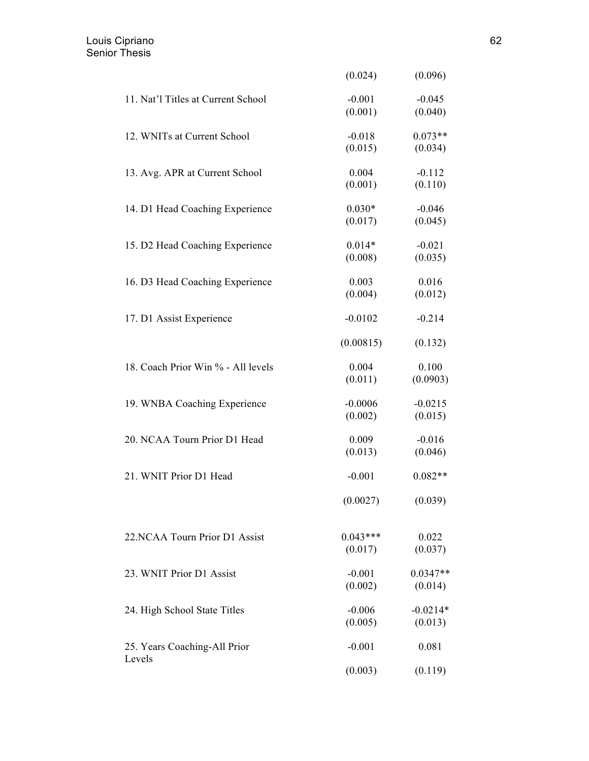|                                    | (0.024)               | (0.096)               |
|------------------------------------|-----------------------|-----------------------|
| 11. Nat'l Titles at Current School | $-0.001$<br>(0.001)   | $-0.045$<br>(0.040)   |
| 12. WNITs at Current School        | $-0.018$<br>(0.015)   | $0.073**$<br>(0.034)  |
| 13. Avg. APR at Current School     | 0.004<br>(0.001)      | $-0.112$<br>(0.110)   |
| 14. D1 Head Coaching Experience    | $0.030*$<br>(0.017)   | $-0.046$<br>(0.045)   |
| 15. D2 Head Coaching Experience    | $0.014*$<br>(0.008)   | $-0.021$<br>(0.035)   |
| 16. D3 Head Coaching Experience    | 0.003<br>(0.004)      | 0.016<br>(0.012)      |
| 17. D1 Assist Experience           | $-0.0102$             | $-0.214$              |
|                                    | (0.00815)             | (0.132)               |
| 18. Coach Prior Win % - All levels | 0.004<br>(0.011)      | 0.100<br>(0.0903)     |
| 19. WNBA Coaching Experience       | $-0.0006$<br>(0.002)  | $-0.0215$<br>(0.015)  |
| 20. NCAA Tourn Prior D1 Head       | 0.009<br>(0.013)      | $-0.016$<br>(0.046)   |
| 21. WNIT Prior D1 Head             | $-0.001$              | $0.082**$             |
|                                    | (0.0027)              | (0.039)               |
| 22.NCAA Tourn Prior D1 Assist      | $0.043***$<br>(0.017) | 0.022<br>(0.037)      |
| 23. WNIT Prior D1 Assist           | $-0.001$<br>(0.002)   | $0.0347**$<br>(0.014) |
| 24. High School State Titles       | $-0.006$<br>(0.005)   | $-0.0214*$<br>(0.013) |
| 25. Years Coaching-All Prior       | $-0.001$              | 0.081                 |
| Levels                             | (0.003)               | (0.119)               |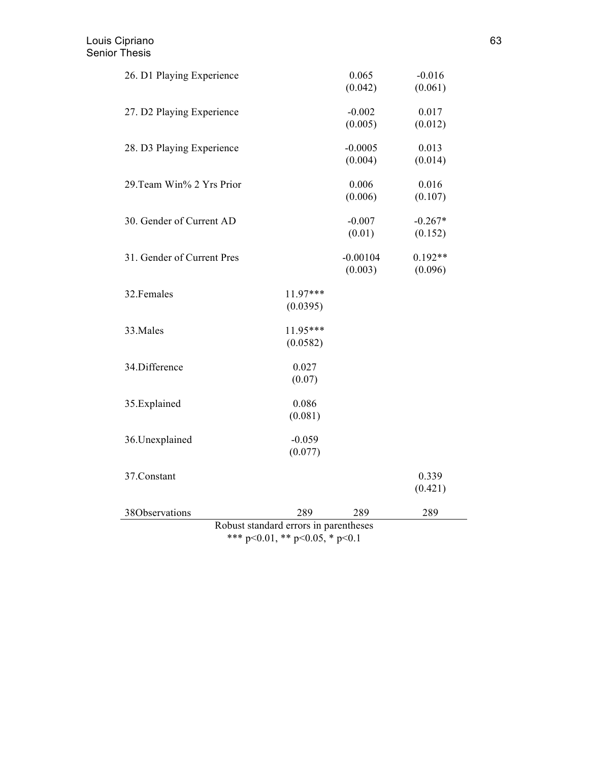| 26. D1 Playing Experience             |                                        | 0.065      | $-0.016$  |
|---------------------------------------|----------------------------------------|------------|-----------|
|                                       |                                        | (0.042)    | (0.061)   |
| 27. D2 Playing Experience             |                                        | $-0.002$   | 0.017     |
|                                       |                                        | (0.005)    | (0.012)   |
| 28. D3 Playing Experience             |                                        | $-0.0005$  | 0.013     |
|                                       |                                        | (0.004)    | (0.014)   |
| 29. Team Win% 2 Yrs Prior             |                                        | 0.006      | 0.016     |
|                                       |                                        | (0.006)    | (0.107)   |
| 30. Gender of Current AD              |                                        | $-0.007$   | $-0.267*$ |
|                                       |                                        | (0.01)     | (0.152)   |
| 31. Gender of Current Pres            |                                        | $-0.00104$ | $0.192**$ |
|                                       |                                        | (0.003)    | (0.096)   |
| 32. Females                           | 11.97***                               |            |           |
|                                       | (0.0395)                               |            |           |
| 33. Males                             | 11.95***                               |            |           |
|                                       | (0.0582)                               |            |           |
| 34.Difference                         | 0.027                                  |            |           |
|                                       | (0.07)                                 |            |           |
| 35.Explained                          | 0.086                                  |            |           |
|                                       | (0.081)                                |            |           |
| 36. Unexplained                       | $-0.059$                               |            |           |
|                                       | (0.077)                                |            |           |
| 37.Constant                           |                                        |            | 0.339     |
|                                       |                                        |            | (0.421)   |
| 38Observations                        | 289                                    | 289        | 289       |
| Robust standard errors in parentheses |                                        |            |           |
|                                       | *** $p<0.01$ , ** $p<0.05$ , * $p<0.1$ |            |           |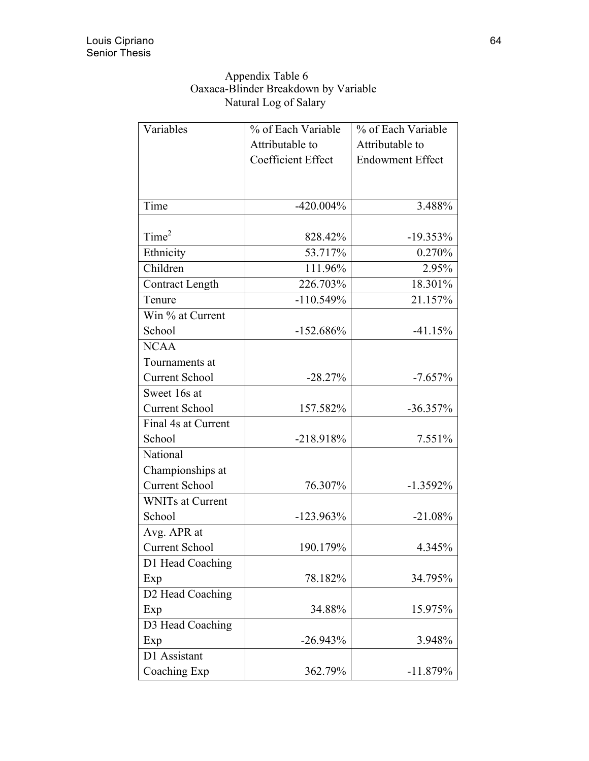| Appendix Table 6                     |
|--------------------------------------|
| Oaxaca-Blinder Breakdown by Variable |
| Natural Log of Salary                |

| Variables               | % of Each Variable        | % of Each Variable      |
|-------------------------|---------------------------|-------------------------|
|                         | Attributable to           | Attributable to         |
|                         | <b>Coefficient Effect</b> | <b>Endowment Effect</b> |
|                         |                           |                         |
|                         |                           |                         |
| Time                    | $-420.004\%$              | 3.488%                  |
|                         |                           |                         |
| Time <sup>2</sup>       | 828.42%                   | $-19.353\%$             |
| Ethnicity               | 53.717%                   | 0.270%                  |
| Children                | 111.96%                   | 2.95%                   |
| <b>Contract Length</b>  | 226.703%                  | 18.301%                 |
| Tenure                  | $-110.549%$               | 21.157%                 |
| Win % at Current        |                           |                         |
| School                  | $-152.686%$               | $-41.15%$               |
| <b>NCAA</b>             |                           |                         |
| Tournaments at          |                           |                         |
| <b>Current School</b>   | $-28.27%$                 | $-7.657%$               |
| Sweet 16s at            |                           |                         |
| <b>Current School</b>   | 157.582%                  | $-36.357\%$             |
| Final 4s at Current     |                           |                         |
| School                  | $-218.918%$               | 7.551%                  |
| National                |                           |                         |
| Championships at        |                           |                         |
| <b>Current School</b>   | 76.307%                   | $-1.3592\%$             |
| <b>WNITs at Current</b> |                           |                         |
| School                  | $-123.963\%$              | $-21.08%$               |
| Avg. APR at             |                           |                         |
| <b>Current School</b>   | 190.179%                  | 4.345%                  |
| D1 Head Coaching        |                           |                         |
| Exp                     | 78.182%                   | 34.795%                 |
| D2 Head Coaching        |                           |                         |
| Exp                     | 34.88%                    | 15.975%                 |
| D3 Head Coaching        |                           |                         |
| Exp                     | $-26.943%$                | 3.948%                  |
| D1 Assistant            |                           |                         |
| Coaching Exp            | 362.79%                   | $-11.879%$              |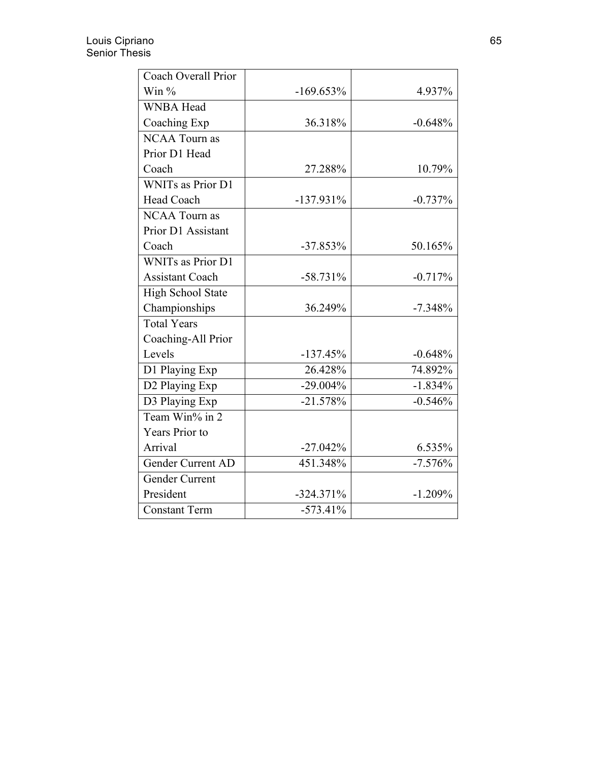| Coach Overall Prior      |              |           |
|--------------------------|--------------|-----------|
| Win $%$                  | $-169.653%$  | 4.937%    |
| <b>WNBA Head</b>         |              |           |
| Coaching Exp             | 36.318%      | $-0.648%$ |
| <b>NCAA Tourn as</b>     |              |           |
| Prior D1 Head            |              |           |
| Coach                    | 27.288%      | 10.79%    |
| <b>WNITs as Prior D1</b> |              |           |
| Head Coach               | $-137.931\%$ | $-0.737%$ |
| <b>NCAA Tourn as</b>     |              |           |
| Prior D1 Assistant       |              |           |
| Coach                    | $-37.853%$   | 50.165%   |
| <b>WNITs as Prior D1</b> |              |           |
| <b>Assistant Coach</b>   | $-58.731\%$  | $-0.717%$ |
| <b>High School State</b> |              |           |
| Championships            | 36.249%      | $-7.348%$ |
| <b>Total Years</b>       |              |           |
| Coaching-All Prior       |              |           |
| Levels                   | $-137.45%$   | $-0.648%$ |
| D1 Playing Exp           | 26.428%      | 74.892%   |
| D2 Playing Exp           | $-29.004\%$  | $-1.834%$ |
| D3 Playing Exp           | $-21.578%$   | $-0.546%$ |
| Team Win% in 2           |              |           |
| Years Prior to           |              |           |
| Arrival                  | $-27.042%$   | 6.535%    |
| Gender Current AD        | 451.348%     | $-7.576%$ |
| Gender Current           |              |           |
| President                | $-324.371%$  | $-1.209%$ |
| <b>Constant Term</b>     | $-573.41%$   |           |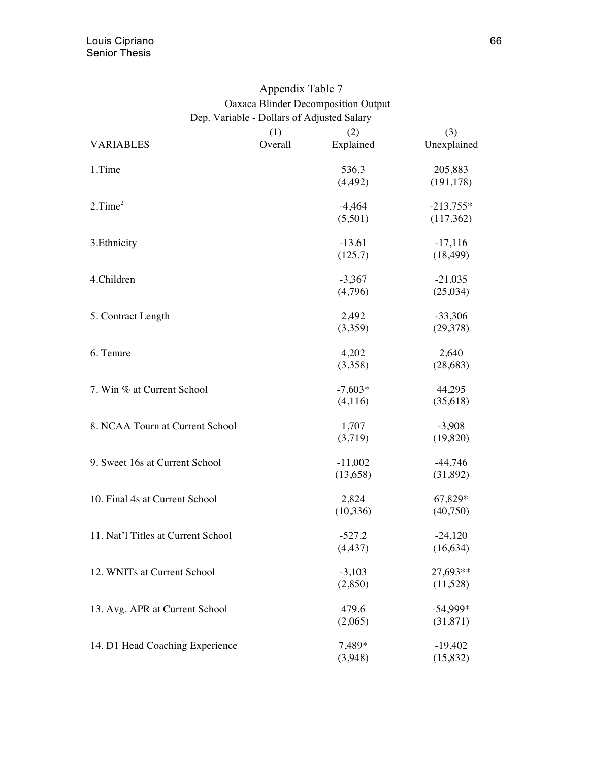|                                    | (1)     | (2)       | (3)         |
|------------------------------------|---------|-----------|-------------|
| <b>VARIABLES</b>                   | Overall | Explained | Unexplained |
| 1.Time                             |         | 536.3     | 205,883     |
|                                    |         | (4, 492)  | (191, 178)  |
|                                    |         |           |             |
| 2. Time <sup>2</sup>               |         | $-4,464$  | $-213,755*$ |
|                                    |         | (5,501)   | (117, 362)  |
|                                    |         |           |             |
| 3. Ethnicity                       |         | $-13.61$  | $-17,116$   |
|                                    |         | (125.7)   | (18, 499)   |
|                                    |         |           |             |
| 4.Children                         |         | $-3,367$  | $-21,035$   |
|                                    |         | (4,796)   | (25,034)    |
| 5. Contract Length                 |         | 2,492     | $-33,306$   |
|                                    |         | (3,359)   | (29,378)    |
|                                    |         |           |             |
| 6. Tenure                          |         | 4,202     | 2,640       |
|                                    |         | (3,358)   | (28, 683)   |
|                                    |         |           |             |
| 7. Win % at Current School         |         | $-7,603*$ | 44,295      |
|                                    |         | (4,116)   | (35,618)    |
|                                    |         |           |             |
| 8. NCAA Tourn at Current School    |         | 1,707     | $-3,908$    |
|                                    |         | (3,719)   | (19,820)    |
| 9. Sweet 16s at Current School     |         | $-11,002$ | $-44,746$   |
|                                    |         | (13,658)  | (31,892)    |
|                                    |         |           |             |
| 10. Final 4s at Current School     |         | 2,824     | 67,829*     |
|                                    |         | (10, 336) | (40,750)    |
|                                    |         |           |             |
| 11. Nat'l Titles at Current School |         | $-527.2$  | $-24,120$   |
|                                    |         | (4, 437)  | (16, 634)   |
| 12. WNITs at Current School        |         | $-3,103$  | 27,693**    |
|                                    |         | (2,850)   | (11,528)    |
|                                    |         |           |             |
| 13. Avg. APR at Current School     |         | 479.6     | $-54,999*$  |
|                                    |         | (2,065)   | (31, 871)   |
|                                    |         |           |             |
| 14. D1 Head Coaching Experience    |         | 7,489*    | $-19,402$   |
|                                    |         | (3,948)   | (15,832)    |

Appendix Table 7 Oaxaca Blinder Decomposition Output Dep. Variable - Dollars of Adjusted Salary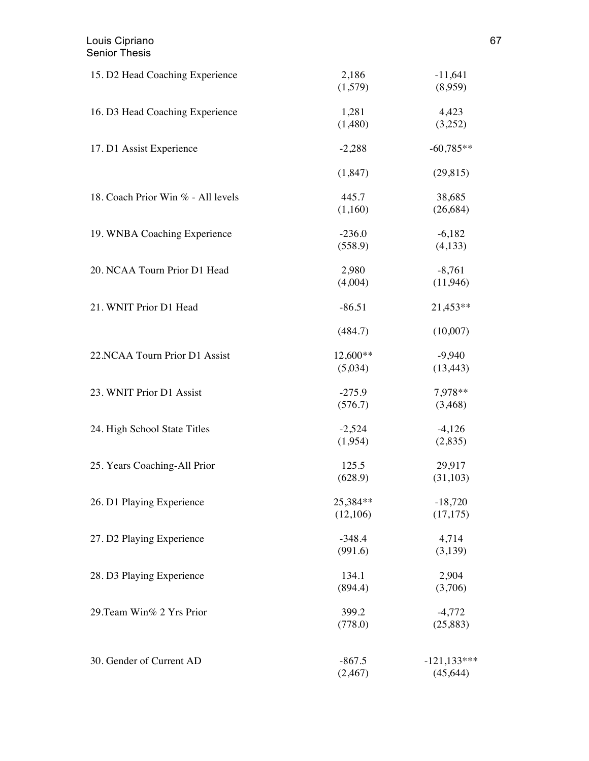| 15. D2 Head Coaching Experience    | 2,186<br>(1,579) | $-11,641$<br>(8,959) |
|------------------------------------|------------------|----------------------|
| 16. D3 Head Coaching Experience    | 1,281            | 4,423                |
|                                    | (1,480)          | (3,252)              |
| 17. D1 Assist Experience           | $-2,288$         | $-60,785**$          |
|                                    | (1,847)          | (29, 815)            |
| 18. Coach Prior Win % - All levels | 445.7            | 38,685               |
|                                    | (1,160)          | (26, 684)            |
| 19. WNBA Coaching Experience       | $-236.0$         | $-6,182$             |
|                                    | (558.9)          | (4,133)              |
| 20. NCAA Tourn Prior D1 Head       | 2,980            | $-8,761$             |
|                                    | (4,004)          | (11,946)             |
| 21. WNIT Prior D1 Head             | $-86.51$         | 21,453**             |
|                                    | (484.7)          | (10,007)             |
| 22.NCAA Tourn Prior D1 Assist      | 12,600**         | $-9,940$             |
|                                    | (5,034)          | (13, 443)            |
| 23. WNIT Prior D1 Assist           | $-275.9$         | 7,978**              |
|                                    | (576.7)          | (3,468)              |
| 24. High School State Titles       | $-2,524$         | $-4,126$             |
|                                    | (1,954)          | (2,835)              |
| 25. Years Coaching-All Prior       | 125.5            | 29,917               |
|                                    | (628.9)          | (31,103)             |
| 26. D1 Playing Experience          | 25,384**         | $-18,720$            |
|                                    | (12,106)         | (17, 175)            |
| 27. D2 Playing Experience          | $-348.4$         | 4,714                |
|                                    | (991.6)          | (3,139)              |
| 28. D3 Playing Experience          | 134.1            | 2,904                |
|                                    | (894.4)          | (3,706)              |
| 29. Team Win% 2 Yrs Prior          | 399.2            | $-4,772$             |
|                                    | (778.0)          | (25,883)             |
| 30. Gender of Current AD           | $-867.5$         | $-121,133***$        |
|                                    | (2, 467)         | (45, 644)            |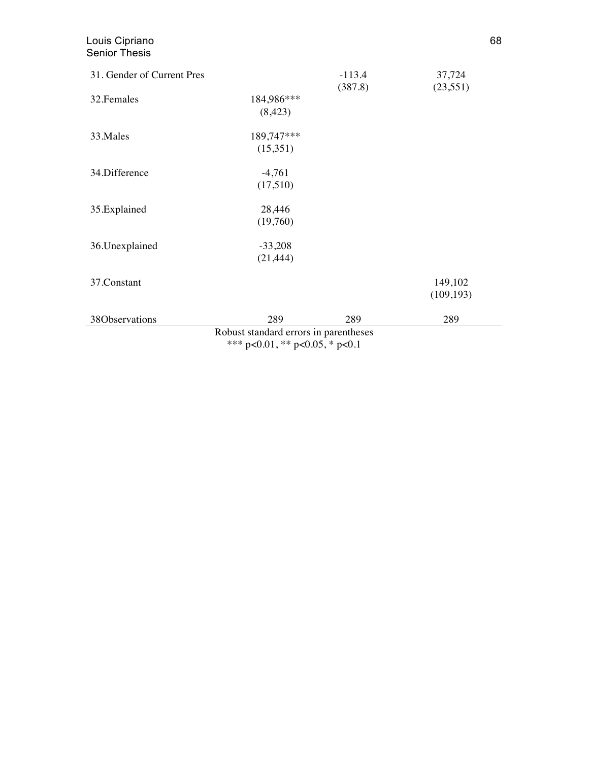| 31. Gender of Current Pres |                                                                             | $-113.4$ | 37,724     |
|----------------------------|-----------------------------------------------------------------------------|----------|------------|
|                            |                                                                             | (387.8)  | (23, 551)  |
| 32. Females                | 184,986***                                                                  |          |            |
|                            | (8,423)                                                                     |          |            |
| 33. Males                  | 189,747***                                                                  |          |            |
|                            | (15,351)                                                                    |          |            |
| 34.Difference              | $-4,761$                                                                    |          |            |
|                            | (17,510)                                                                    |          |            |
| 35.Explained               | 28,446                                                                      |          |            |
|                            | (19,760)                                                                    |          |            |
| 36.Unexplained             | $-33,208$                                                                   |          |            |
|                            | (21, 444)                                                                   |          |            |
| 37.Constant                |                                                                             |          | 149,102    |
|                            |                                                                             |          | (109, 193) |
| 38Observations             | 289                                                                         | 289      | 289        |
|                            | Robust standard errors in parentheses<br>$*** - 0.01$ ** $- 0.05$ * $- 0.1$ |          |            |

\*\*\* p<0.01, \*\* p<0.05, \* p<0.1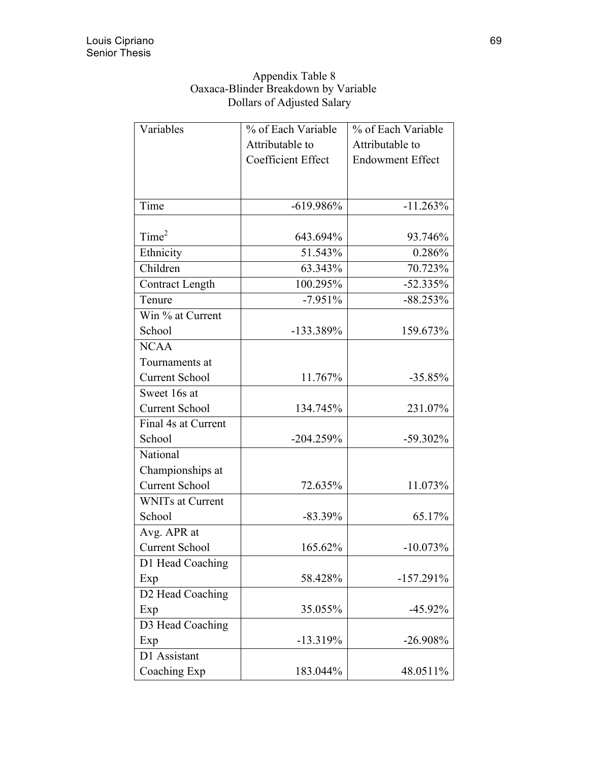| Appendix Table 8                     |
|--------------------------------------|
| Oaxaca-Blinder Breakdown by Variable |
| Dollars of Adjusted Salary           |

| Variables               | % of Each Variable        | % of Each Variable      |
|-------------------------|---------------------------|-------------------------|
|                         | Attributable to           | Attributable to         |
|                         | <b>Coefficient Effect</b> | <b>Endowment Effect</b> |
|                         |                           |                         |
|                         |                           |                         |
| Time                    | $-619.986%$               | $-11.263%$              |
|                         |                           |                         |
| Time <sup>2</sup>       | 643.694%                  | 93.746%                 |
| Ethnicity               | 51.543%                   | 0.286%                  |
| Children                | 63.343%                   | 70.723%                 |
| <b>Contract Length</b>  | 100.295%                  | $-52.335%$              |
| Tenure                  | $-7.951%$                 | $-88.253%$              |
| Win % at Current        |                           |                         |
| School                  | $-133.389%$               | 159.673%                |
| <b>NCAA</b>             |                           |                         |
| Tournaments at          |                           |                         |
| <b>Current School</b>   | 11.767%                   | $-35.85%$               |
| Sweet 16s at            |                           |                         |
| <b>Current School</b>   | 134.745%                  | 231.07%                 |
| Final 4s at Current     |                           |                         |
| School                  | $-204.259%$               | $-59.302\%$             |
| National                |                           |                         |
| Championships at        |                           |                         |
| <b>Current School</b>   | 72.635%                   | 11.073%                 |
| <b>WNITs at Current</b> |                           |                         |
| School                  | $-83.39%$                 | 65.17%                  |
| Avg. APR at             |                           |                         |
| <b>Current School</b>   | 165.62%                   | $-10.073\%$             |
| D1 Head Coaching        |                           |                         |
| Exp                     | 58.428%                   | $-157.291\%$            |
| D2 Head Coaching        |                           |                         |
| Exp                     | 35.055%                   | $-45.92\%$              |
| D3 Head Coaching        |                           |                         |
| Exp                     | $-13.319%$                | $-26.908%$              |
| D1 Assistant            |                           |                         |
| Coaching Exp            | 183.044%                  | 48.0511%                |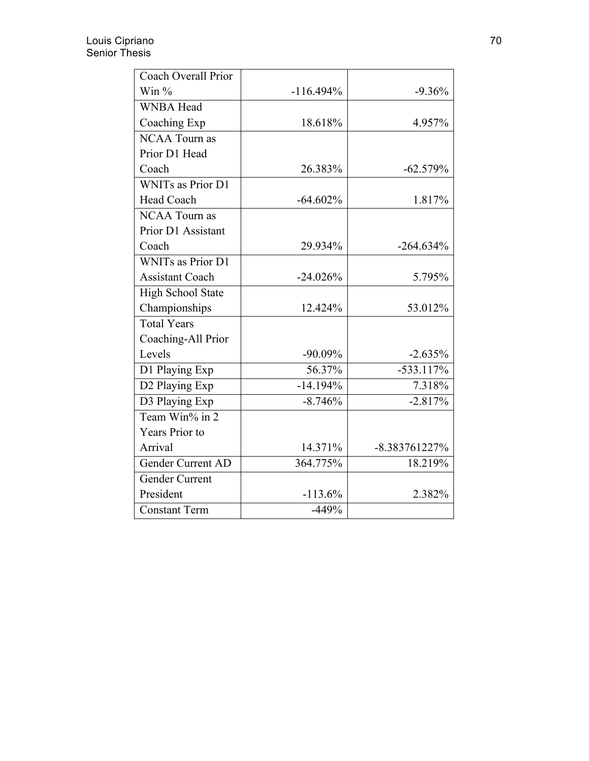| <b>Coach Overall Prior</b> |              |               |
|----------------------------|--------------|---------------|
| Win $%$                    | $-116.494\%$ | $-9.36%$      |
| <b>WNBA Head</b>           |              |               |
| Coaching Exp               | 18.618%      | 4.957%        |
| <b>NCAA Tourn as</b>       |              |               |
| Prior D1 Head              |              |               |
| Coach                      | 26.383%      | $-62.579%$    |
| WNITs as Prior D1          |              |               |
| Head Coach                 | $-64.602\%$  | 1.817%        |
| <b>NCAA Tourn as</b>       |              |               |
| Prior D1 Assistant         |              |               |
| Coach                      | 29.934%      | $-264.634%$   |
| <b>WNITs as Prior D1</b>   |              |               |
| <b>Assistant Coach</b>     | $-24.026%$   | 5.795%        |
| High School State          |              |               |
| Championships              | 12.424%      | 53.012%       |
| <b>Total Years</b>         |              |               |
| Coaching-All Prior         |              |               |
| Levels                     | $-90.09%$    | $-2.635%$     |
| D1 Playing Exp             | 56.37%       | $-533.117%$   |
| D2 Playing Exp             | $-14.194%$   | 7.318%        |
| D3 Playing Exp             | $-8.746%$    | $-2.817%$     |
| Team Win% in $2$           |              |               |
| <b>Years Prior to</b>      |              |               |
| Arrival                    | 14.371%      | -8.383761227% |
| Gender Current AD          | 364.775%     | 18.219%       |
| Gender Current             |              |               |
| President                  | $-113.6%$    | 2.382%        |
| <b>Constant Term</b>       | $-449%$      |               |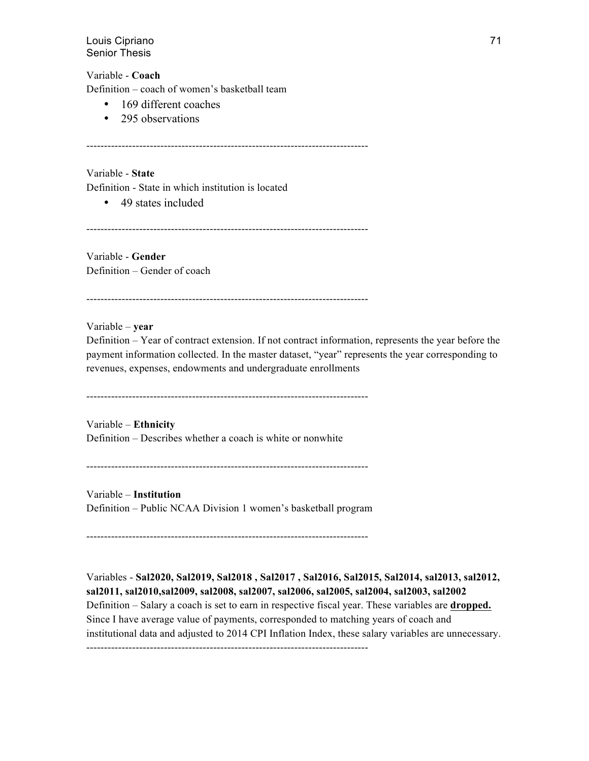Variable - **Coach**

Definition – coach of women's basketball team

- 169 different coaches
- 295 observations

--------------------------------------------------------------------------------

Variable - **State** Definition - State in which institution is located

• 49 states included

--------------------------------------------------------------------------------

Variable - **Gender** Definition – Gender of coach

--------------------------------------------------------------------------------

Variable – **year** Definition – Year of contract extension. If not contract information, represents the year before the payment information collected. In the master dataset, "year" represents the year corresponding to revenues, expenses, endowments and undergraduate enrollments

--------------------------------------------------------------------------------

Variable – **Ethnicity** Definition – Describes whether a coach is white or nonwhite

--------------------------------------------------------------------------------

Variable – **Institution** Definition – Public NCAA Division 1 women's basketball program

--------------------------------------------------------------------------------

Variables - **Sal2020, Sal2019, Sal2018 , Sal2017 , Sal2016, Sal2015, Sal2014, sal2013, sal2012, sal2011, sal2010,sal2009, sal2008, sal2007, sal2006, sal2005, sal2004, sal2003, sal2002** Definition – Salary a coach is set to earn in respective fiscal year. These variables are **dropped.**  Since I have average value of payments, corresponded to matching years of coach and institutional data and adjusted to 2014 CPI Inflation Index, these salary variables are unnecessary. --------------------------------------------------------------------------------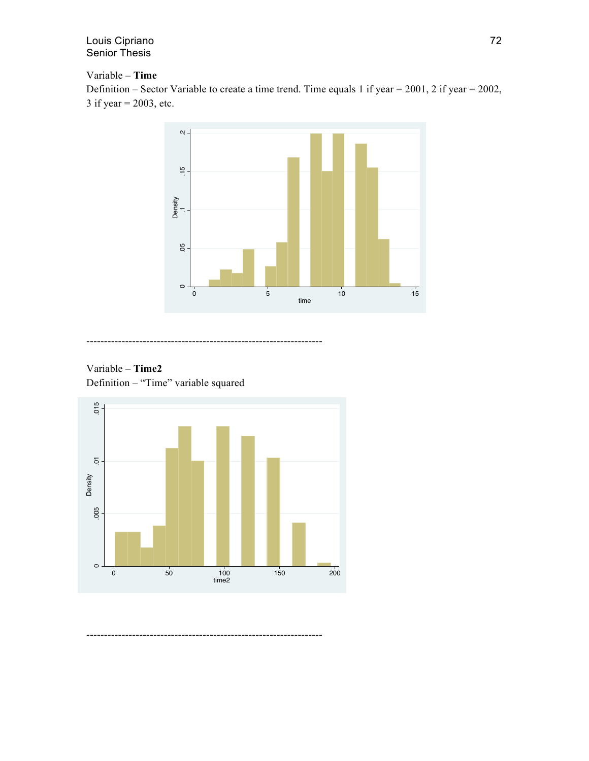## Variable – **Time**

Definition – Sector Variable to create a time trend. Time equals 1 if year = 2001, 2 if year = 2002, 3 if year = 2003, etc.







-------------------------------------------------------------------

-------------------------------------------------------------------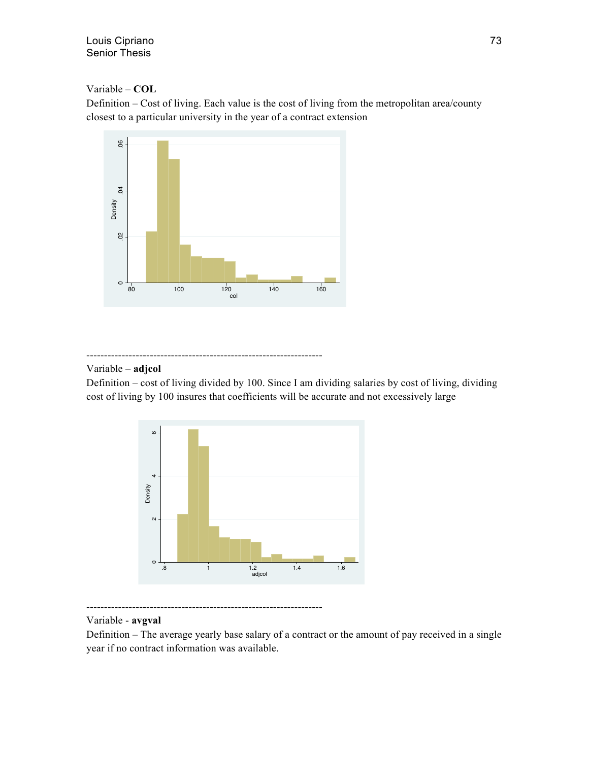Variable – **COL**

Definition – Cost of living. Each value is the cost of living from the metropolitan area/county closest to a particular university in the year of a contract extension



-------------------------------------------------------------------

# Variable – **adjcol**

Definition – cost of living divided by 100. Since I am dividing salaries by cost of living, dividing cost of living by 100 insures that coefficients will be accurate and not excessively large





# Variable - **avgval**

Definition – The average yearly base salary of a contract or the amount of pay received in a single year if no contract information was available.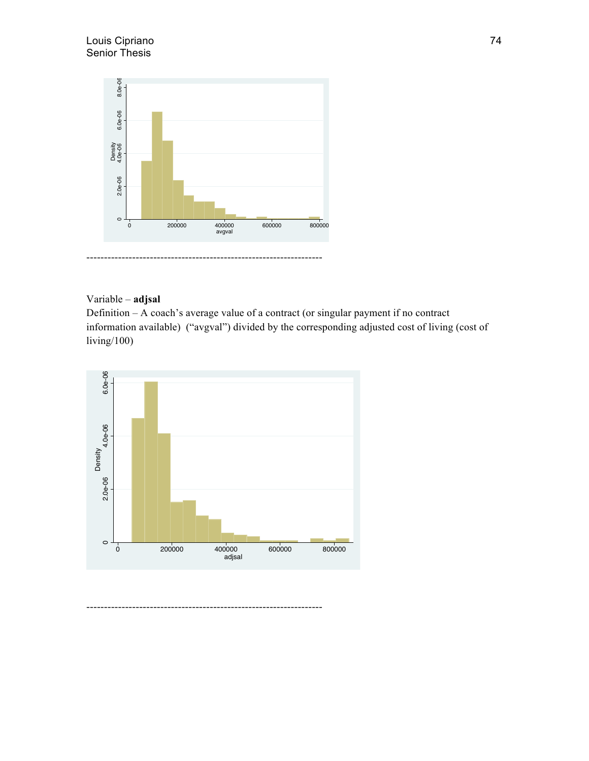

# Variable – **adjsal**

Definition – A coach's average value of a contract (or singular payment if no contract information available) ("avgval") divided by the corresponding adjusted cost of living (cost of living/100)

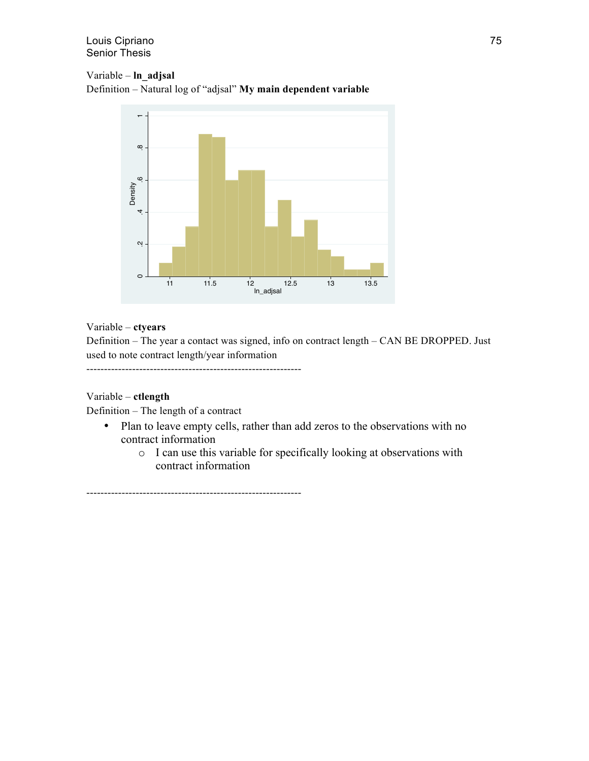# Variable – **ln\_adjsal**

Definition – Natural log of "adjsal" **My main dependent variable**



# Variable – **ctyears**

Definition – The year a contact was signed, info on contract length – CAN BE DROPPED. Just used to note contract length/year information

-------------------------------------------------------------

# Variable – **ctlength**

Definition – The length of a contract

- Plan to leave empty cells, rather than add zeros to the observations with no contract information
	- o I can use this variable for specifically looking at observations with contract information

-------------------------------------------------------------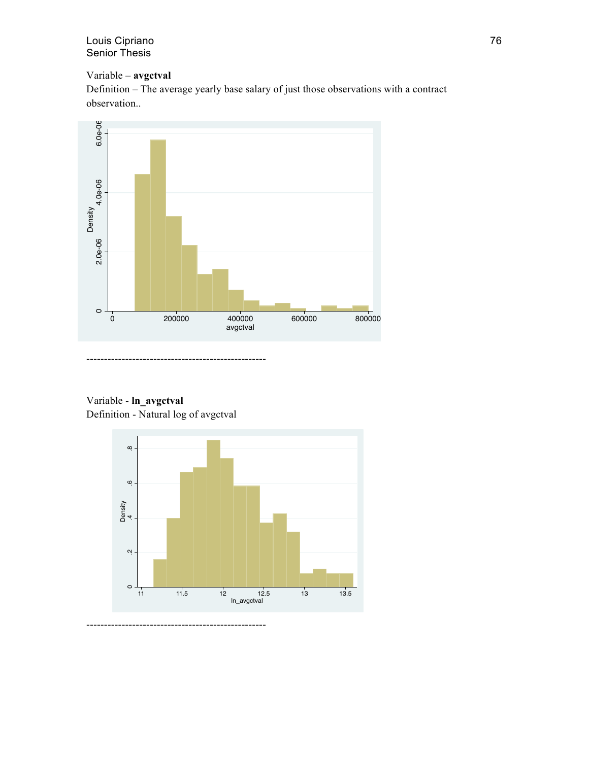# Variable – **avgctval**

Definition – The average yearly base salary of just those observations with a contract observation..



Variable - **ln\_avgctval** Definition - Natural log of avgctval



---------------------------------------------------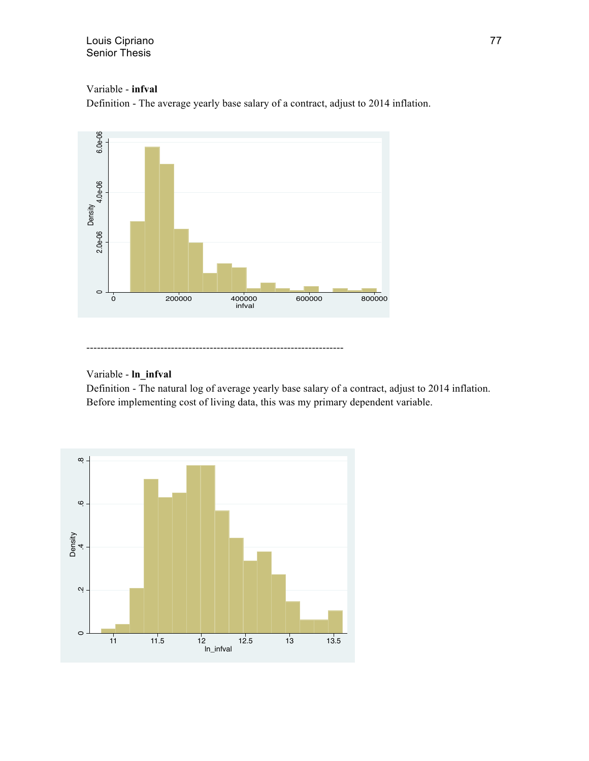Variable - **infval**

Definition - The average yearly base salary of a contract, adjust to 2014 inflation.



# Variable - **ln\_infval**

Definition - The natural log of average yearly base salary of a contract, adjust to 2014 inflation. Before implementing cost of living data, this was my primary dependent variable.

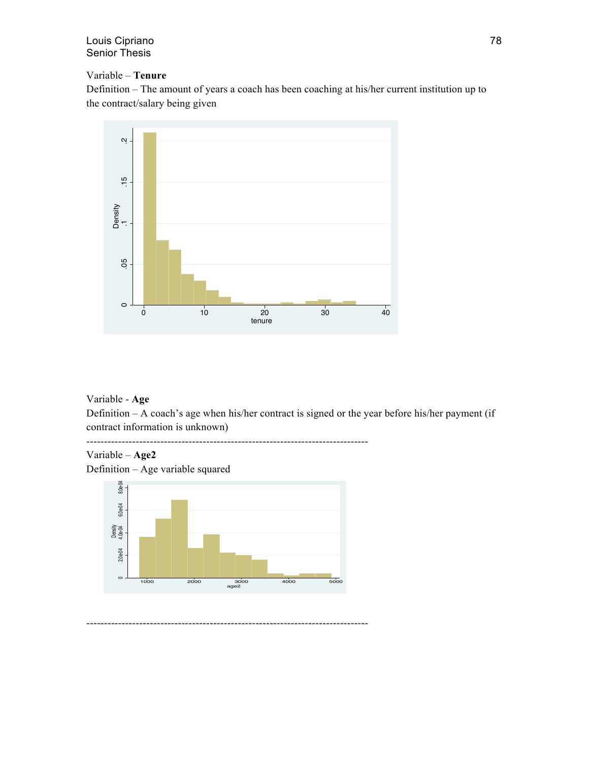# Variable – **Tenure**

Definition – The amount of years a coach has been coaching at his/her current institution up to the contract/salary being given



Variable - **Age**

Definition – A coach's age when his/her contract is signed or the year before his/her payment (if contract information is unknown)

-------------------------------------------------------------------------------- Variable – **Age2** Definition – Age variable squared

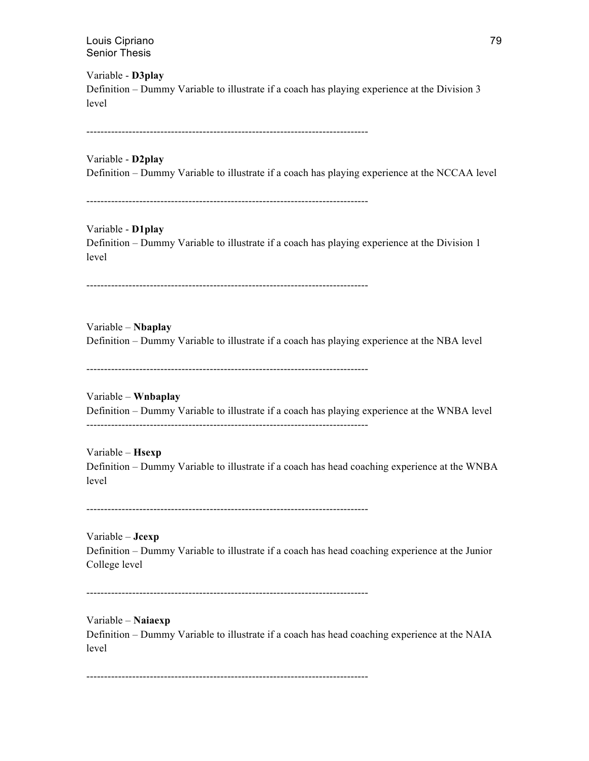Variable - **D3play** Definition – Dummy Variable to illustrate if a coach has playing experience at the Division 3 level

--------------------------------------------------------------------------------

#### Variable - **D2play**

Definition – Dummy Variable to illustrate if a coach has playing experience at the NCCAA level

--------------------------------------------------------------------------------

#### Variable - **D1play**

Definition – Dummy Variable to illustrate if a coach has playing experience at the Division 1 level

--------------------------------------------------------------------------------

Variable – **Nbaplay** Definition – Dummy Variable to illustrate if a coach has playing experience at the NBA level

--------------------------------------------------------------------------------

Variable – **Wnbaplay** Definition – Dummy Variable to illustrate if a coach has playing experience at the WNBA level --------------------------------------------------------------------------------

Variable – **Hsexp** Definition – Dummy Variable to illustrate if a coach has head coaching experience at the WNBA level

--------------------------------------------------------------------------------

Variable – **Jcexp** Definition – Dummy Variable to illustrate if a coach has head coaching experience at the Junior College level

--------------------------------------------------------------------------------

Variable – **Naiaexp** Definition – Dummy Variable to illustrate if a coach has head coaching experience at the NAIA level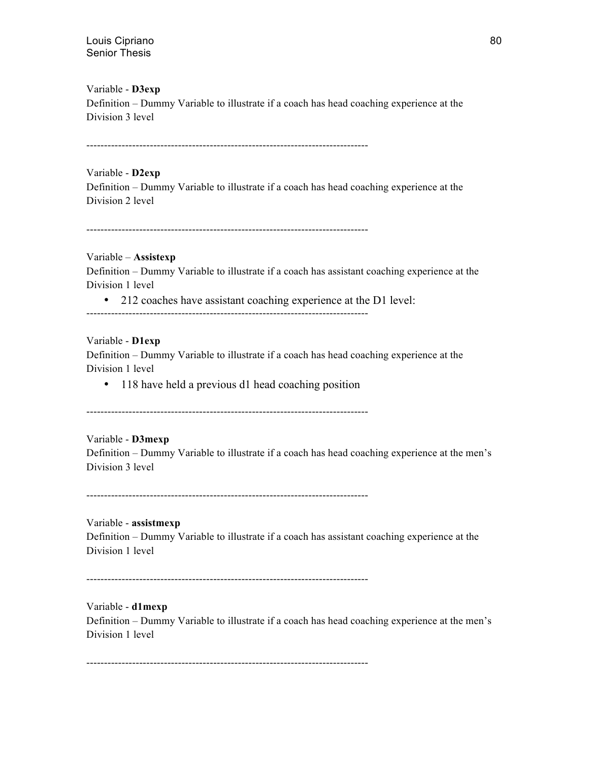Variable - **D3exp** Definition – Dummy Variable to illustrate if a coach has head coaching experience at the Division 3 level

--------------------------------------------------------------------------------

Variable - **D2exp** Definition – Dummy Variable to illustrate if a coach has head coaching experience at the Division 2 level

--------------------------------------------------------------------------------

Variable – **Assistexp** Definition – Dummy Variable to illustrate if a coach has assistant coaching experience at the Division 1 level

• 212 coaches have assistant coaching experience at the D1 level:

--------------------------------------------------------------------------------

Variable - **D1exp**

Definition – Dummy Variable to illustrate if a coach has head coaching experience at the Division 1 level

• 118 have held a previous d1 head coaching position

--------------------------------------------------------------------------------

Variable - **D3mexp** Definition – Dummy Variable to illustrate if a coach has head coaching experience at the men's Division 3 level

--------------------------------------------------------------------------------

Variable - **assistmexp** 

Definition – Dummy Variable to illustrate if a coach has assistant coaching experience at the Division 1 level

--------------------------------------------------------------------------------

Variable - **d1mexp**

Definition – Dummy Variable to illustrate if a coach has head coaching experience at the men's Division 1 level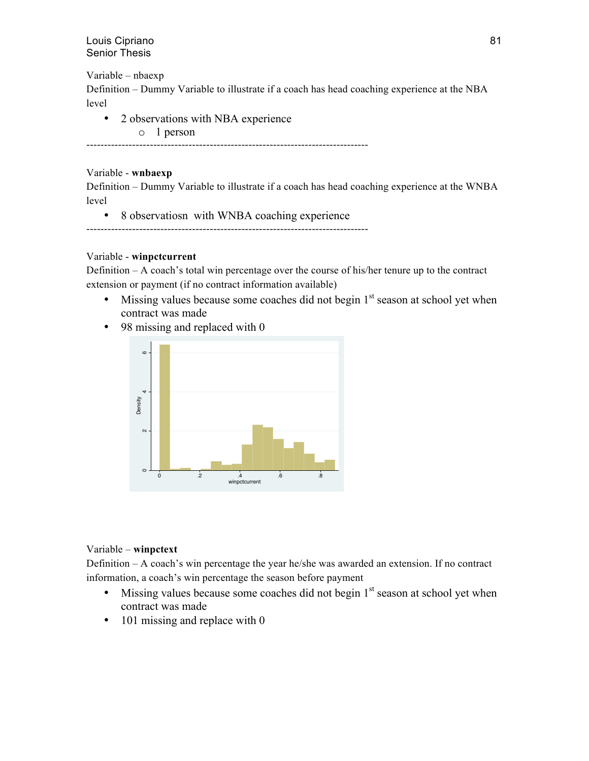Variable – nbaexp

Definition – Dummy Variable to illustrate if a coach has head coaching experience at the NBA level

• 2 observations with NBA experience o 1 person

--------------------------------------------------------------------------------

# Variable - **wnbaexp**

Definition – Dummy Variable to illustrate if a coach has head coaching experience at the WNBA level

• 8 observatiosn with WNBA coaching experience

--------------------------------------------------------------------------------

# Variable - **winpctcurrent**

Definition – A coach's total win percentage over the course of his/her tenure up to the contract extension or payment (if no contract information available)

- Missing values because some coaches did not begin  $1<sup>st</sup>$  season at school yet when contract was made
- 98 missing and replaced with 0



# Variable – **winpctext**

Definition – A coach's win percentage the year he/she was awarded an extension. If no contract information, a coach's win percentage the season before payment

- Missing values because some coaches did not begin  $1<sup>st</sup>$  season at school yet when contract was made
- 101 missing and replace with 0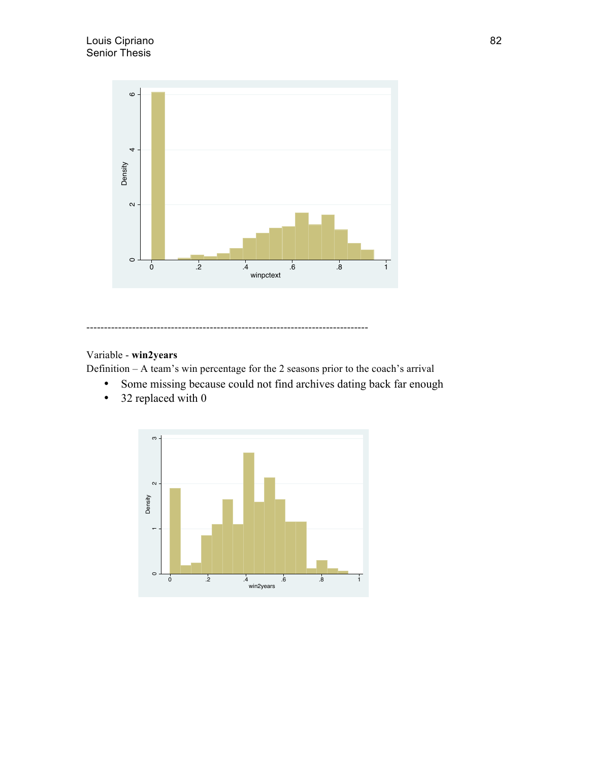

# Variable - **win2years**

Definition – A team's win percentage for the 2 seasons prior to the coach's arrival

- Some missing because could not find archives dating back far enough
- 32 replaced with 0

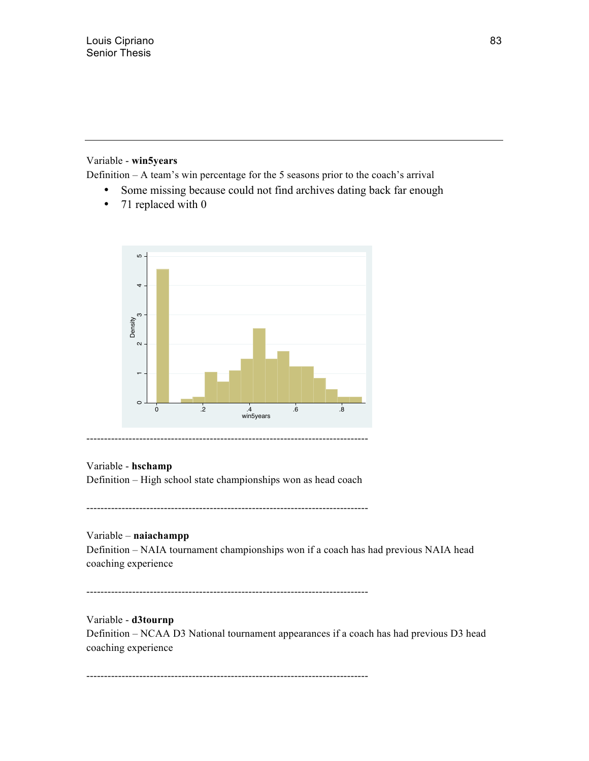# Variable - **win5years**

Definition – A team's win percentage for the 5 seasons prior to the coach's arrival

- Some missing because could not find archives dating back far enough
- 71 replaced with 0



# Variable - **hschamp**

Definition – High school state championships won as head coach

--------------------------------------------------------------------------------

# Variable – **naiachampp**

Definition – NAIA tournament championships won if a coach has had previous NAIA head coaching experience

--------------------------------------------------------------------------------

# Variable - **d3tournp**

Definition – NCAA D3 National tournament appearances if a coach has had previous D3 head coaching experience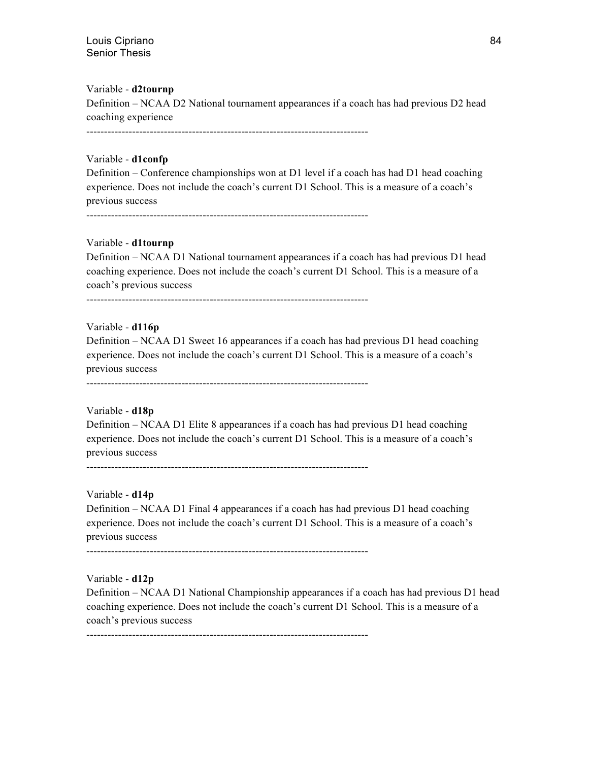#### Variable - **d2tournp**

Definition – NCAA D2 National tournament appearances if a coach has had previous D2 head coaching experience

--------------------------------------------------------------------------------

#### Variable - **d1confp**

Definition – Conference championships won at D1 level if a coach has had D1 head coaching experience. Does not include the coach's current D1 School. This is a measure of a coach's previous success

--------------------------------------------------------------------------------

#### Variable - **d1tournp**

Definition – NCAA D1 National tournament appearances if a coach has had previous D1 head coaching experience. Does not include the coach's current D1 School. This is a measure of a coach's previous success

--------------------------------------------------------------------------------

#### Variable - **d116p**

Definition – NCAA D1 Sweet 16 appearances if a coach has had previous D1 head coaching experience. Does not include the coach's current D1 School. This is a measure of a coach's previous success

--------------------------------------------------------------------------------

#### Variable - **d18p**

Definition – NCAA D1 Elite 8 appearances if a coach has had previous D1 head coaching experience. Does not include the coach's current D1 School. This is a measure of a coach's previous success

--------------------------------------------------------------------------------

#### Variable - **d14p**

Definition – NCAA D1 Final 4 appearances if a coach has had previous D1 head coaching experience. Does not include the coach's current D1 School. This is a measure of a coach's previous success

--------------------------------------------------------------------------------

#### Variable - **d12p**

Definition – NCAA D1 National Championship appearances if a coach has had previous D1 head coaching experience. Does not include the coach's current D1 School. This is a measure of a coach's previous success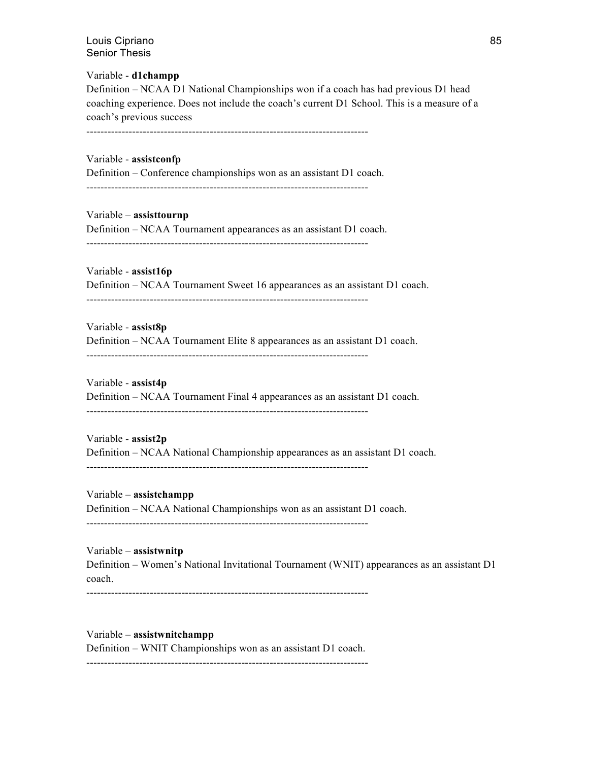Variable - **d1champp** Definition – NCAA D1 National Championships won if a coach has had previous D1 head coaching experience. Does not include the coach's current D1 School. This is a measure of a coach's previous success

--------------------------------------------------------------------------------

Variable - **assistconfp** Definition – Conference championships won as an assistant D1 coach. --------------------------------------------------------------------------------

Variable – **assisttournp** Definition – NCAA Tournament appearances as an assistant D1 coach. --------------------------------------------------------------------------------

Variable - **assist16p** Definition – NCAA Tournament Sweet 16 appearances as an assistant D1 coach. --------------------------------------------------------------------------------

Variable - **assist8p** Definition – NCAA Tournament Elite 8 appearances as an assistant D1 coach. --------------------------------------------------------------------------------

Variable - **assist4p** Definition – NCAA Tournament Final 4 appearances as an assistant D1 coach. --------------------------------------------------------------------------------

Variable - **assist2p** Definition – NCAA National Championship appearances as an assistant D1 coach. --------------------------------------------------------------------------------

Variable – **assistchampp** Definition – NCAA National Championships won as an assistant D1 coach. --------------------------------------------------------------------------------

Variable – **assistwnitp** Definition – Women's National Invitational Tournament (WNIT) appearances as an assistant D1 coach.

--------------------------------------------------------------------------------

Variable – **assistwnitchampp** Definition – WNIT Championships won as an assistant D1 coach. --------------------------------------------------------------------------------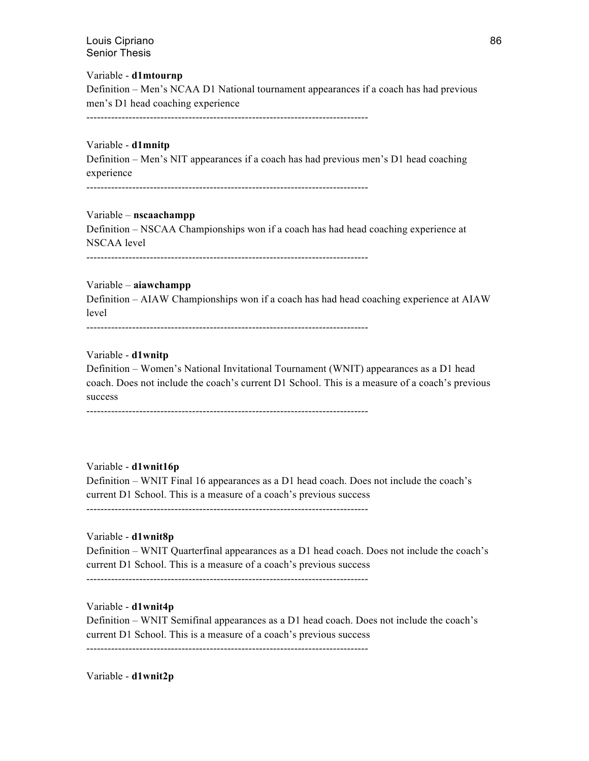Variable - **d1mtournp** Definition – Men's NCAA D1 National tournament appearances if a coach has had previous men's D1 head coaching experience

--------------------------------------------------------------------------------

#### Variable - **d1mnitp**

Definition – Men's NIT appearances if a coach has had previous men's D1 head coaching experience

--------------------------------------------------------------------------------

#### Variable – **nscaachampp**

Definition – NSCAA Championships won if a coach has had head coaching experience at NSCAA level

--------------------------------------------------------------------------------

#### Variable – **aiawchampp**

Definition – AIAW Championships won if a coach has had head coaching experience at AIAW level

--------------------------------------------------------------------------------

#### Variable - **d1wnitp**

Definition – Women's National Invitational Tournament (WNIT) appearances as a D1 head coach. Does not include the coach's current D1 School. This is a measure of a coach's previous success

--------------------------------------------------------------------------------

#### Variable - **d1wnit16p**

Definition – WNIT Final 16 appearances as a D1 head coach. Does not include the coach's current D1 School. This is a measure of a coach's previous success

--------------------------------------------------------------------------------

#### Variable - **d1wnit8p**

Definition – WNIT Quarterfinal appearances as a D1 head coach. Does not include the coach's current D1 School. This is a measure of a coach's previous success

--------------------------------------------------------------------------------

#### Variable - **d1wnit4p**

Definition – WNIT Semifinal appearances as a D1 head coach. Does not include the coach's current D1 School. This is a measure of a coach's previous success

--------------------------------------------------------------------------------

Variable - **d1wnit2p**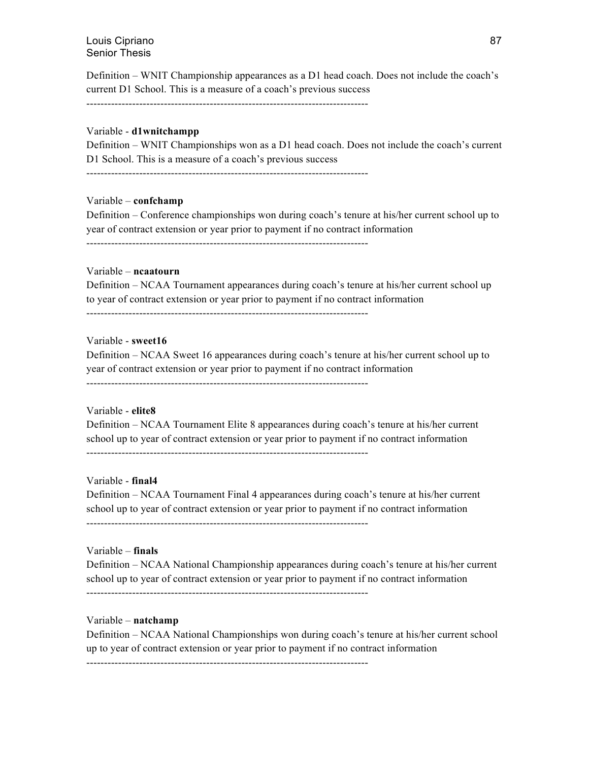Definition – WNIT Championship appearances as a D1 head coach. Does not include the coach's current D1 School. This is a measure of a coach's previous success

--------------------------------------------------------------------------------

#### Variable - **d1wnitchampp**

Definition – WNIT Championships won as a D1 head coach. Does not include the coach's current D1 School. This is a measure of a coach's previous success

--------------------------------------------------------------------------------

#### Variable – **confchamp**

Definition – Conference championships won during coach's tenure at his/her current school up to year of contract extension or year prior to payment if no contract information --------------------------------------------------------------------------------

#### Variable – **ncaatourn**

Definition – NCAA Tournament appearances during coach's tenure at his/her current school up to year of contract extension or year prior to payment if no contract information

--------------------------------------------------------------------------------

#### Variable - **sweet16**

Definition – NCAA Sweet 16 appearances during coach's tenure at his/her current school up to year of contract extension or year prior to payment if no contract information

--------------------------------------------------------------------------------

#### Variable - **elite8**

Definition – NCAA Tournament Elite 8 appearances during coach's tenure at his/her current school up to year of contract extension or year prior to payment if no contract information --------------------------------------------------------------------------------

#### Variable - **final4**

Definition – NCAA Tournament Final 4 appearances during coach's tenure at his/her current school up to year of contract extension or year prior to payment if no contract information --------------------------------------------------------------------------------

#### Variable – **finals**

Definition – NCAA National Championship appearances during coach's tenure at his/her current school up to year of contract extension or year prior to payment if no contract information --------------------------------------------------------------------------------

#### Variable – **natchamp**

Definition – NCAA National Championships won during coach's tenure at his/her current school up to year of contract extension or year prior to payment if no contract information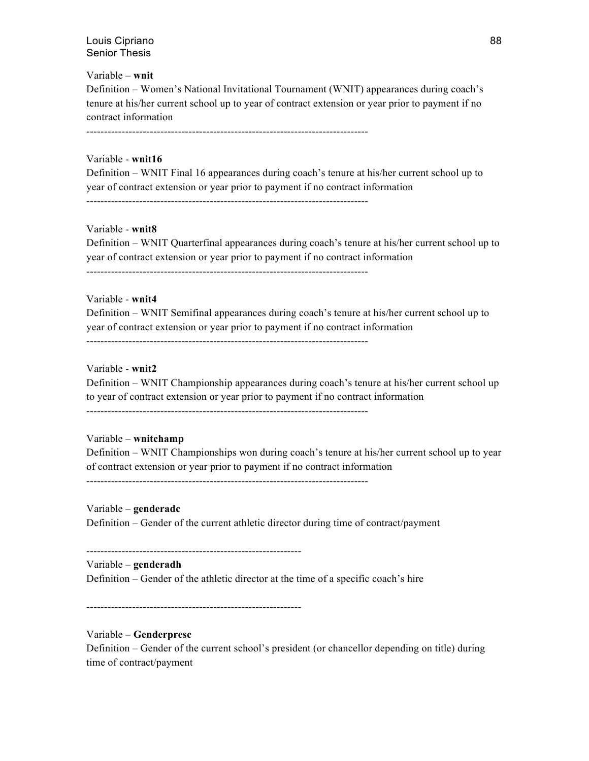#### Variable – **wnit**

Definition – Women's National Invitational Tournament (WNIT) appearances during coach's tenure at his/her current school up to year of contract extension or year prior to payment if no contract information

--------------------------------------------------------------------------------

#### Variable - **wnit16**

Definition – WNIT Final 16 appearances during coach's tenure at his/her current school up to year of contract extension or year prior to payment if no contract information

--------------------------------------------------------------------------------

# Variable - **wnit8**

Definition – WNIT Quarterfinal appearances during coach's tenure at his/her current school up to year of contract extension or year prior to payment if no contract information

--------------------------------------------------------------------------------

#### Variable - **wnit4**

Definition – WNIT Semifinal appearances during coach's tenure at his/her current school up to year of contract extension or year prior to payment if no contract information

--------------------------------------------------------------------------------

#### Variable - **wnit2**

Definition – WNIT Championship appearances during coach's tenure at his/her current school up to year of contract extension or year prior to payment if no contract information

--------------------------------------------------------------------------------

#### Variable – **wnitchamp**

Definition – WNIT Championships won during coach's tenure at his/her current school up to year of contract extension or year prior to payment if no contract information

--------------------------------------------------------------------------------

#### Variable – **genderadc**

Definition – Gender of the current athletic director during time of contract/payment

-------------------------------------------------------------

#### Variable – **genderadh**

Definition – Gender of the athletic director at the time of a specific coach's hire

-------------------------------------------------------------

#### Variable – **Genderpresc**

Definition – Gender of the current school's president (or chancellor depending on title) during time of contract/payment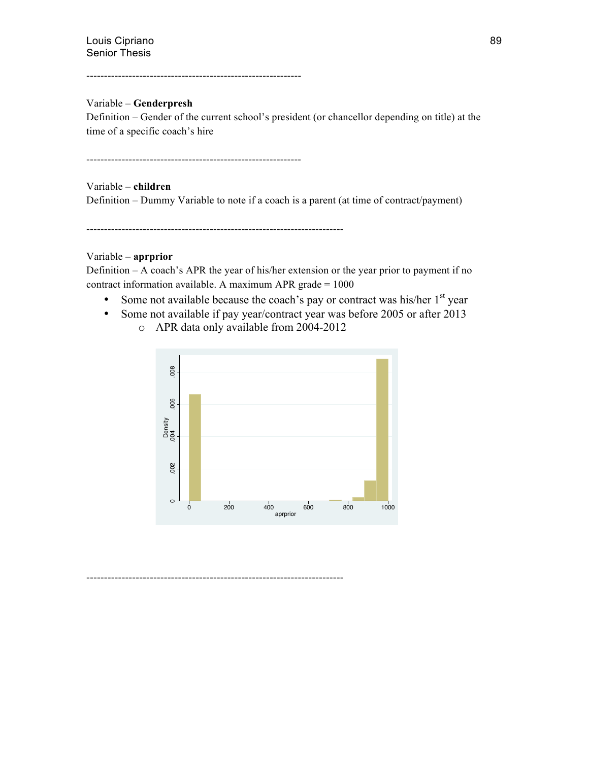-------------------------------------------------------------

## Variable – **Genderpresh**

Definition – Gender of the current school's president (or chancellor depending on title) at the time of a specific coach's hire

-------------------------------------------------------------

Variable – **children** Definition – Dummy Variable to note if a coach is a parent (at time of contract/payment)

-------------------------------------------------------------------------

#### Variable – **aprprior**

Definition – A coach's APR the year of his/her extension or the year prior to payment if no contract information available. A maximum APR grade = 1000

- Some not available because the coach's pay or contract was his/her  $1<sup>st</sup>$  year
- Some not available if pay year/contract year was before 2005 or after 2013 o APR data only available from 2004-2012

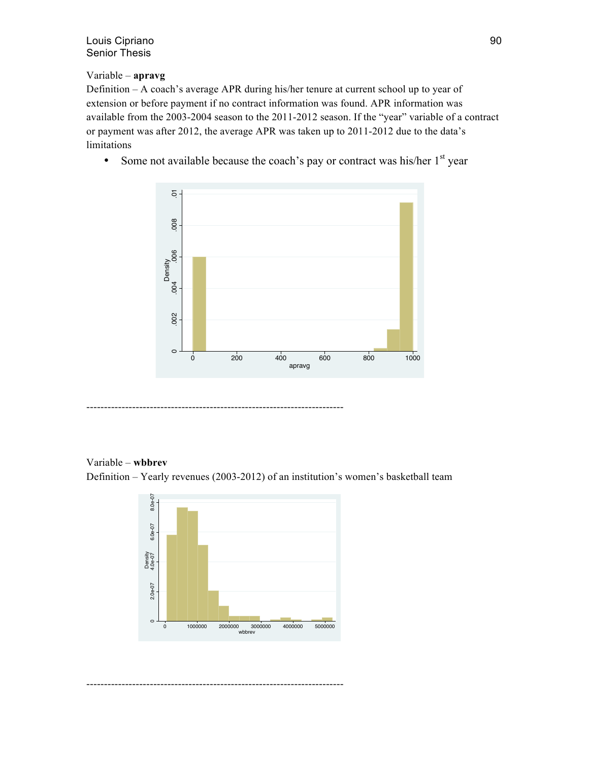# Variable – **apravg**

Definition – A coach's average APR during his/her tenure at current school up to year of extension or before payment if no contract information was found. APR information was available from the 2003-2004 season to the 2011-2012 season. If the "year" variable of a contract or payment was after 2012, the average APR was taken up to 2011-2012 due to the data's limitations

• Some not available because the coach's pay or contract was his/her  $1<sup>st</sup>$  year



# Variable – **wbbrev**

Definition – Yearly revenues (2003-2012) of an institution's women's basketball team

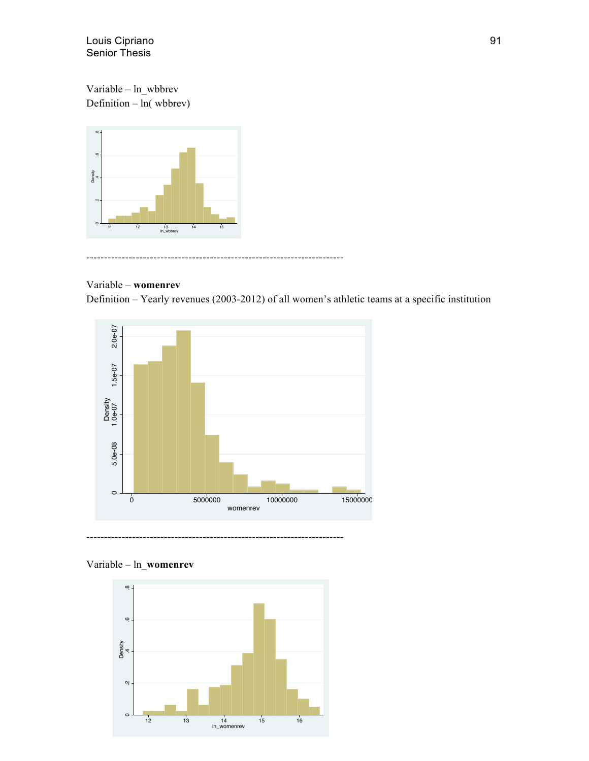Variable – ln\_wbbrev Definition – ln( wbbrev)



#### -------------------------------------------------------------------------

# Variable – **womenrev**

Definition – Yearly revenues (2003-2012) of all women's athletic teams at a specific institution



# Variable – ln\_**womenrev**

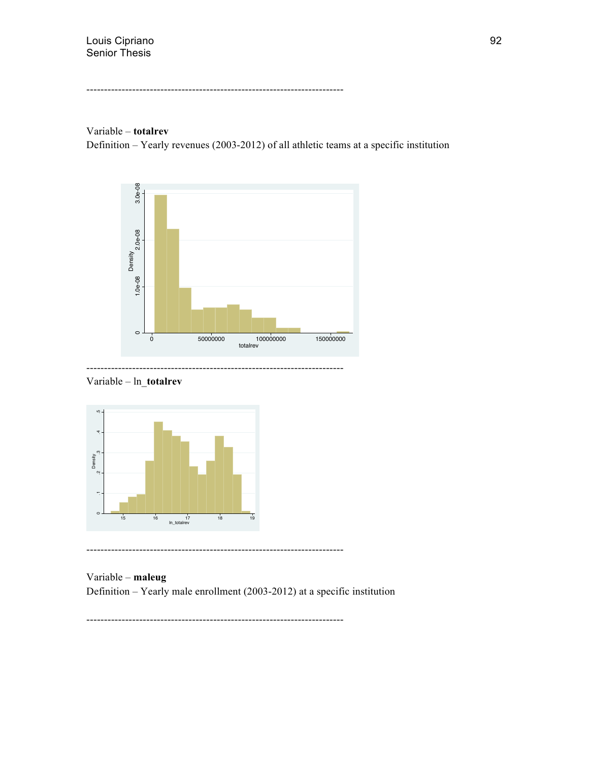-------------------------------------------------------------------------

# Variable – **totalrev**

Definition – Yearly revenues (2003-2012) of all athletic teams at a specific institution







Variable – **maleug** Definition – Yearly male enrollment (2003-2012) at a specific institution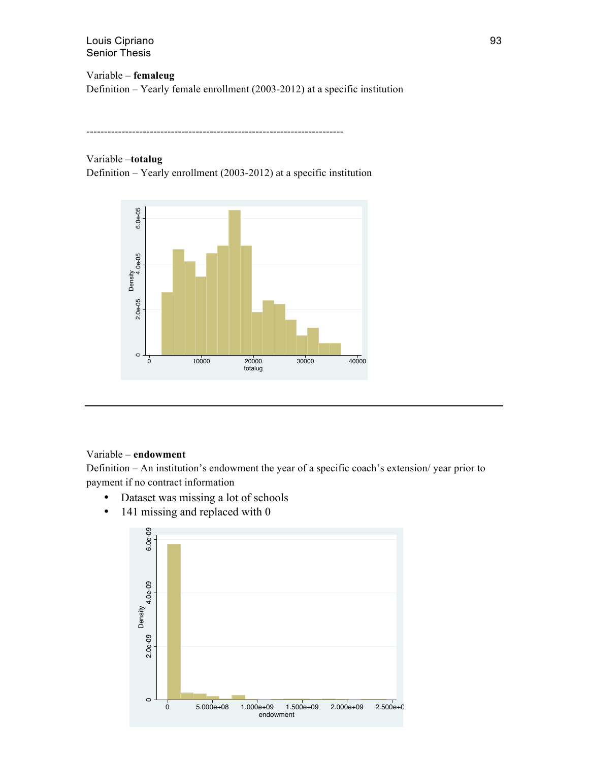Variable – **femaleug** Definition – Yearly female enrollment (2003-2012) at a specific institution

-------------------------------------------------------------------------

# Variable –**totalug**

Definition – Yearly enrollment (2003-2012) at a specific institution



#### Variable – **endowment**

Definition – An institution's endowment the year of a specific coach's extension/ year prior to payment if no contract information

- Dataset was missing a lot of schools
- 141 missing and replaced with 0

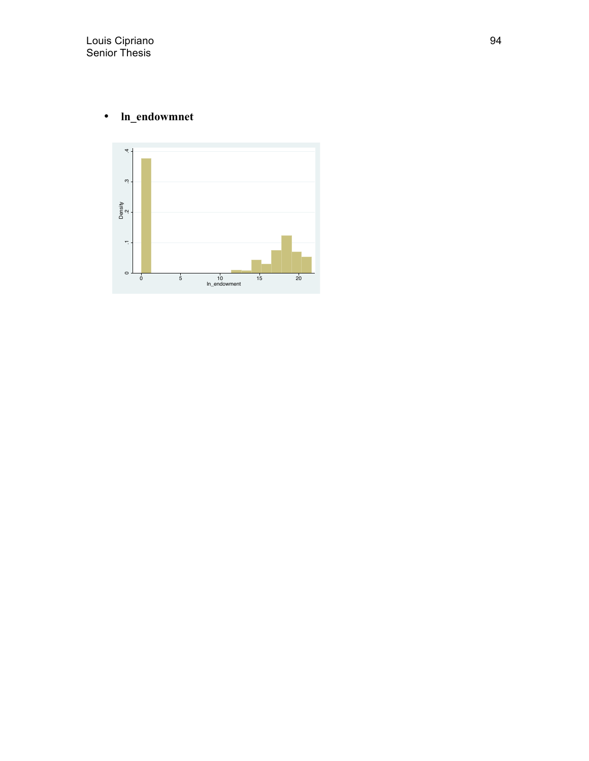# • **ln\_endowmnet**

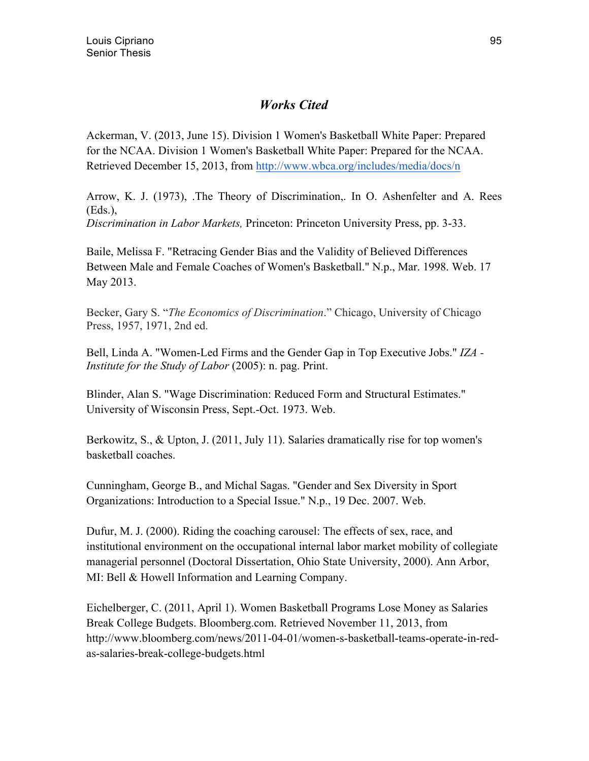# *Works Cited*

Ackerman, V. (2013, June 15). Division 1 Women's Basketball White Paper: Prepared for the NCAA. Division 1 Women's Basketball White Paper: Prepared for the NCAA. Retrieved December 15, 2013, from http://www.wbca.org/includes/media/docs/n

Arrow, K. J. (1973), .The Theory of Discrimination,. In O. Ashenfelter and A. Rees (Eds.),

*Discrimination in Labor Markets,* Princeton: Princeton University Press, pp. 3-33.

Baile, Melissa F. "Retracing Gender Bias and the Validity of Believed Differences Between Male and Female Coaches of Women's Basketball." N.p., Mar. 1998. Web. 17 May 2013.

Becker, Gary S. "*The Economics of Discrimination*." Chicago, University of Chicago Press, 1957, 1971, 2nd ed.

Bell, Linda A. "Women-Led Firms and the Gender Gap in Top Executive Jobs." *IZA - Institute for the Study of Labor* (2005): n. pag. Print.

Blinder, Alan S. "Wage Discrimination: Reduced Form and Structural Estimates." University of Wisconsin Press, Sept.-Oct. 1973. Web.

Berkowitz, S., & Upton, J. (2011, July 11). Salaries dramatically rise for top women's basketball coaches.

Cunningham, George B., and Michal Sagas. "Gender and Sex Diversity in Sport Organizations: Introduction to a Special Issue." N.p., 19 Dec. 2007. Web.

Dufur, M. J. (2000). Riding the coaching carousel: The effects of sex, race, and institutional environment on the occupational internal labor market mobility of collegiate managerial personnel (Doctoral Dissertation, Ohio State University, 2000). Ann Arbor, MI: Bell & Howell Information and Learning Company.

Eichelberger, C. (2011, April 1). Women Basketball Programs Lose Money as Salaries Break College Budgets. Bloomberg.com. Retrieved November 11, 2013, from http://www.bloomberg.com/news/2011-04-01/women-s-basketball-teams-operate-in-redas-salaries-break-college-budgets.html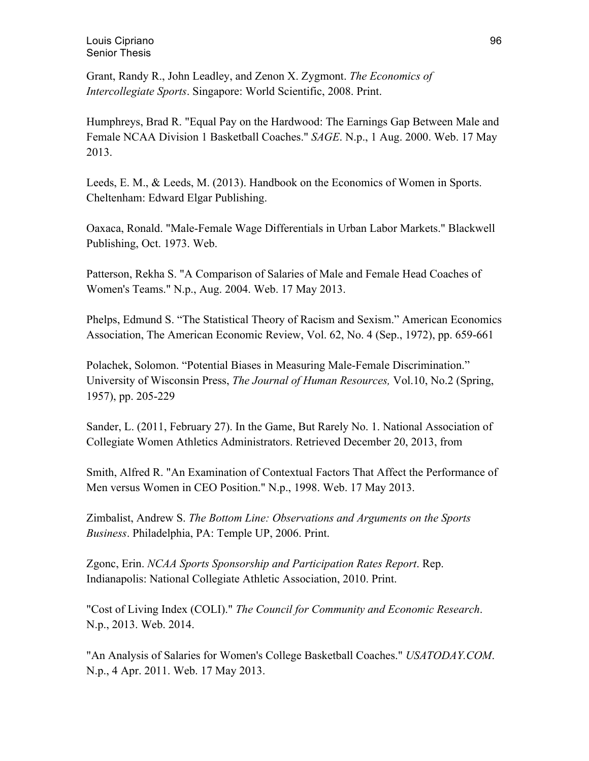Grant, Randy R., John Leadley, and Zenon X. Zygmont. *The Economics of Intercollegiate Sports*. Singapore: World Scientific, 2008. Print.

Humphreys, Brad R. "Equal Pay on the Hardwood: The Earnings Gap Between Male and Female NCAA Division 1 Basketball Coaches." *SAGE*. N.p., 1 Aug. 2000. Web. 17 May 2013.

Leeds, E. M., & Leeds, M. (2013). Handbook on the Economics of Women in Sports. Cheltenham: Edward Elgar Publishing.

Oaxaca, Ronald. "Male-Female Wage Differentials in Urban Labor Markets." Blackwell Publishing, Oct. 1973. Web.

Patterson, Rekha S. "A Comparison of Salaries of Male and Female Head Coaches of Women's Teams." N.p., Aug. 2004. Web. 17 May 2013.

Phelps, Edmund S. "The Statistical Theory of Racism and Sexism." American Economics Association, The American Economic Review, Vol. 62, No. 4 (Sep., 1972), pp. 659-661

Polachek, Solomon. "Potential Biases in Measuring Male-Female Discrimination." University of Wisconsin Press, *The Journal of Human Resources,* Vol.10, No.2 (Spring, 1957), pp. 205-229

Sander, L. (2011, February 27). In the Game, But Rarely No. 1. National Association of Collegiate Women Athletics Administrators. Retrieved December 20, 2013, from

Smith, Alfred R. "An Examination of Contextual Factors That Affect the Performance of Men versus Women in CEO Position." N.p., 1998. Web. 17 May 2013.

Zimbalist, Andrew S. *The Bottom Line: Observations and Arguments on the Sports Business*. Philadelphia, PA: Temple UP, 2006. Print.

Zgonc, Erin. *NCAA Sports Sponsorship and Participation Rates Report*. Rep. Indianapolis: National Collegiate Athletic Association, 2010. Print.

"Cost of Living Index (COLI)." *The Council for Community and Economic Research*. N.p., 2013. Web. 2014.

"An Analysis of Salaries for Women's College Basketball Coaches." *USATODAY.COM*. N.p., 4 Apr. 2011. Web. 17 May 2013.